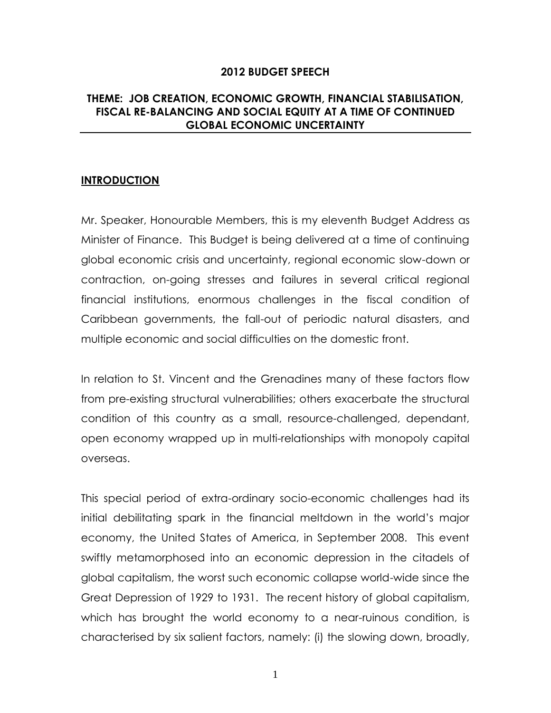### **2012 BUDGET SPEECH**

# **THEME: JOB CREATION, ECONOMIC GROWTH, FINANCIAL STABILISATION, FISCAL RE-BALANCING AND SOCIAL EQUITY AT A TIME OF CONTINUED GLOBAL ECONOMIC UNCERTAINTY**

### **INTRODUCTION**

Mr. Speaker, Honourable Members, this is my eleventh Budget Address as Minister of Finance. This Budget is being delivered at a time of continuing global economic crisis and uncertainty, regional economic slow-down or contraction, on-going stresses and failures in several critical regional financial institutions, enormous challenges in the fiscal condition of Caribbean governments, the fall-out of periodic natural disasters, and multiple economic and social difficulties on the domestic front.

In relation to St. Vincent and the Grenadines many of these factors flow from pre-existing structural vulnerabilities; others exacerbate the structural condition of this country as a small, resource-challenged, dependant, open economy wrapped up in multi-relationships with monopoly capital overseas.

This special period of extra-ordinary socio-economic challenges had its initial debilitating spark in the financial meltdown in the world's major economy, the United States of America, in September 2008. This event swiftly metamorphosed into an economic depression in the citadels of global capitalism, the worst such economic collapse world-wide since the Great Depression of 1929 to 1931. The recent history of global capitalism, which has brought the world economy to a near-ruinous condition, is characterised by six salient factors, namely: (i) the slowing down, broadly,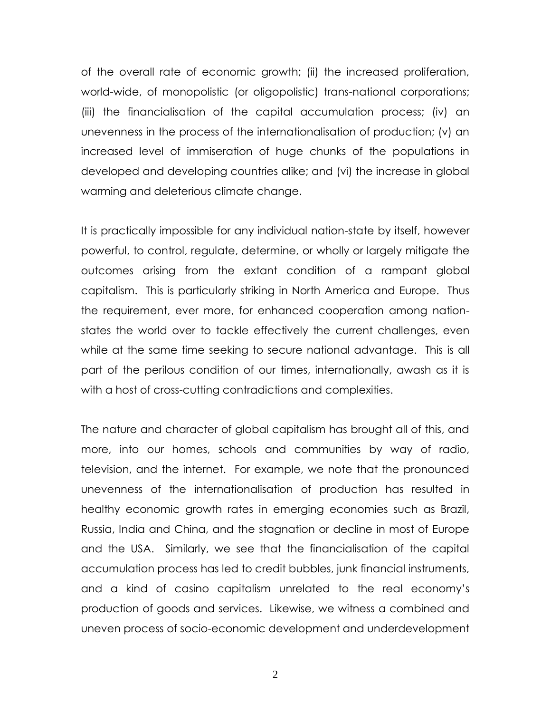of the overall rate of economic growth; (ii) the increased proliferation, world-wide, of monopolistic (or oligopolistic) trans-national corporations; (iii) the financialisation of the capital accumulation process; (iv) an unevenness in the process of the internationalisation of production; (v) an increased level of immiseration of huge chunks of the populations in developed and developing countries alike; and (vi) the increase in global warming and deleterious climate change.

It is practically impossible for any individual nation-state by itself, however powerful, to control, regulate, determine, or wholly or largely mitigate the outcomes arising from the extant condition of a rampant global capitalism. This is particularly striking in North America and Europe. Thus the requirement, ever more, for enhanced cooperation among nationstates the world over to tackle effectively the current challenges, even while at the same time seeking to secure national advantage. This is all part of the perilous condition of our times, internationally, awash as it is with a host of cross-cutting contradictions and complexities.

The nature and character of global capitalism has brought all of this, and more, into our homes, schools and communities by way of radio, television, and the internet. For example, we note that the pronounced unevenness of the internationalisation of production has resulted in healthy economic growth rates in emerging economies such as Brazil, Russia, India and China, and the stagnation or decline in most of Europe and the USA. Similarly, we see that the financialisation of the capital accumulation process has led to credit bubbles, junk financial instruments, and a kind of casino capitalism unrelated to the real economy's production of goods and services. Likewise, we witness a combined and uneven process of socio-economic development and underdevelopment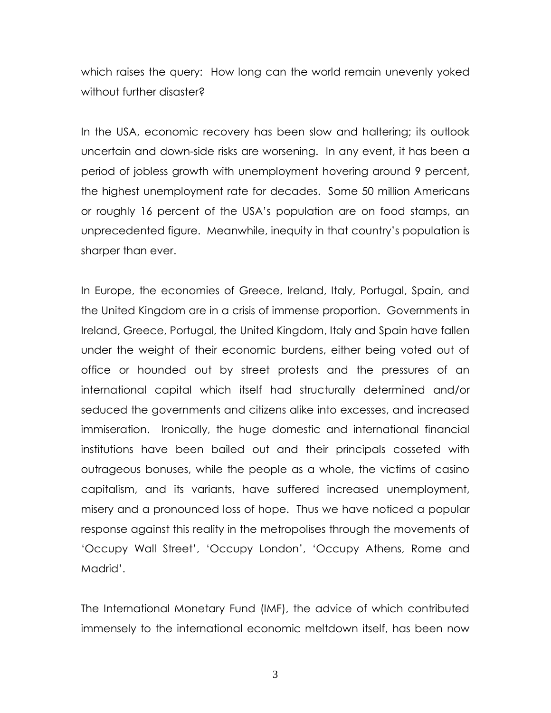which raises the query: How long can the world remain unevenly yoked without further disaster?

In the USA, economic recovery has been slow and haltering; its outlook uncertain and down-side risks are worsening. In any event, it has been a period of jobless growth with unemployment hovering around 9 percent, the highest unemployment rate for decades. Some 50 million Americans or roughly 16 percent of the USA's population are on food stamps, an unprecedented figure. Meanwhile, inequity in that country's population is sharper than ever.

In Europe, the economies of Greece, Ireland, Italy, Portugal, Spain, and the United Kingdom are in a crisis of immense proportion. Governments in Ireland, Greece, Portugal, the United Kingdom, Italy and Spain have fallen under the weight of their economic burdens, either being voted out of office or hounded out by street protests and the pressures of an international capital which itself had structurally determined and/or seduced the governments and citizens alike into excesses, and increased immiseration. Ironically, the huge domestic and international financial institutions have been bailed out and their principals cosseted with outrageous bonuses, while the people as a whole, the victims of casino capitalism, and its variants, have suffered increased unemployment, misery and a pronounced loss of hope. Thus we have noticed a popular response against this reality in the metropolises through the movements of ‗Occupy Wall Street', ‗Occupy London', ‗Occupy Athens, Rome and Madrid'.

The International Monetary Fund (IMF), the advice of which contributed immensely to the international economic meltdown itself, has been now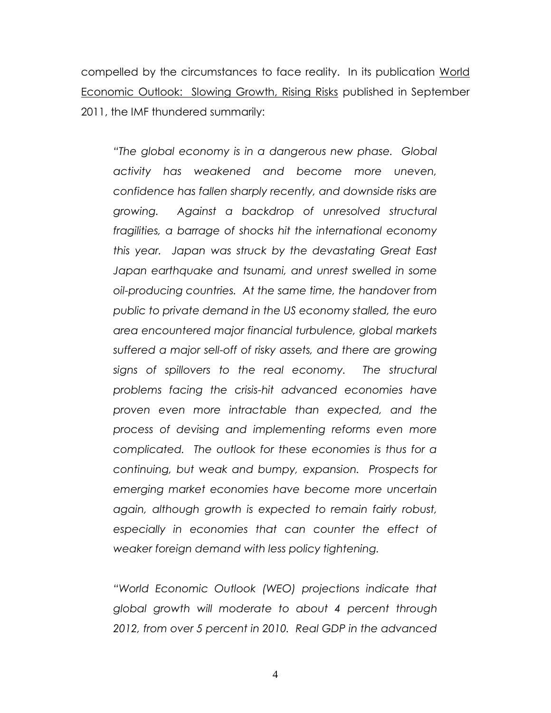compelled by the circumstances to face reality. In its publication World Economic Outlook: Slowing Growth, Rising Risks published in September 2011, the IMF thundered summarily:

*"The global economy is in a dangerous new phase. Global activity has weakened and become more uneven, confidence has fallen sharply recently, and downside risks are growing. Against a backdrop of unresolved structural fragilities, a barrage of shocks hit the international economy this year. Japan was struck by the devastating Great East Japan earthquake and tsunami, and unrest swelled in some oil-producing countries. At the same time, the handover from public to private demand in the US economy stalled, the euro area encountered major financial turbulence, global markets suffered a major sell-off of risky assets, and there are growing signs of spillovers to the real economy. The structural problems facing the crisis-hit advanced economies have proven even more intractable than expected, and the process of devising and implementing reforms even more complicated. The outlook for these economies is thus for a continuing, but weak and bumpy, expansion. Prospects for emerging market economies have become more uncertain again, although growth is expected to remain fairly robust, especially in economies that can counter the effect of weaker foreign demand with less policy tightening.* 

*"World Economic Outlook (WEO) projections indicate that global growth will moderate to about 4 percent through 2012, from over 5 percent in 2010. Real GDP in the advanced*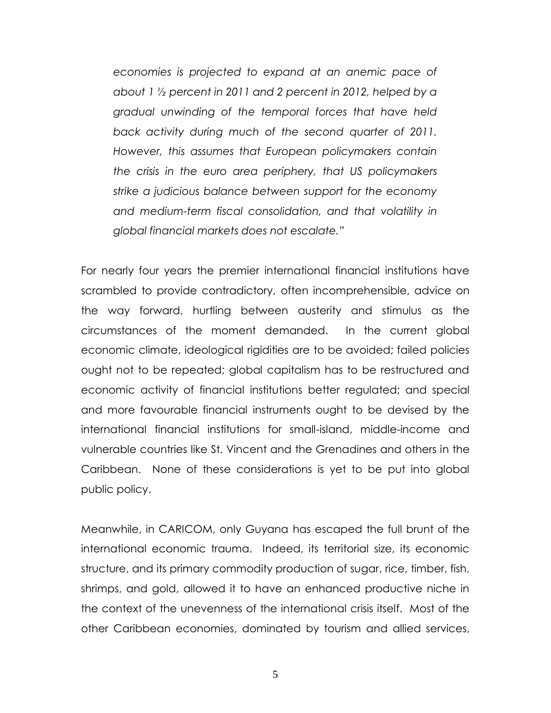*economies is projected to expand at an anemic pace of about 1 ½ percent in 2011 and 2 percent in 2012, helped by a gradual unwinding of the temporal forces that have held back activity during much of the second quarter of 2011. However, this assumes that European policymakers contain the crisis in the euro area periphery, that US policymakers strike a judicious balance between support for the economy and medium-term fiscal consolidation, and that volatility in global financial markets does not escalate."*

For nearly four years the premier international financial institutions have scrambled to provide contradictory, often incomprehensible, advice on the way forward, hurtling between austerity and stimulus as the circumstances of the moment demanded. In the current global economic climate, ideological rigidities are to be avoided; failed policies ought not to be repeated; global capitalism has to be restructured and economic activity of financial institutions better regulated; and special and more favourable financial instruments ought to be devised by the international financial institutions for small-island, middle-income and vulnerable countries like St. Vincent and the Grenadines and others in the Caribbean. None of these considerations is yet to be put into global public policy.

Meanwhile, in CARICOM, only Guyana has escaped the full brunt of the international economic trauma. Indeed, its territorial size, its economic structure, and its primary commodity production of sugar, rice, timber, fish, shrimps, and gold, allowed it to have an enhanced productive niche in the context of the unevenness of the international crisis itself. Most of the other Caribbean economies, dominated by tourism and allied services,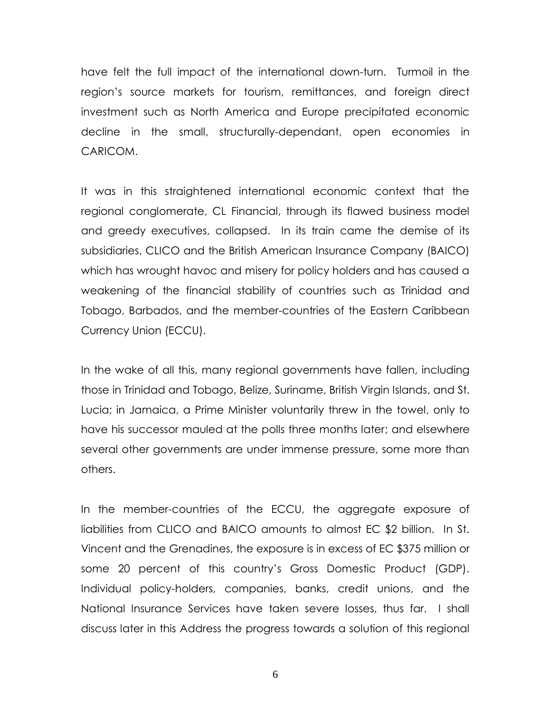have felt the full impact of the international down-turn. Turmoil in the region's source markets for tourism, remittances, and foreign direct investment such as North America and Europe precipitated economic decline in the small, structurally-dependant, open economies in CARICOM.

It was in this straightened international economic context that the regional conglomerate, CL Financial, through its flawed business model and greedy executives, collapsed. In its train came the demise of its subsidiaries, CLICO and the British American Insurance Company (BAICO) which has wrought havoc and misery for policy holders and has caused a weakening of the financial stability of countries such as Trinidad and Tobago, Barbados, and the member-countries of the Eastern Caribbean Currency Union (ECCU).

In the wake of all this, many regional governments have fallen, including those in Trinidad and Tobago, Belize, Suriname, British Virgin Islands, and St. Lucia; in Jamaica, a Prime Minister voluntarily threw in the towel, only to have his successor mauled at the polls three months later; and elsewhere several other governments are under immense pressure, some more than others.

In the member-countries of the ECCU, the aggregate exposure of liabilities from CLICO and BAICO amounts to almost EC \$2 billion. In St. Vincent and the Grenadines, the exposure is in excess of EC \$375 million or some 20 percent of this country's Gross Domestic Product (GDP). Individual policy-holders, companies, banks, credit unions, and the National Insurance Services have taken severe losses, thus far. I shall discuss later in this Address the progress towards a solution of this regional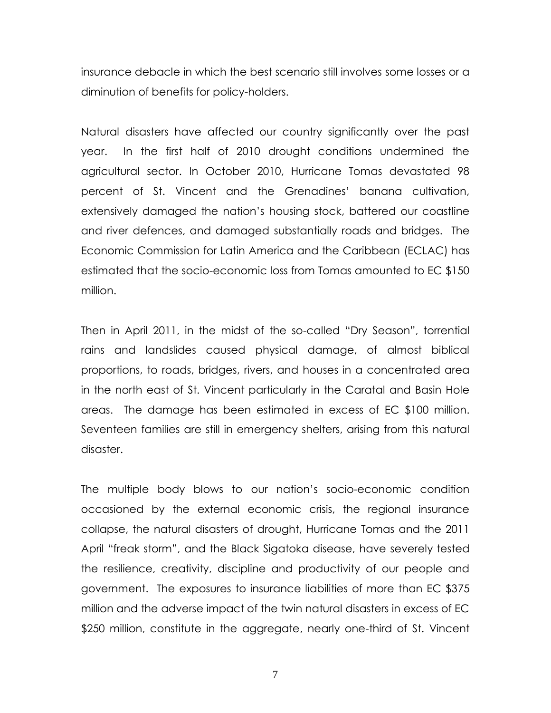insurance debacle in which the best scenario still involves some losses or a diminution of benefits for policy-holders.

Natural disasters have affected our country significantly over the past year. In the first half of 2010 drought conditions undermined the agricultural sector. In October 2010, Hurricane Tomas devastated 98 percent of St. Vincent and the Grenadines' banana cultivation, extensively damaged the nation's housing stock, battered our coastline and river defences, and damaged substantially roads and bridges. The Economic Commission for Latin America and the Caribbean (ECLAC) has estimated that the socio-economic loss from Tomas amounted to EC \$150 million.

Then in April 2011, in the midst of the so-called "Dry Season", torrential rains and landslides caused physical damage, of almost biblical proportions, to roads, bridges, rivers, and houses in a concentrated area in the north east of St. Vincent particularly in the Caratal and Basin Hole areas. The damage has been estimated in excess of EC \$100 million. Seventeen families are still in emergency shelters, arising from this natural disaster.

The multiple body blows to our nation's socio-economic condition occasioned by the external economic crisis, the regional insurance collapse, the natural disasters of drought, Hurricane Tomas and the 2011 April "freak storm", and the Black Sigatoka disease, have severely tested the resilience, creativity, discipline and productivity of our people and government. The exposures to insurance liabilities of more than EC \$375 million and the adverse impact of the twin natural disasters in excess of EC \$250 million, constitute in the aggregate, nearly one-third of St. Vincent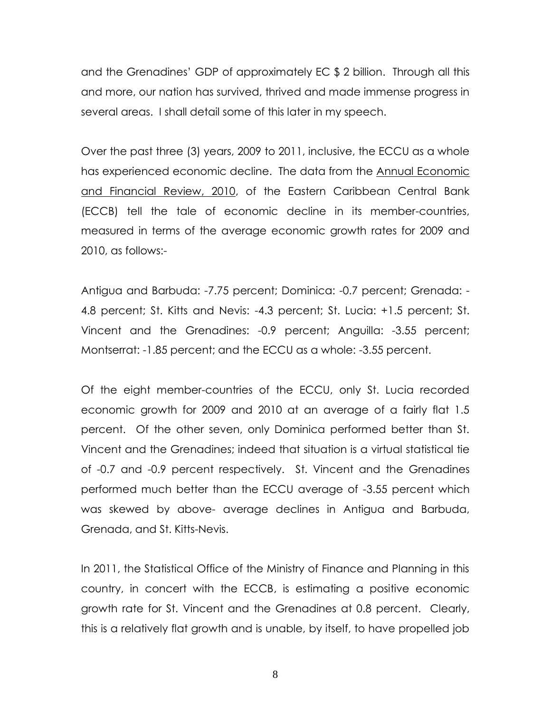and the Grenadines' GDP of approximately EC \$ 2 billion. Through all this and more, our nation has survived, thrived and made immense progress in several areas. I shall detail some of this later in my speech.

Over the past three (3) years, 2009 to 2011, inclusive, the ECCU as a whole has experienced economic decline. The data from the Annual Economic and Financial Review, 2010, of the Eastern Caribbean Central Bank (ECCB) tell the tale of economic decline in its member-countries, measured in terms of the average economic growth rates for 2009 and 2010, as follows:-

Antigua and Barbuda: -7.75 percent; Dominica: -0.7 percent; Grenada: - 4.8 percent; St. Kitts and Nevis: -4.3 percent; St. Lucia: +1.5 percent; St. Vincent and the Grenadines: -0.9 percent; Anguilla: -3.55 percent; Montserrat: -1.85 percent; and the ECCU as a whole: -3.55 percent.

Of the eight member-countries of the ECCU, only St. Lucia recorded economic growth for 2009 and 2010 at an average of a fairly flat 1.5 percent. Of the other seven, only Dominica performed better than St. Vincent and the Grenadines; indeed that situation is a virtual statistical tie of -0.7 and -0.9 percent respectively. St. Vincent and the Grenadines performed much better than the ECCU average of -3.55 percent which was skewed by above- average declines in Antigua and Barbuda, Grenada, and St. Kitts-Nevis.

In 2011, the Statistical Office of the Ministry of Finance and Planning in this country, in concert with the ECCB, is estimating a positive economic growth rate for St. Vincent and the Grenadines at 0.8 percent. Clearly, this is a relatively flat growth and is unable, by itself, to have propelled job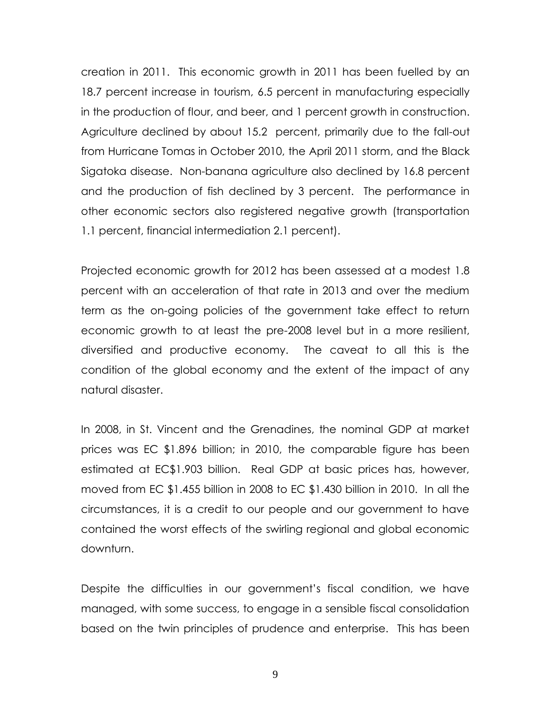creation in 2011. This economic growth in 2011 has been fuelled by an 18.7 percent increase in tourism, 6.5 percent in manufacturing especially in the production of flour, and beer, and 1 percent growth in construction. Agriculture declined by about 15.2 percent, primarily due to the fall-out from Hurricane Tomas in October 2010, the April 2011 storm, and the Black Sigatoka disease. Non-banana agriculture also declined by 16.8 percent and the production of fish declined by 3 percent. The performance in other economic sectors also registered negative growth (transportation 1.1 percent, financial intermediation 2.1 percent).

Projected economic growth for 2012 has been assessed at a modest 1.8 percent with an acceleration of that rate in 2013 and over the medium term as the on-going policies of the government take effect to return economic growth to at least the pre-2008 level but in a more resilient, diversified and productive economy. The caveat to all this is the condition of the global economy and the extent of the impact of any natural disaster.

In 2008, in St. Vincent and the Grenadines, the nominal GDP at market prices was EC \$1.896 billion; in 2010, the comparable figure has been estimated at EC\$1.903 billion. Real GDP at basic prices has, however, moved from EC \$1.455 billion in 2008 to EC \$1.430 billion in 2010. In all the circumstances, it is a credit to our people and our government to have contained the worst effects of the swirling regional and global economic downturn.

Despite the difficulties in our government's fiscal condition, we have managed, with some success, to engage in a sensible fiscal consolidation based on the twin principles of prudence and enterprise. This has been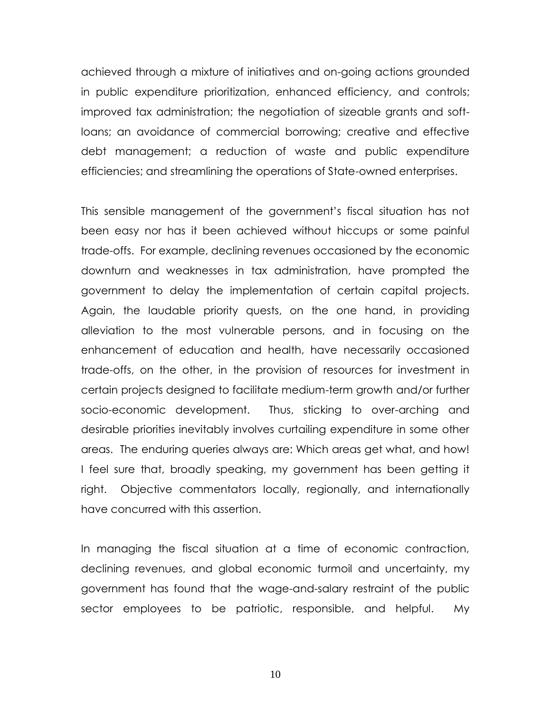achieved through a mixture of initiatives and on-going actions grounded in public expenditure prioritization, enhanced efficiency, and controls; improved tax administration; the negotiation of sizeable grants and softloans; an avoidance of commercial borrowing; creative and effective debt management; a reduction of waste and public expenditure efficiencies; and streamlining the operations of State-owned enterprises.

This sensible management of the government's fiscal situation has not been easy nor has it been achieved without hiccups or some painful trade-offs. For example, declining revenues occasioned by the economic downturn and weaknesses in tax administration, have prompted the government to delay the implementation of certain capital projects. Again, the laudable priority quests, on the one hand, in providing alleviation to the most vulnerable persons, and in focusing on the enhancement of education and health, have necessarily occasioned trade-offs, on the other, in the provision of resources for investment in certain projects designed to facilitate medium-term growth and/or further socio-economic development. Thus, sticking to over-arching and desirable priorities inevitably involves curtailing expenditure in some other areas. The enduring queries always are: Which areas get what, and how! I feel sure that, broadly speaking, my government has been getting it right. Objective commentators locally, regionally, and internationally have concurred with this assertion.

In managing the fiscal situation at a time of economic contraction, declining revenues, and global economic turmoil and uncertainty, my government has found that the wage-and-salary restraint of the public sector employees to be patriotic, responsible, and helpful. My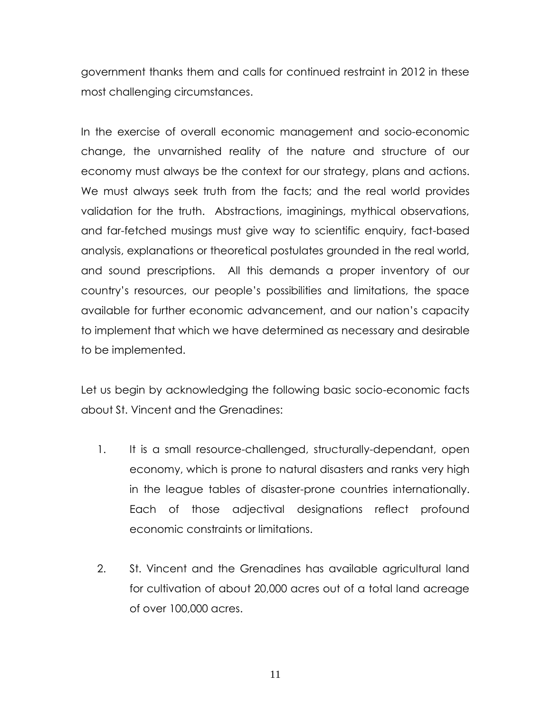government thanks them and calls for continued restraint in 2012 in these most challenging circumstances.

In the exercise of overall economic management and socio-economic change, the unvarnished reality of the nature and structure of our economy must always be the context for our strategy, plans and actions. We must always seek truth from the facts; and the real world provides validation for the truth. Abstractions, imaginings, mythical observations, and far-fetched musings must give way to scientific enquiry, fact-based analysis, explanations or theoretical postulates grounded in the real world, and sound prescriptions. All this demands a proper inventory of our country's resources, our people's possibilities and limitations, the space available for further economic advancement, and our nation's capacity to implement that which we have determined as necessary and desirable to be implemented.

Let us begin by acknowledging the following basic socio-economic facts about St. Vincent and the Grenadines:

- 1. It is a small resource-challenged, structurally-dependant, open economy, which is prone to natural disasters and ranks very high in the league tables of disaster-prone countries internationally. Each of those adjectival designations reflect profound economic constraints or limitations.
- 2. St. Vincent and the Grenadines has available agricultural land for cultivation of about 20,000 acres out of a total land acreage of over 100,000 acres.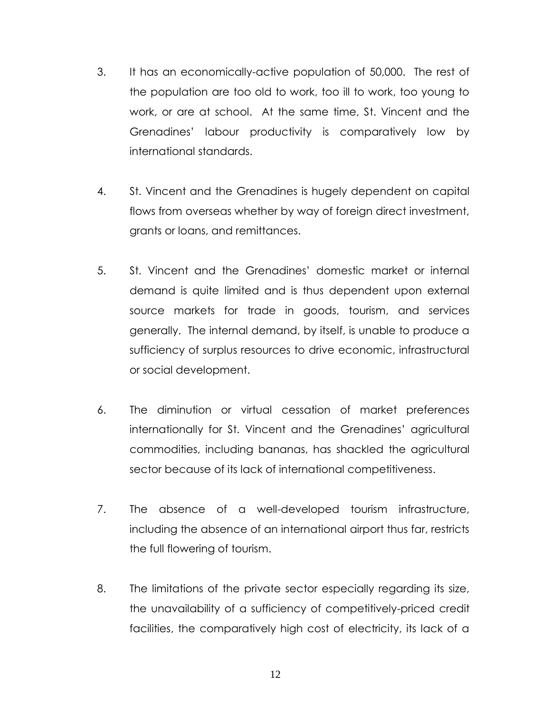- 3. It has an economically-active population of 50,000. The rest of the population are too old to work, too ill to work, too young to work, or are at school. At the same time, St. Vincent and the Grenadines' labour productivity is comparatively low by international standards.
- 4. St. Vincent and the Grenadines is hugely dependent on capital flows from overseas whether by way of foreign direct investment, grants or loans, and remittances.
- 5. St. Vincent and the Grenadines' domestic market or internal demand is quite limited and is thus dependent upon external source markets for trade in goods, tourism, and services generally. The internal demand, by itself, is unable to produce a sufficiency of surplus resources to drive economic, infrastructural or social development.
- 6. The diminution or virtual cessation of market preferences internationally for St. Vincent and the Grenadines' agricultural commodities, including bananas, has shackled the agricultural sector because of its lack of international competitiveness.
- 7. The absence of a well-developed tourism infrastructure, including the absence of an international airport thus far, restricts the full flowering of tourism.
- 8. The limitations of the private sector especially regarding its size, the unavailability of a sufficiency of competitively-priced credit facilities, the comparatively high cost of electricity, its lack of a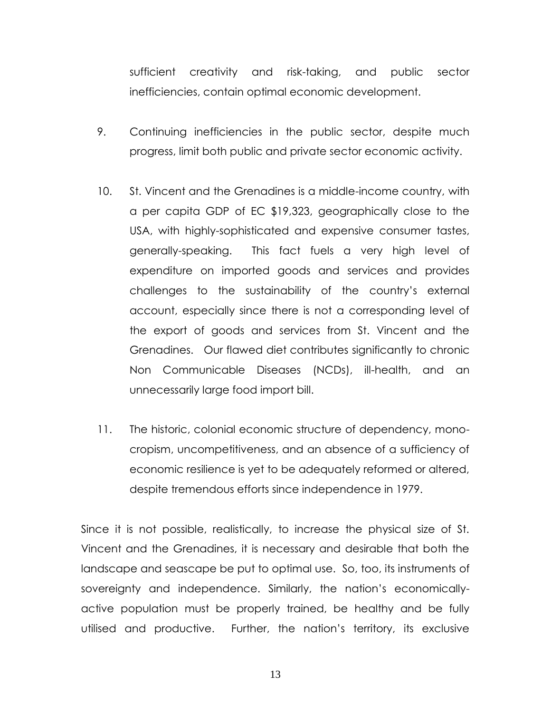sufficient creativity and risk-taking, and public sector inefficiencies, contain optimal economic development.

- 9. Continuing inefficiencies in the public sector, despite much progress, limit both public and private sector economic activity.
- 10. St. Vincent and the Grenadines is a middle-income country, with a per capita GDP of EC \$19,323, geographically close to the USA, with highly-sophisticated and expensive consumer tastes, generally-speaking. This fact fuels a very high level of expenditure on imported goods and services and provides challenges to the sustainability of the country's external account, especially since there is not a corresponding level of the export of goods and services from St. Vincent and the Grenadines. Our flawed diet contributes significantly to chronic Non Communicable Diseases (NCDs), ill-health, and an unnecessarily large food import bill.
- 11. The historic, colonial economic structure of dependency, monocropism, uncompetitiveness, and an absence of a sufficiency of economic resilience is yet to be adequately reformed or altered, despite tremendous efforts since independence in 1979.

Since it is not possible, realistically, to increase the physical size of St. Vincent and the Grenadines, it is necessary and desirable that both the landscape and seascape be put to optimal use. So, too, its instruments of sovereignty and independence. Similarly, the nation's economicallyactive population must be properly trained, be healthy and be fully utilised and productive. Further, the nation's territory, its exclusive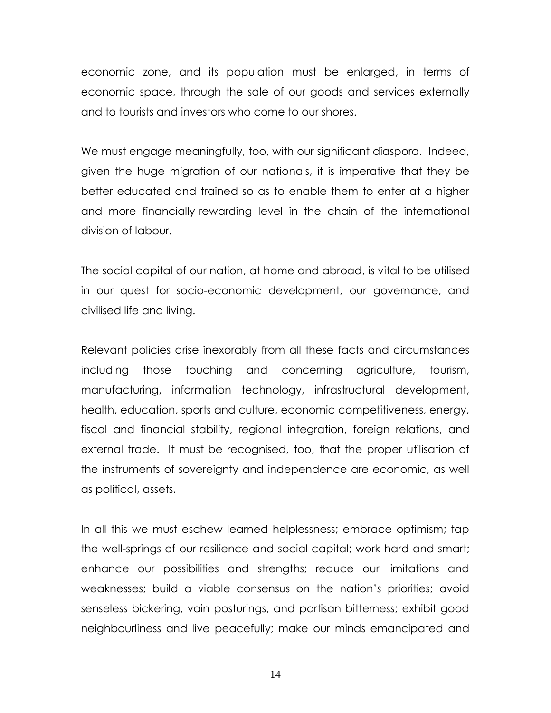economic zone, and its population must be enlarged, in terms of economic space, through the sale of our goods and services externally and to tourists and investors who come to our shores.

We must engage meaningfully, too, with our significant diaspora. Indeed, given the huge migration of our nationals, it is imperative that they be better educated and trained so as to enable them to enter at a higher and more financially-rewarding level in the chain of the international division of labour.

The social capital of our nation, at home and abroad, is vital to be utilised in our quest for socio-economic development, our governance, and civilised life and living.

Relevant policies arise inexorably from all these facts and circumstances including those touching and concerning agriculture, tourism, manufacturing, information technology, infrastructural development, health, education, sports and culture, economic competitiveness, energy, fiscal and financial stability, regional integration, foreign relations, and external trade. It must be recognised, too, that the proper utilisation of the instruments of sovereignty and independence are economic, as well as political, assets.

In all this we must eschew learned helplessness; embrace optimism; tap the well-springs of our resilience and social capital; work hard and smart; enhance our possibilities and strengths; reduce our limitations and weaknesses; build a viable consensus on the nation's priorities; avoid senseless bickering, vain posturings, and partisan bitterness; exhibit good neighbourliness and live peacefully; make our minds emancipated and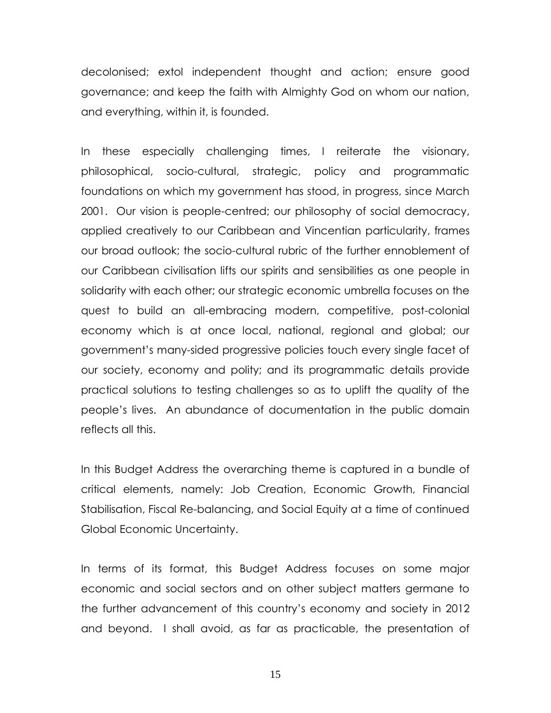decolonised; extol independent thought and action; ensure good governance; and keep the faith with Almighty God on whom our nation, and everything, within it, is founded.

In these especially challenging times, I reiterate the visionary, philosophical, socio-cultural, strategic, policy and programmatic foundations on which my government has stood, in progress, since March 2001. Our vision is people-centred; our philosophy of social democracy, applied creatively to our Caribbean and Vincentian particularity, frames our broad outlook; the socio-cultural rubric of the further ennoblement of our Caribbean civilisation lifts our spirits and sensibilities as one people in solidarity with each other; our strategic economic umbrella focuses on the quest to build an all-embracing modern, competitive, post-colonial economy which is at once local, national, regional and global; our government's many-sided progressive policies touch every single facet of our society, economy and polity; and its programmatic details provide practical solutions to testing challenges so as to uplift the quality of the people's lives. An abundance of documentation in the public domain reflects all this.

In this Budget Address the overarching theme is captured in a bundle of critical elements, namely: Job Creation, Economic Growth, Financial Stabilisation, Fiscal Re-balancing, and Social Equity at a time of continued Global Economic Uncertainty.

In terms of its format, this Budget Address focuses on some major economic and social sectors and on other subject matters germane to the further advancement of this country's economy and society in 2012 and beyond. I shall avoid, as far as practicable, the presentation of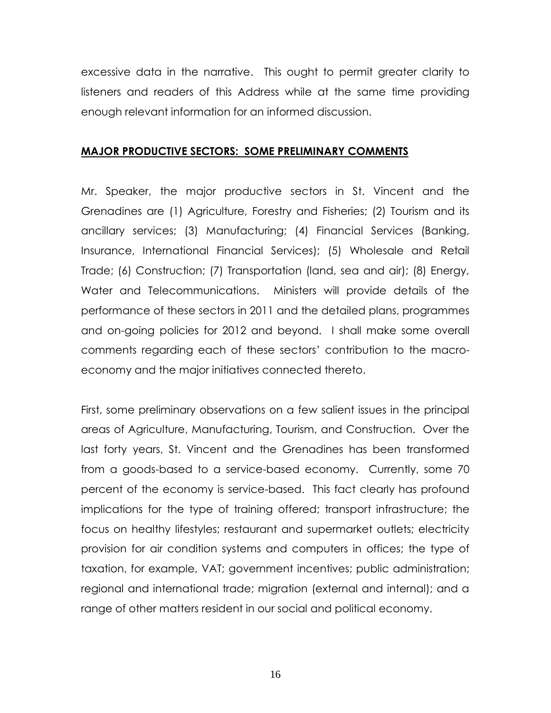excessive data in the narrative. This ought to permit greater clarity to listeners and readers of this Address while at the same time providing enough relevant information for an informed discussion.

### **MAJOR PRODUCTIVE SECTORS: SOME PRELIMINARY COMMENTS**

Mr. Speaker, the major productive sectors in St. Vincent and the Grenadines are (1) Agriculture, Forestry and Fisheries; (2) Tourism and its ancillary services; (3) Manufacturing; (4) Financial Services (Banking, Insurance, International Financial Services); (5) Wholesale and Retail Trade; (6) Construction; (7) Transportation (land, sea and air); (8) Energy, Water and Telecommunications. Ministers will provide details of the performance of these sectors in 2011 and the detailed plans, programmes and on-going policies for 2012 and beyond. I shall make some overall comments regarding each of these sectors' contribution to the macroeconomy and the major initiatives connected thereto.

First, some preliminary observations on a few salient issues in the principal areas of Agriculture, Manufacturing, Tourism, and Construction. Over the last forty years, St. Vincent and the Grenadines has been transformed from a goods-based to a service-based economy. Currently, some 70 percent of the economy is service-based. This fact clearly has profound implications for the type of training offered; transport infrastructure; the focus on healthy lifestyles; restaurant and supermarket outlets; electricity provision for air condition systems and computers in offices; the type of taxation, for example, VAT; government incentives; public administration; regional and international trade; migration (external and internal); and a range of other matters resident in our social and political economy.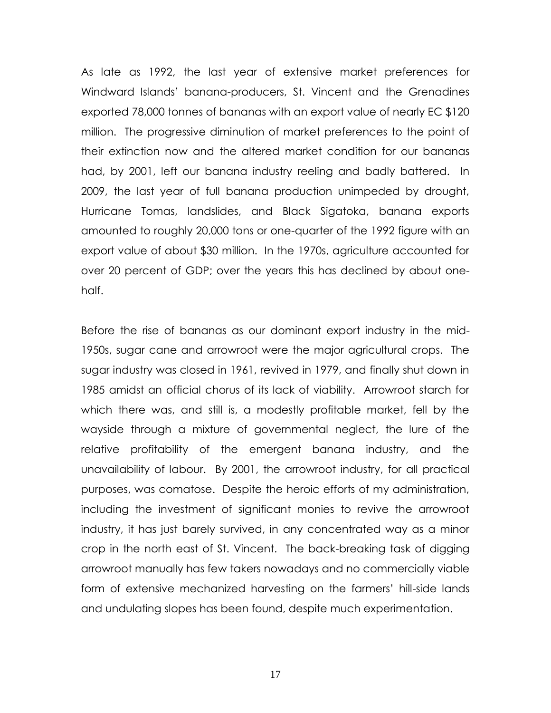As late as 1992, the last year of extensive market preferences for Windward Islands' banana-producers, St. Vincent and the Grenadines exported 78,000 tonnes of bananas with an export value of nearly EC \$120 million. The progressive diminution of market preferences to the point of their extinction now and the altered market condition for our bananas had, by 2001, left our banana industry reeling and badly battered. In 2009, the last year of full banana production unimpeded by drought, Hurricane Tomas, landslides, and Black Sigatoka, banana exports amounted to roughly 20,000 tons or one-quarter of the 1992 figure with an export value of about \$30 million. In the 1970s, agriculture accounted for over 20 percent of GDP; over the years this has declined by about onehalf.

Before the rise of bananas as our dominant export industry in the mid-1950s, sugar cane and arrowroot were the major agricultural crops. The sugar industry was closed in 1961, revived in 1979, and finally shut down in 1985 amidst an official chorus of its lack of viability. Arrowroot starch for which there was, and still is, a modestly profitable market, fell by the wayside through a mixture of governmental neglect, the lure of the relative profitability of the emergent banana industry, and the unavailability of labour. By 2001, the arrowroot industry, for all practical purposes, was comatose. Despite the heroic efforts of my administration, including the investment of significant monies to revive the arrowroot industry, it has just barely survived, in any concentrated way as a minor crop in the north east of St. Vincent. The back-breaking task of digging arrowroot manually has few takers nowadays and no commercially viable form of extensive mechanized harvesting on the farmers' hill-side lands and undulating slopes has been found, despite much experimentation.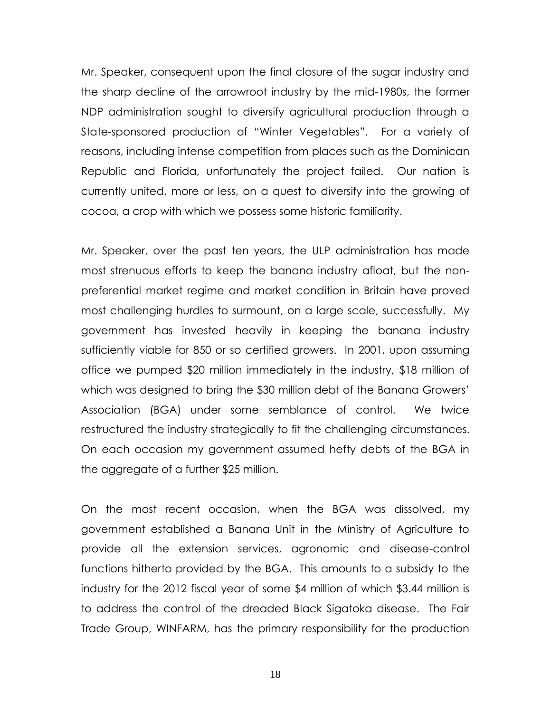Mr. Speaker, consequent upon the final closure of the sugar industry and the sharp decline of the arrowroot industry by the mid-1980s, the former NDP administration sought to diversify agricultural production through a State-sponsored production of "Winter Vegetables". For a variety of reasons, including intense competition from places such as the Dominican Republic and Florida, unfortunately the project failed. Our nation is currently united, more or less, on a quest to diversify into the growing of cocoa, a crop with which we possess some historic familiarity.

Mr. Speaker, over the past ten years, the ULP administration has made most strenuous efforts to keep the banana industry afloat, but the nonpreferential market regime and market condition in Britain have proved most challenging hurdles to surmount, on a large scale, successfully. My government has invested heavily in keeping the banana industry sufficiently viable for 850 or so certified growers. In 2001, upon assuming office we pumped \$20 million immediately in the industry, \$18 million of which was designed to bring the \$30 million debt of the Banana Growers' Association (BGA) under some semblance of control. We twice restructured the industry strategically to fit the challenging circumstances. On each occasion my government assumed hefty debts of the BGA in the aggregate of a further \$25 million.

On the most recent occasion, when the BGA was dissolved, my government established a Banana Unit in the Ministry of Agriculture to provide all the extension services, agronomic and disease-control functions hitherto provided by the BGA. This amounts to a subsidy to the industry for the 2012 fiscal year of some \$4 million of which \$3.44 million is to address the control of the dreaded Black Sigatoka disease. The Fair Trade Group, WINFARM, has the primary responsibility for the production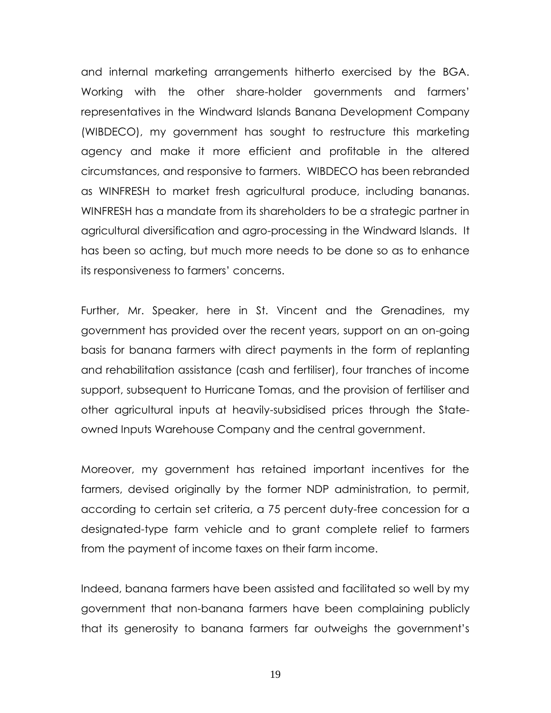and internal marketing arrangements hitherto exercised by the BGA. Working with the other share-holder governments and farmers' representatives in the Windward Islands Banana Development Company (WIBDECO), my government has sought to restructure this marketing agency and make it more efficient and profitable in the altered circumstances, and responsive to farmers. WIBDECO has been rebranded as WINFRESH to market fresh agricultural produce, including bananas. WINFRESH has a mandate from its shareholders to be a strategic partner in agricultural diversification and agro-processing in the Windward Islands. It has been so acting, but much more needs to be done so as to enhance its responsiveness to farmers' concerns.

Further, Mr. Speaker, here in St. Vincent and the Grenadines, my government has provided over the recent years, support on an on-going basis for banana farmers with direct payments in the form of replanting and rehabilitation assistance (cash and fertiliser), four tranches of income support, subsequent to Hurricane Tomas, and the provision of fertiliser and other agricultural inputs at heavily-subsidised prices through the Stateowned Inputs Warehouse Company and the central government.

Moreover, my government has retained important incentives for the farmers, devised originally by the former NDP administration, to permit, according to certain set criteria, a 75 percent duty-free concession for a designated-type farm vehicle and to grant complete relief to farmers from the payment of income taxes on their farm income.

Indeed, banana farmers have been assisted and facilitated so well by my government that non-banana farmers have been complaining publicly that its generosity to banana farmers far outweighs the government's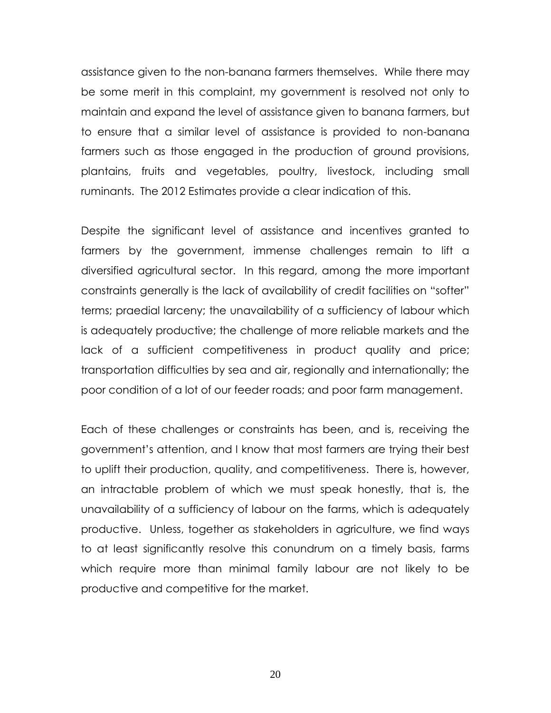assistance given to the non-banana farmers themselves. While there may be some merit in this complaint, my government is resolved not only to maintain and expand the level of assistance given to banana farmers, but to ensure that a similar level of assistance is provided to non-banana farmers such as those engaged in the production of ground provisions, plantains, fruits and vegetables, poultry, livestock, including small ruminants. The 2012 Estimates provide a clear indication of this.

Despite the significant level of assistance and incentives granted to farmers by the government, immense challenges remain to lift a diversified agricultural sector. In this regard, among the more important constraints generally is the lack of availability of credit facilities on "softer" terms; praedial larceny; the unavailability of a sufficiency of labour which is adequately productive; the challenge of more reliable markets and the lack of a sufficient competitiveness in product quality and price; transportation difficulties by sea and air, regionally and internationally; the poor condition of a lot of our feeder roads; and poor farm management.

Each of these challenges or constraints has been, and is, receiving the government's attention, and I know that most farmers are trying their best to uplift their production, quality, and competitiveness. There is, however, an intractable problem of which we must speak honestly, that is, the unavailability of a sufficiency of labour on the farms, which is adequately productive. Unless, together as stakeholders in agriculture, we find ways to at least significantly resolve this conundrum on a timely basis, farms which require more than minimal family labour are not likely to be productive and competitive for the market.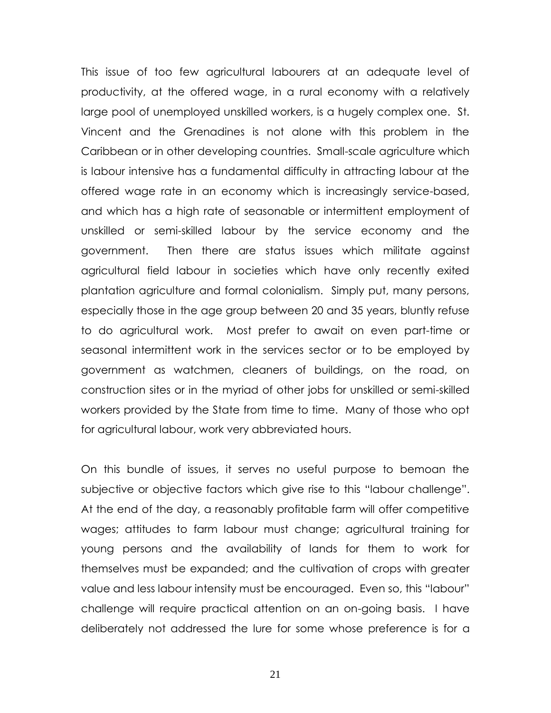This issue of too few agricultural labourers at an adequate level of productivity, at the offered wage, in a rural economy with a relatively large pool of unemployed unskilled workers, is a hugely complex one. St. Vincent and the Grenadines is not alone with this problem in the Caribbean or in other developing countries. Small-scale agriculture which is labour intensive has a fundamental difficulty in attracting labour at the offered wage rate in an economy which is increasingly service-based, and which has a high rate of seasonable or intermittent employment of unskilled or semi-skilled labour by the service economy and the government. Then there are status issues which militate against agricultural field labour in societies which have only recently exited plantation agriculture and formal colonialism. Simply put, many persons, especially those in the age group between 20 and 35 years, bluntly refuse to do agricultural work. Most prefer to await on even part-time or seasonal intermittent work in the services sector or to be employed by government as watchmen, cleaners of buildings, on the road, on construction sites or in the myriad of other jobs for unskilled or semi-skilled workers provided by the State from time to time. Many of those who opt for agricultural labour, work very abbreviated hours.

On this bundle of issues, it serves no useful purpose to bemoan the subjective or objective factors which give rise to this "labour challenge". At the end of the day, a reasonably profitable farm will offer competitive wages; attitudes to farm labour must change; agricultural training for young persons and the availability of lands for them to work for themselves must be expanded; and the cultivation of crops with greater value and less labour intensity must be encouraged. Even so, this "labour" challenge will require practical attention on an on-going basis. I have deliberately not addressed the lure for some whose preference is for a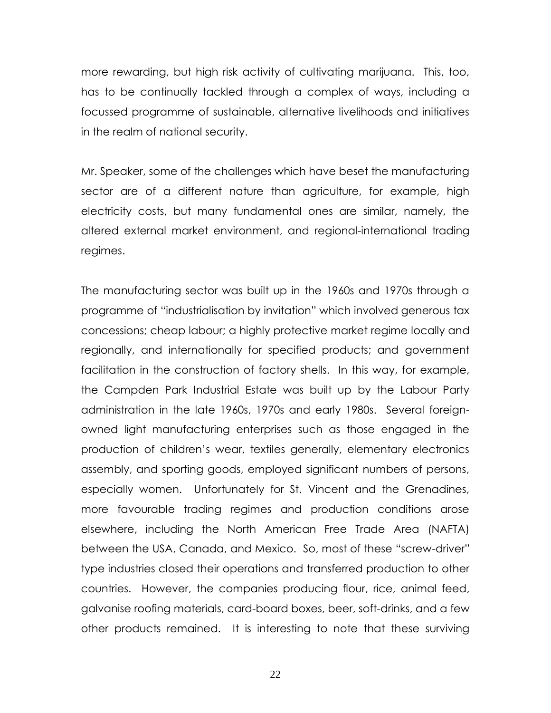more rewarding, but high risk activity of cultivating marijuana. This, too, has to be continually tackled through a complex of ways, including a focussed programme of sustainable, alternative livelihoods and initiatives in the realm of national security.

Mr. Speaker, some of the challenges which have beset the manufacturing sector are of a different nature than agriculture, for example, high electricity costs, but many fundamental ones are similar, namely, the altered external market environment, and regional-international trading regimes.

The manufacturing sector was built up in the 1960s and 1970s through a programme of "industrialisation by invitation" which involved generous tax concessions; cheap labour; a highly protective market regime locally and regionally, and internationally for specified products; and government facilitation in the construction of factory shells. In this way, for example, the Campden Park Industrial Estate was built up by the Labour Party administration in the late 1960s, 1970s and early 1980s. Several foreignowned light manufacturing enterprises such as those engaged in the production of children's wear, textiles generally, elementary electronics assembly, and sporting goods, employed significant numbers of persons, especially women. Unfortunately for St. Vincent and the Grenadines, more favourable trading regimes and production conditions arose elsewhere, including the North American Free Trade Area (NAFTA) between the USA, Canada, and Mexico. So, most of these "screw-driver" type industries closed their operations and transferred production to other countries. However, the companies producing flour, rice, animal feed, galvanise roofing materials, card-board boxes, beer, soft-drinks, and a few other products remained. It is interesting to note that these surviving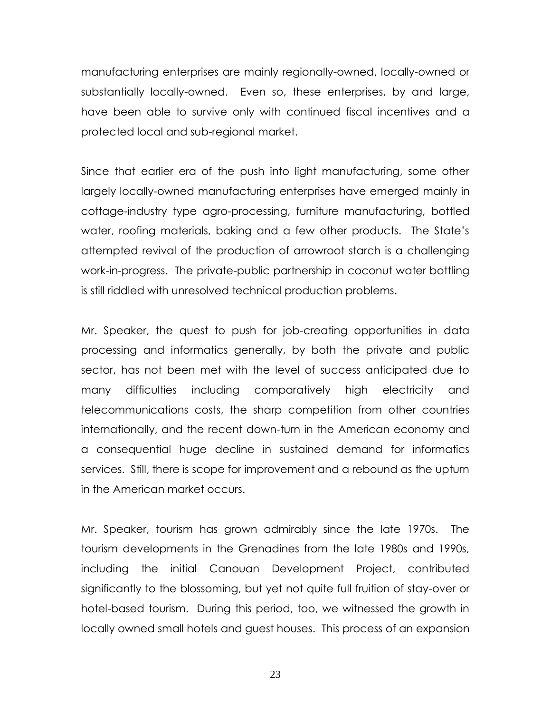manufacturing enterprises are mainly regionally-owned, locally-owned or substantially locally-owned. Even so, these enterprises, by and large, have been able to survive only with continued fiscal incentives and a protected local and sub-regional market.

Since that earlier era of the push into light manufacturing, some other largely locally-owned manufacturing enterprises have emerged mainly in cottage-industry type agro-processing, furniture manufacturing, bottled water, roofing materials, baking and a few other products. The State's attempted revival of the production of arrowroot starch is a challenging work-in-progress. The private-public partnership in coconut water bottling is still riddled with unresolved technical production problems.

Mr. Speaker, the quest to push for job-creating opportunities in data processing and informatics generally, by both the private and public sector, has not been met with the level of success anticipated due to many difficulties including comparatively high electricity and telecommunications costs, the sharp competition from other countries internationally, and the recent down-turn in the American economy and a consequential huge decline in sustained demand for informatics services. Still, there is scope for improvement and a rebound as the upturn in the American market occurs.

Mr. Speaker, tourism has grown admirably since the late 1970s. The tourism developments in the Grenadines from the late 1980s and 1990s, including the initial Canouan Development Project, contributed significantly to the blossoming, but yet not quite full fruition of stay-over or hotel-based tourism. During this period, too, we witnessed the growth in locally owned small hotels and guest houses. This process of an expansion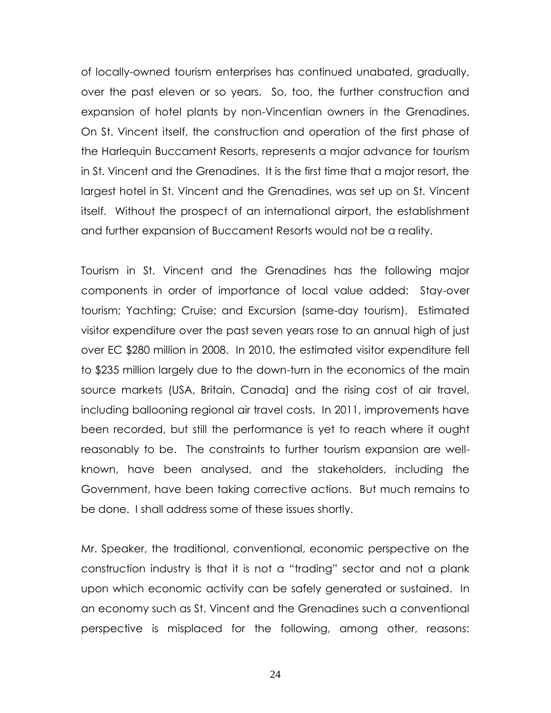of locally-owned tourism enterprises has continued unabated, gradually, over the past eleven or so years. So, too, the further construction and expansion of hotel plants by non-Vincentian owners in the Grenadines. On St. Vincent itself, the construction and operation of the first phase of the Harlequin Buccament Resorts, represents a major advance for tourism in St. Vincent and the Grenadines. It is the first time that a major resort, the largest hotel in St. Vincent and the Grenadines, was set up on St. Vincent itself. Without the prospect of an international airport, the establishment and further expansion of Buccament Resorts would not be a reality.

Tourism in St. Vincent and the Grenadines has the following major components in order of importance of local value added: Stay-over tourism; Yachting; Cruise; and Excursion (same-day tourism). Estimated visitor expenditure over the past seven years rose to an annual high of just over EC \$280 million in 2008. In 2010, the estimated visitor expenditure fell to \$235 million largely due to the down-turn in the economics of the main source markets (USA, Britain, Canada) and the rising cost of air travel, including ballooning regional air travel costs. In 2011, improvements have been recorded, but still the performance is yet to reach where it ought reasonably to be. The constraints to further tourism expansion are wellknown, have been analysed, and the stakeholders, including the Government, have been taking corrective actions. But much remains to be done. I shall address some of these issues shortly.

Mr. Speaker, the traditional, conventional, economic perspective on the construction industry is that it is not a "trading" sector and not a plank upon which economic activity can be safely generated or sustained. In an economy such as St. Vincent and the Grenadines such a conventional perspective is misplaced for the following, among other, reasons: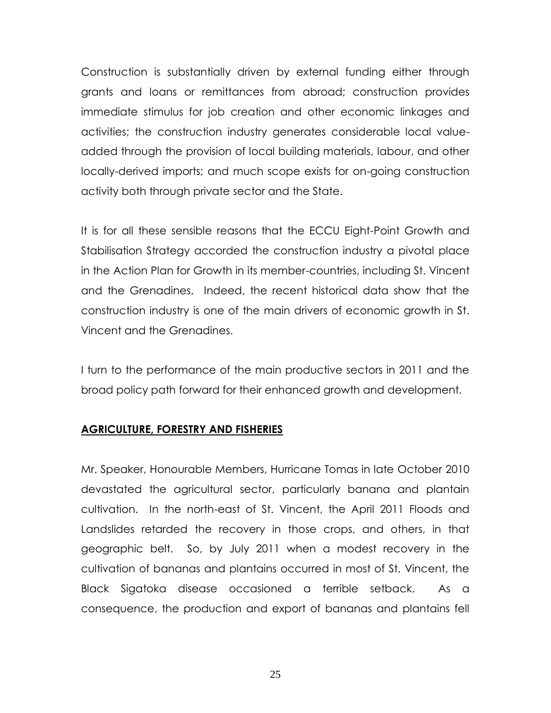Construction is substantially driven by external funding either through grants and loans or remittances from abroad; construction provides immediate stimulus for job creation and other economic linkages and activities; the construction industry generates considerable local valueadded through the provision of local building materials, labour, and other locally-derived imports; and much scope exists for on-going construction activity both through private sector and the State.

It is for all these sensible reasons that the ECCU Eight-Point Growth and Stabilisation Strategy accorded the construction industry a pivotal place in the Action Plan for Growth in its member-countries, including St. Vincent and the Grenadines. Indeed, the recent historical data show that the construction industry is one of the main drivers of economic growth in St. Vincent and the Grenadines.

I turn to the performance of the main productive sectors in 2011 and the broad policy path forward for their enhanced growth and development.

# **AGRICULTURE, FORESTRY AND FISHERIES**

Mr. Speaker, Honourable Members, Hurricane Tomas in late October 2010 devastated the agricultural sector, particularly banana and plantain cultivation. In the north-east of St. Vincent, the April 2011 Floods and Landslides retarded the recovery in those crops, and others, in that geographic belt. So, by July 2011 when a modest recovery in the cultivation of bananas and plantains occurred in most of St. Vincent, the Black Sigatoka disease occasioned a terrible setback. As a consequence, the production and export of bananas and plantains fell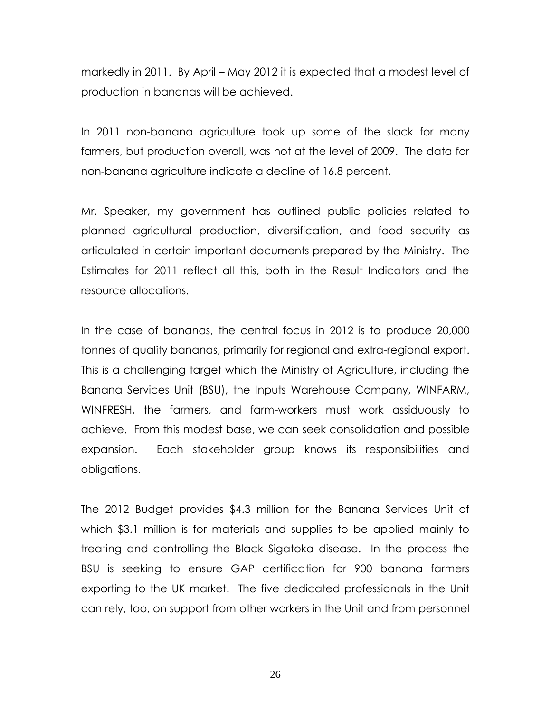markedly in 2011. By April – May 2012 it is expected that a modest level of production in bananas will be achieved.

In 2011 non-banana agriculture took up some of the slack for many farmers, but production overall, was not at the level of 2009. The data for non-banana agriculture indicate a decline of 16.8 percent.

Mr. Speaker, my government has outlined public policies related to planned agricultural production, diversification, and food security as articulated in certain important documents prepared by the Ministry. The Estimates for 2011 reflect all this, both in the Result Indicators and the resource allocations.

In the case of bananas, the central focus in 2012 is to produce 20,000 tonnes of quality bananas, primarily for regional and extra-regional export. This is a challenging target which the Ministry of Agriculture, including the Banana Services Unit (BSU), the Inputs Warehouse Company, WINFARM, WINFRESH, the farmers, and farm-workers must work assiduously to achieve. From this modest base, we can seek consolidation and possible expansion. Each stakeholder group knows its responsibilities and obligations.

The 2012 Budget provides \$4.3 million for the Banana Services Unit of which \$3.1 million is for materials and supplies to be applied mainly to treating and controlling the Black Sigatoka disease. In the process the BSU is seeking to ensure GAP certification for 900 banana farmers exporting to the UK market. The five dedicated professionals in the Unit can rely, too, on support from other workers in the Unit and from personnel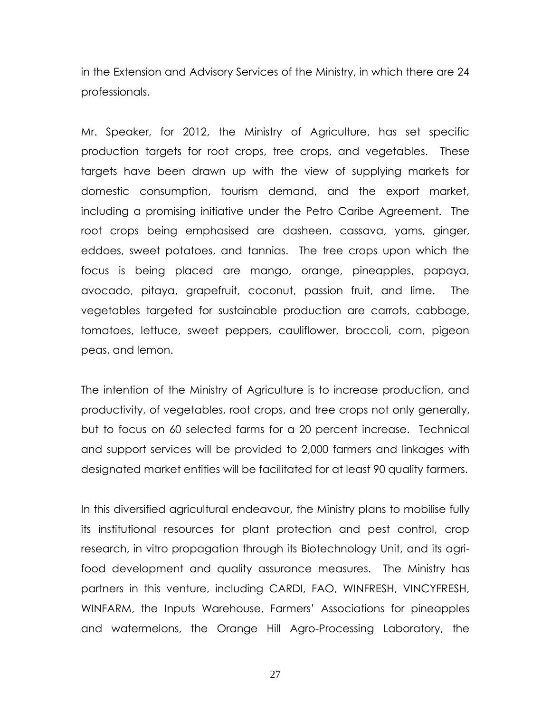in the Extension and Advisory Services of the Ministry, in which there are 24 professionals.

Mr. Speaker, for 2012, the Ministry of Agriculture, has set specific production targets for root crops, tree crops, and vegetables. These targets have been drawn up with the view of supplying markets for domestic consumption, tourism demand, and the export market, including a promising initiative under the Petro Caribe Agreement. The root crops being emphasised are dasheen, cassava, yams, ginger, eddoes, sweet potatoes, and tannias. The tree crops upon which the focus is being placed are mango, orange, pineapples, papaya, avocado, pitaya, grapefruit, coconut, passion fruit, and lime. The vegetables targeted for sustainable production are carrots, cabbage, tomatoes, lettuce, sweet peppers, cauliflower, broccoli, corn, pigeon peas, and lemon.

The intention of the Ministry of Agriculture is to increase production, and productivity, of vegetables, root crops, and tree crops not only generally, but to focus on 60 selected farms for a 20 percent increase. Technical and support services will be provided to 2,000 farmers and linkages with designated market entities will be facilitated for at least 90 quality farmers.

In this diversified agricultural endeavour, the Ministry plans to mobilise fully its institutional resources for plant protection and pest control, crop research, in vitro propagation through its Biotechnology Unit, and its agrifood development and quality assurance measures. The Ministry has partners in this venture, including CARDI, FAO, WINFRESH, VINCYFRESH, WINFARM, the Inputs Warehouse, Farmers' Associations for pineapples and watermelons, the Orange Hill Agro-Processing Laboratory, the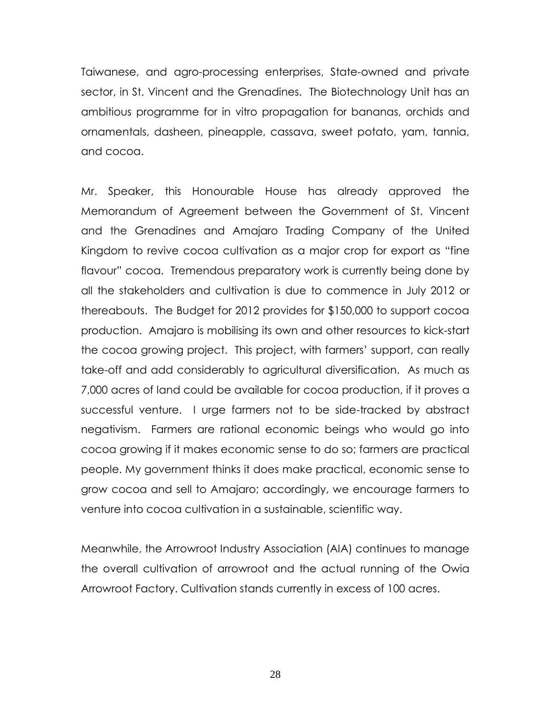Taiwanese, and agro-processing enterprises, State-owned and private sector, in St. Vincent and the Grenadines. The Biotechnology Unit has an ambitious programme for in vitro propagation for bananas, orchids and ornamentals, dasheen, pineapple, cassava, sweet potato, yam, tannia, and cocoa.

Mr. Speaker, this Honourable House has already approved the Memorandum of Agreement between the Government of St. Vincent and the Grenadines and Amajaro Trading Company of the United Kingdom to revive cocoa cultivation as a major crop for export as "fine flavour" cocoa. Tremendous preparatory work is currently being done by all the stakeholders and cultivation is due to commence in July 2012 or thereabouts. The Budget for 2012 provides for \$150,000 to support cocoa production. Amajaro is mobilising its own and other resources to kick-start the cocoa growing project. This project, with farmers' support, can really take-off and add considerably to agricultural diversification. As much as 7,000 acres of land could be available for cocoa production, if it proves a successful venture. I urge farmers not to be side-tracked by abstract negativism. Farmers are rational economic beings who would go into cocoa growing if it makes economic sense to do so; farmers are practical people. My government thinks it does make practical, economic sense to grow cocoa and sell to Amajaro; accordingly, we encourage farmers to venture into cocoa cultivation in a sustainable, scientific way.

Meanwhile, the Arrowroot Industry Association (AIA) continues to manage the overall cultivation of arrowroot and the actual running of the Owia Arrowroot Factory. Cultivation stands currently in excess of 100 acres.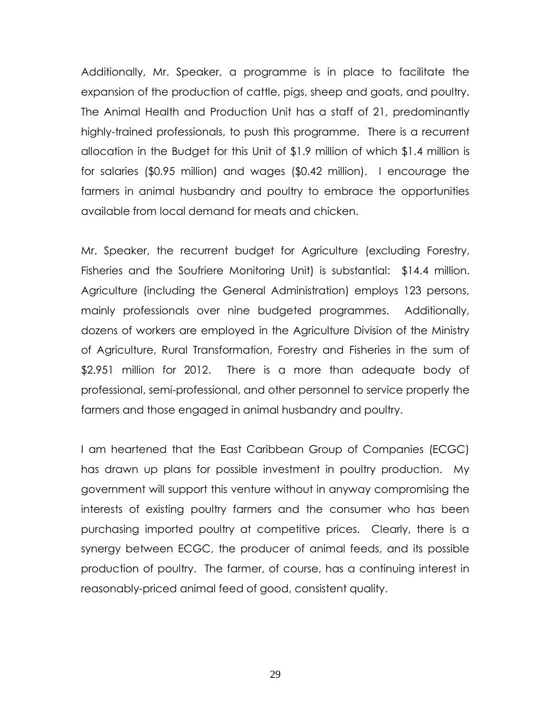Additionally, Mr. Speaker, a programme is in place to facilitate the expansion of the production of cattle, pigs, sheep and goats, and poultry. The Animal Health and Production Unit has a staff of 21, predominantly highly-trained professionals, to push this programme. There is a recurrent allocation in the Budget for this Unit of \$1.9 million of which \$1.4 million is for salaries (\$0.95 million) and wages (\$0.42 million). I encourage the farmers in animal husbandry and poultry to embrace the opportunities available from local demand for meats and chicken.

Mr. Speaker, the recurrent budget for Agriculture (excluding Forestry, Fisheries and the Soufriere Monitoring Unit) is substantial: \$14.4 million. Agriculture (including the General Administration) employs 123 persons, mainly professionals over nine budgeted programmes. Additionally, dozens of workers are employed in the Agriculture Division of the Ministry of Agriculture, Rural Transformation, Forestry and Fisheries in the sum of \$2.951 million for 2012. There is a more than adequate body of professional, semi-professional, and other personnel to service properly the farmers and those engaged in animal husbandry and poultry.

I am heartened that the East Caribbean Group of Companies (ECGC) has drawn up plans for possible investment in poultry production. My government will support this venture without in anyway compromising the interests of existing poultry farmers and the consumer who has been purchasing imported poultry at competitive prices. Clearly, there is a synergy between ECGC, the producer of animal feeds, and its possible production of poultry. The farmer, of course, has a continuing interest in reasonably-priced animal feed of good, consistent quality.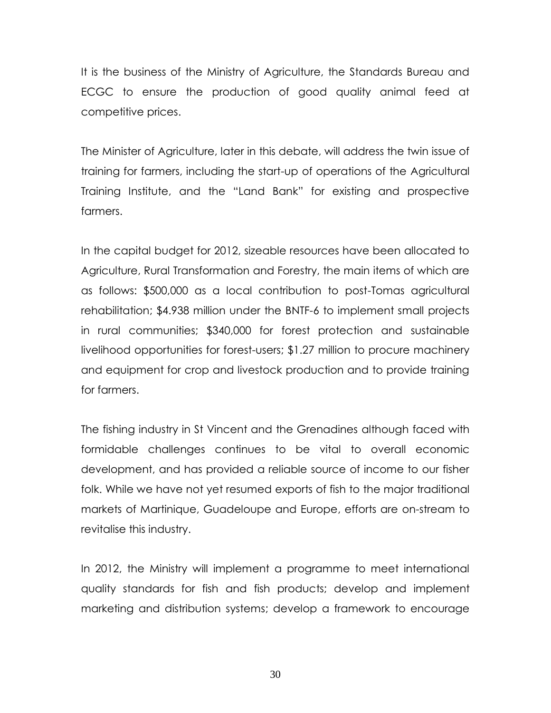It is the business of the Ministry of Agriculture, the Standards Bureau and ECGC to ensure the production of good quality animal feed at competitive prices.

The Minister of Agriculture, later in this debate, will address the twin issue of training for farmers, including the start-up of operations of the Agricultural Training Institute, and the "Land Bank" for existing and prospective farmers.

In the capital budget for 2012, sizeable resources have been allocated to Agriculture, Rural Transformation and Forestry, the main items of which are as follows: \$500,000 as a local contribution to post-Tomas agricultural rehabilitation; \$4.938 million under the BNTF-6 to implement small projects in rural communities; \$340,000 for forest protection and sustainable livelihood opportunities for forest-users; \$1.27 million to procure machinery and equipment for crop and livestock production and to provide training for farmers.

The fishing industry in St Vincent and the Grenadines although faced with formidable challenges continues to be vital to overall economic development, and has provided a reliable source of income to our fisher folk. While we have not yet resumed exports of fish to the major traditional markets of Martinique, Guadeloupe and Europe, efforts are on-stream to revitalise this industry.

In 2012, the Ministry will implement a programme to meet international quality standards for fish and fish products; develop and implement marketing and distribution systems; develop a framework to encourage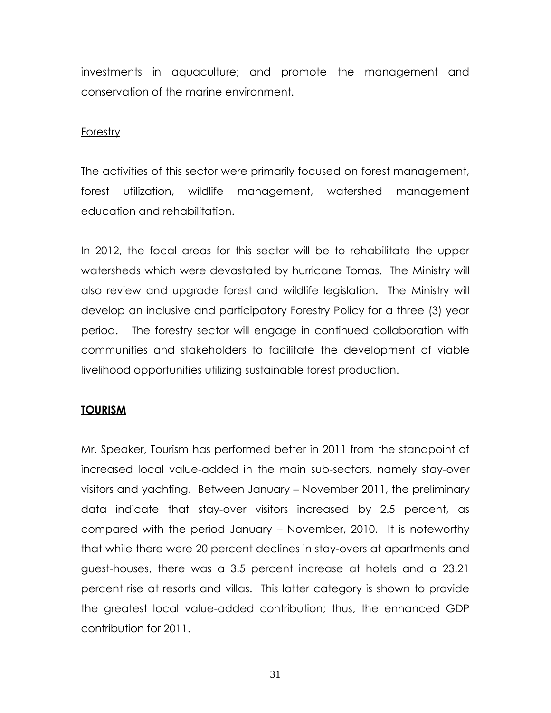investments in aquaculture; and promote the management and conservation of the marine environment.

#### Forestry

The activities of this sector were primarily focused on forest management, forest utilization, wildlife management, watershed management education and rehabilitation.

In 2012, the focal areas for this sector will be to rehabilitate the upper watersheds which were devastated by hurricane Tomas. The Ministry will also review and upgrade forest and wildlife legislation. The Ministry will develop an inclusive and participatory Forestry Policy for a three (3) year period. The forestry sector will engage in continued collaboration with communities and stakeholders to facilitate the development of viable livelihood opportunities utilizing sustainable forest production.

### **TOURISM**

Mr. Speaker, Tourism has performed better in 2011 from the standpoint of increased local value-added in the main sub-sectors, namely stay-over visitors and yachting. Between January – November 2011, the preliminary data indicate that stay-over visitors increased by 2.5 percent, as compared with the period January – November, 2010. It is noteworthy that while there were 20 percent declines in stay-overs at apartments and guest-houses, there was a 3.5 percent increase at hotels and a 23.21 percent rise at resorts and villas. This latter category is shown to provide the greatest local value-added contribution; thus, the enhanced GDP contribution for 2011.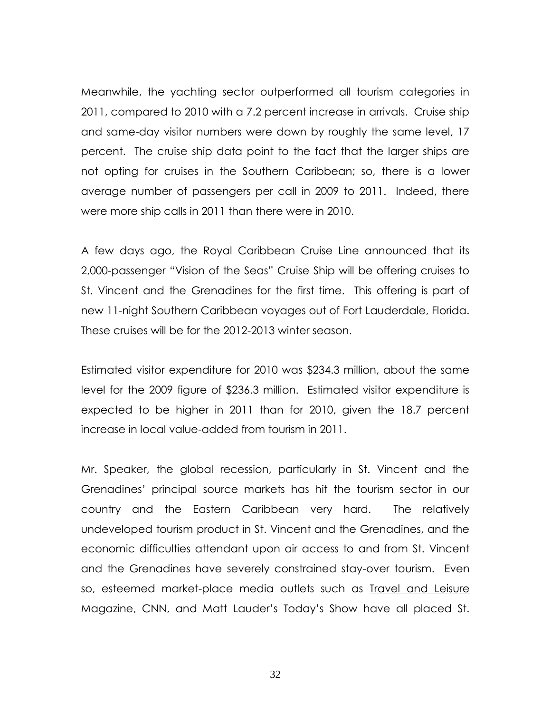Meanwhile, the yachting sector outperformed all tourism categories in 2011, compared to 2010 with a 7.2 percent increase in arrivals. Cruise ship and same-day visitor numbers were down by roughly the same level, 17 percent. The cruise ship data point to the fact that the larger ships are not opting for cruises in the Southern Caribbean; so, there is a lower average number of passengers per call in 2009 to 2011. Indeed, there were more ship calls in 2011 than there were in 2010.

A few days ago, the Royal Caribbean Cruise Line announced that its 2,000-passenger "Vision of the Seas" Cruise Ship will be offering cruises to St. Vincent and the Grenadines for the first time. This offering is part of new 11-night Southern Caribbean voyages out of Fort Lauderdale, Florida. These cruises will be for the 2012-2013 winter season.

Estimated visitor expenditure for 2010 was \$234.3 million, about the same level for the 2009 figure of \$236.3 million. Estimated visitor expenditure is expected to be higher in 2011 than for 2010, given the 18.7 percent increase in local value-added from tourism in 2011.

Mr. Speaker, the global recession, particularly in St. Vincent and the Grenadines' principal source markets has hit the tourism sector in our country and the Eastern Caribbean very hard. The relatively undeveloped tourism product in St. Vincent and the Grenadines, and the economic difficulties attendant upon air access to and from St. Vincent and the Grenadines have severely constrained stay-over tourism. Even so, esteemed market-place media outlets such as Travel and Leisure Magazine, CNN, and Matt Lauder's Today's Show have all placed St.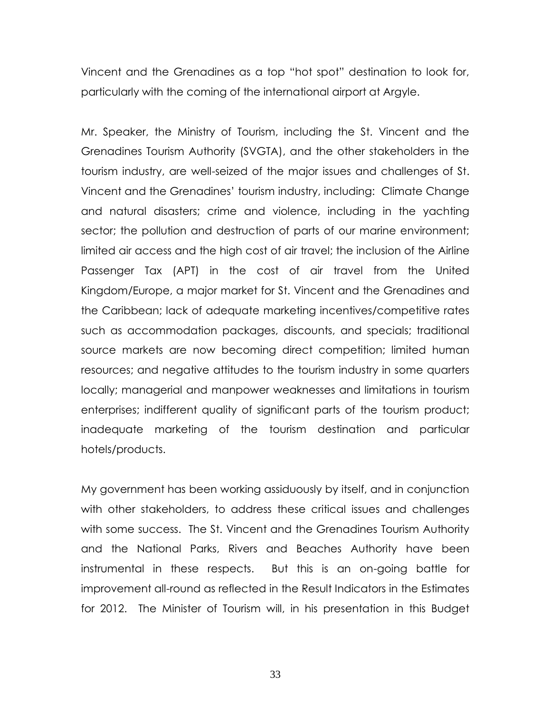Vincent and the Grenadines as a top "hot spot" destination to look for, particularly with the coming of the international airport at Argyle.

Mr. Speaker, the Ministry of Tourism, including the St. Vincent and the Grenadines Tourism Authority (SVGTA), and the other stakeholders in the tourism industry, are well-seized of the major issues and challenges of St. Vincent and the Grenadines' tourism industry, including: Climate Change and natural disasters; crime and violence, including in the yachting sector; the pollution and destruction of parts of our marine environment; limited air access and the high cost of air travel; the inclusion of the Airline Passenger Tax (APT) in the cost of air travel from the United Kingdom/Europe, a major market for St. Vincent and the Grenadines and the Caribbean; lack of adequate marketing incentives/competitive rates such as accommodation packages, discounts, and specials; traditional source markets are now becoming direct competition; limited human resources; and negative attitudes to the tourism industry in some quarters locally; managerial and manpower weaknesses and limitations in tourism enterprises; indifferent quality of significant parts of the tourism product; inadequate marketing of the tourism destination and particular hotels/products.

My government has been working assiduously by itself, and in conjunction with other stakeholders, to address these critical issues and challenges with some success. The St. Vincent and the Grenadines Tourism Authority and the National Parks, Rivers and Beaches Authority have been instrumental in these respects. But this is an on-going battle for improvement all-round as reflected in the Result Indicators in the Estimates for 2012. The Minister of Tourism will, in his presentation in this Budget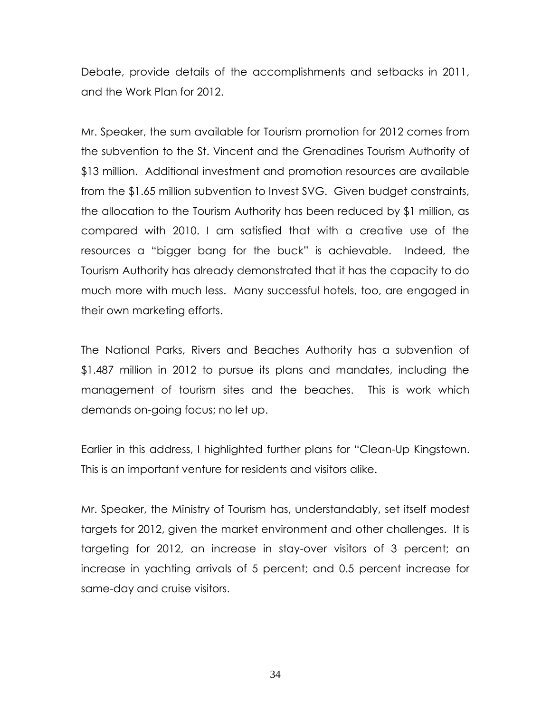Debate, provide details of the accomplishments and setbacks in 2011, and the Work Plan for 2012.

Mr. Speaker, the sum available for Tourism promotion for 2012 comes from the subvention to the St. Vincent and the Grenadines Tourism Authority of \$13 million. Additional investment and promotion resources are available from the \$1.65 million subvention to Invest SVG. Given budget constraints, the allocation to the Tourism Authority has been reduced by \$1 million, as compared with 2010. I am satisfied that with a creative use of the resources a "bigger bang for the buck" is achievable. Indeed, the Tourism Authority has already demonstrated that it has the capacity to do much more with much less. Many successful hotels, too, are engaged in their own marketing efforts.

The National Parks, Rivers and Beaches Authority has a subvention of \$1.487 million in 2012 to pursue its plans and mandates, including the management of tourism sites and the beaches. This is work which demands on-going focus; no let up.

Earlier in this address, I highlighted further plans for "Clean-Up Kingstown. This is an important venture for residents and visitors alike.

Mr. Speaker, the Ministry of Tourism has, understandably, set itself modest targets for 2012, given the market environment and other challenges. It is targeting for 2012, an increase in stay-over visitors of 3 percent; an increase in yachting arrivals of 5 percent; and 0.5 percent increase for same-day and cruise visitors.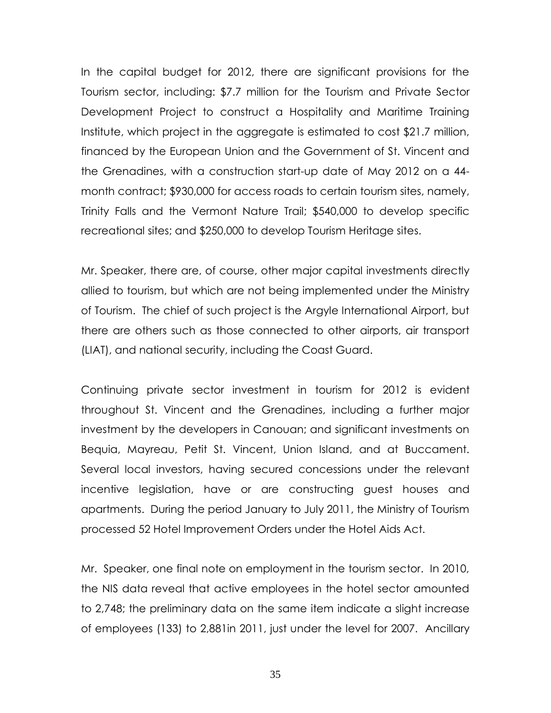In the capital budget for 2012, there are significant provisions for the Tourism sector, including: \$7.7 million for the Tourism and Private Sector Development Project to construct a Hospitality and Maritime Training Institute, which project in the aggregate is estimated to cost \$21.7 million, financed by the European Union and the Government of St. Vincent and the Grenadines, with a construction start-up date of May 2012 on a 44 month contract; \$930,000 for access roads to certain tourism sites, namely, Trinity Falls and the Vermont Nature Trail; \$540,000 to develop specific recreational sites; and \$250,000 to develop Tourism Heritage sites.

Mr. Speaker, there are, of course, other major capital investments directly allied to tourism, but which are not being implemented under the Ministry of Tourism. The chief of such project is the Argyle International Airport, but there are others such as those connected to other airports, air transport (LIAT), and national security, including the Coast Guard.

Continuing private sector investment in tourism for 2012 is evident throughout St. Vincent and the Grenadines, including a further major investment by the developers in Canouan; and significant investments on Bequia, Mayreau, Petit St. Vincent, Union Island, and at Buccament. Several local investors, having secured concessions under the relevant incentive legislation, have or are constructing guest houses and apartments. During the period January to July 2011, the Ministry of Tourism processed 52 Hotel Improvement Orders under the Hotel Aids Act.

Mr. Speaker, one final note on employment in the tourism sector. In 2010, the NIS data reveal that active employees in the hotel sector amounted to 2,748; the preliminary data on the same item indicate a slight increase of employees (133) to 2,881in 2011, just under the level for 2007. Ancillary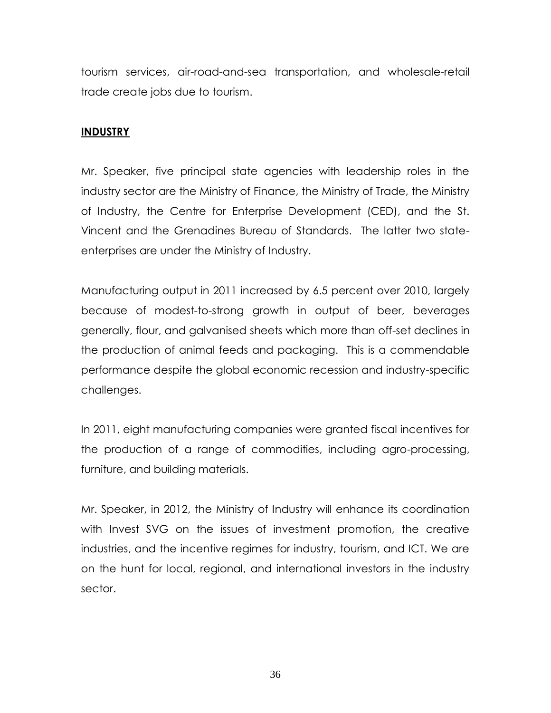tourism services, air-road-and-sea transportation, and wholesale-retail trade create jobs due to tourism.

# **INDUSTRY**

Mr. Speaker, five principal state agencies with leadership roles in the industry sector are the Ministry of Finance, the Ministry of Trade, the Ministry of Industry, the Centre for Enterprise Development (CED), and the St. Vincent and the Grenadines Bureau of Standards. The latter two stateenterprises are under the Ministry of Industry.

Manufacturing output in 2011 increased by 6.5 percent over 2010, largely because of modest-to-strong growth in output of beer, beverages generally, flour, and galvanised sheets which more than off-set declines in the production of animal feeds and packaging. This is a commendable performance despite the global economic recession and industry-specific challenges.

In 2011, eight manufacturing companies were granted fiscal incentives for the production of a range of commodities, including agro-processing, furniture, and building materials.

Mr. Speaker, in 2012, the Ministry of Industry will enhance its coordination with Invest SVG on the issues of investment promotion, the creative industries, and the incentive regimes for industry, tourism, and ICT. We are on the hunt for local, regional, and international investors in the industry sector.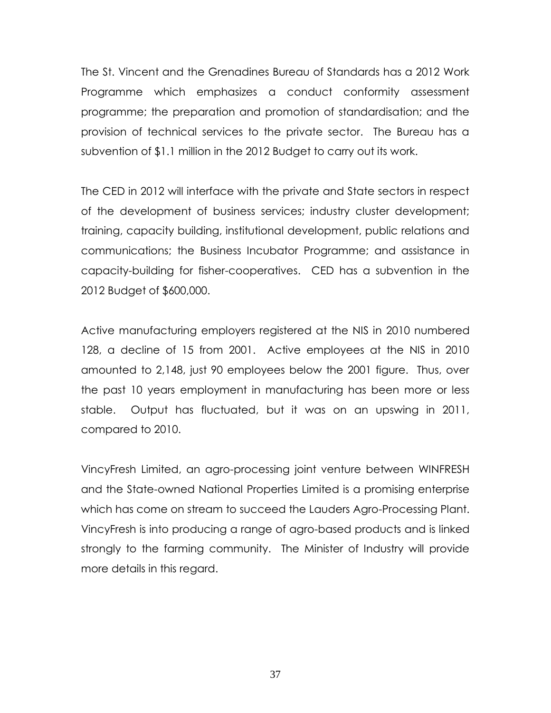The St. Vincent and the Grenadines Bureau of Standards has a 2012 Work Programme which emphasizes a conduct conformity assessment programme; the preparation and promotion of standardisation; and the provision of technical services to the private sector. The Bureau has a subvention of \$1.1 million in the 2012 Budget to carry out its work.

The CED in 2012 will interface with the private and State sectors in respect of the development of business services; industry cluster development; training, capacity building, institutional development, public relations and communications; the Business Incubator Programme; and assistance in capacity-building for fisher-cooperatives. CED has a subvention in the 2012 Budget of \$600,000.

Active manufacturing employers registered at the NIS in 2010 numbered 128, a decline of 15 from 2001. Active employees at the NIS in 2010 amounted to 2,148, just 90 employees below the 2001 figure. Thus, over the past 10 years employment in manufacturing has been more or less stable. Output has fluctuated, but it was on an upswing in 2011, compared to 2010.

VincyFresh Limited, an agro-processing joint venture between WINFRESH and the State-owned National Properties Limited is a promising enterprise which has come on stream to succeed the Lauders Agro-Processing Plant. VincyFresh is into producing a range of agro-based products and is linked strongly to the farming community. The Minister of Industry will provide more details in this regard.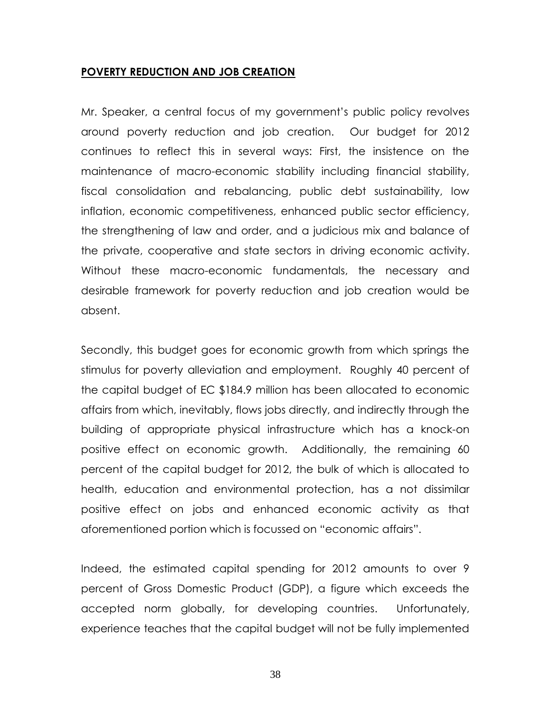#### **POVERTY REDUCTION AND JOB CREATION**

Mr. Speaker, a central focus of my government's public policy revolves around poverty reduction and job creation. Our budget for 2012 continues to reflect this in several ways: First, the insistence on the maintenance of macro-economic stability including financial stability, fiscal consolidation and rebalancing, public debt sustainability, low inflation, economic competitiveness, enhanced public sector efficiency, the strengthening of law and order, and a judicious mix and balance of the private, cooperative and state sectors in driving economic activity. Without these macro-economic fundamentals, the necessary and desirable framework for poverty reduction and job creation would be absent.

Secondly, this budget goes for economic growth from which springs the stimulus for poverty alleviation and employment. Roughly 40 percent of the capital budget of EC \$184.9 million has been allocated to economic affairs from which, inevitably, flows jobs directly, and indirectly through the building of appropriate physical infrastructure which has a knock-on positive effect on economic growth. Additionally, the remaining 60 percent of the capital budget for 2012, the bulk of which is allocated to health, education and environmental protection, has a not dissimilar positive effect on jobs and enhanced economic activity as that aforementioned portion which is focussed on "economic affairs".

Indeed, the estimated capital spending for 2012 amounts to over 9 percent of Gross Domestic Product (GDP), a figure which exceeds the accepted norm globally, for developing countries. Unfortunately, experience teaches that the capital budget will not be fully implemented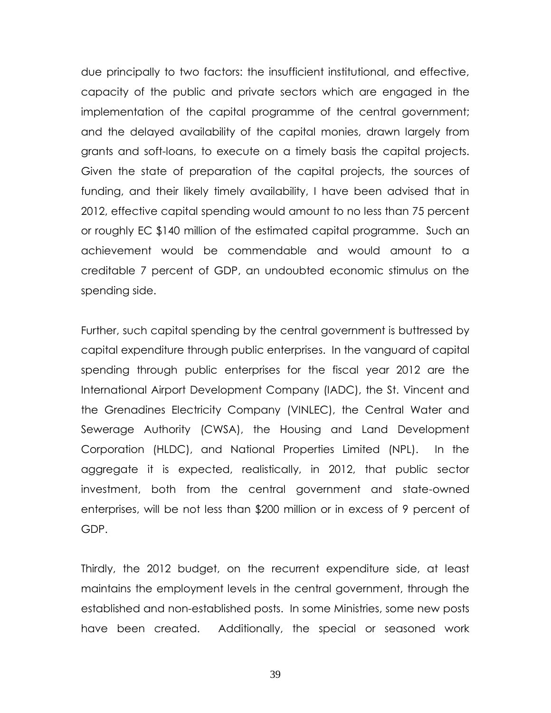due principally to two factors: the insufficient institutional, and effective, capacity of the public and private sectors which are engaged in the implementation of the capital programme of the central government; and the delayed availability of the capital monies, drawn largely from grants and soft-loans, to execute on a timely basis the capital projects. Given the state of preparation of the capital projects, the sources of funding, and their likely timely availability, I have been advised that in 2012, effective capital spending would amount to no less than 75 percent or roughly EC \$140 million of the estimated capital programme. Such an achievement would be commendable and would amount to a creditable 7 percent of GDP, an undoubted economic stimulus on the spending side.

Further, such capital spending by the central government is buttressed by capital expenditure through public enterprises. In the vanguard of capital spending through public enterprises for the fiscal year 2012 are the International Airport Development Company (IADC), the St. Vincent and the Grenadines Electricity Company (VINLEC), the Central Water and Sewerage Authority (CWSA), the Housing and Land Development Corporation (HLDC), and National Properties Limited (NPL). In the aggregate it is expected, realistically, in 2012, that public sector investment, both from the central government and state-owned enterprises, will be not less than \$200 million or in excess of 9 percent of GDP.

Thirdly, the 2012 budget, on the recurrent expenditure side, at least maintains the employment levels in the central government, through the established and non-established posts. In some Ministries, some new posts have been created. Additionally, the special or seasoned work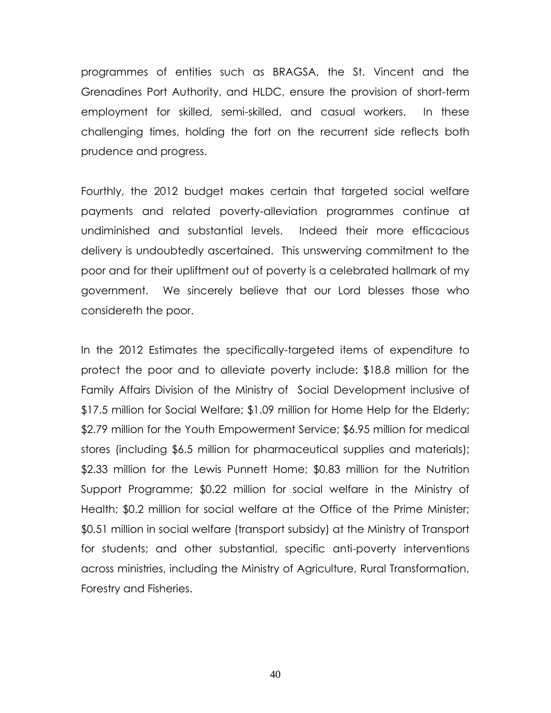programmes of entities such as BRAGSA, the St. Vincent and the Grenadines Port Authority, and HLDC, ensure the provision of short-term employment for skilled, semi-skilled, and casual workers. In these challenging times, holding the fort on the recurrent side reflects both prudence and progress.

Fourthly, the 2012 budget makes certain that targeted social welfare payments and related poverty-alleviation programmes continue at undiminished and substantial levels. Indeed their more efficacious delivery is undoubtedly ascertained. This unswerving commitment to the poor and for their upliftment out of poverty is a celebrated hallmark of my government. We sincerely believe that our Lord blesses those who considereth the poor.

In the 2012 Estimates the specifically-targeted items of expenditure to protect the poor and to alleviate poverty include: \$18.8 million for the Family Affairs Division of the Ministry of Social Development inclusive of \$17.5 million for Social Welfare; \$1.09 million for Home Help for the Elderly; \$2.79 million for the Youth Empowerment Service; \$6.95 million for medical stores (including \$6.5 million for pharmaceutical supplies and materials); \$2.33 million for the Lewis Punnett Home; \$0.83 million for the Nutrition Support Programme; \$0.22 million for social welfare in the Ministry of Health; \$0.2 million for social welfare at the Office of the Prime Minister; \$0.51 million in social welfare (transport subsidy) at the Ministry of Transport for students; and other substantial, specific anti-poverty interventions across ministries, including the Ministry of Agriculture, Rural Transformation, Forestry and Fisheries.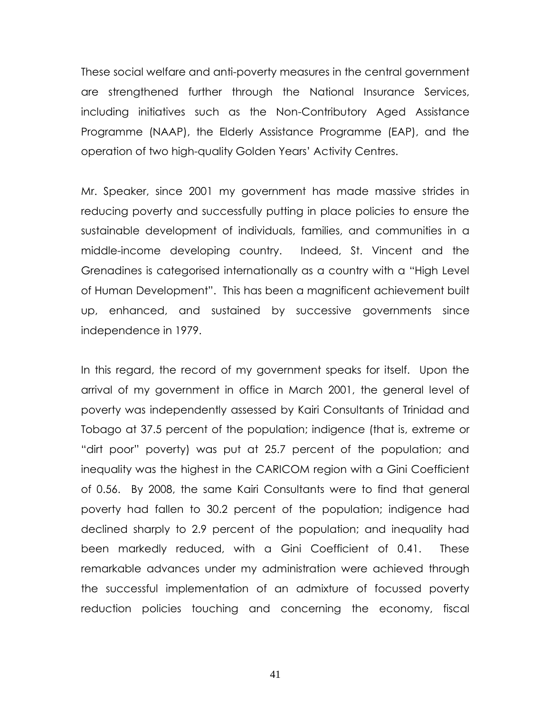These social welfare and anti-poverty measures in the central government are strengthened further through the National Insurance Services, including initiatives such as the Non-Contributory Aged Assistance Programme (NAAP), the Elderly Assistance Programme (EAP), and the operation of two high-quality Golden Years' Activity Centres.

Mr. Speaker, since 2001 my government has made massive strides in reducing poverty and successfully putting in place policies to ensure the sustainable development of individuals, families, and communities in a middle-income developing country. Indeed, St. Vincent and the Grenadines is categorised internationally as a country with a "High Level of Human Development". This has been a magnificent achievement built up, enhanced, and sustained by successive governments since independence in 1979.

In this regard, the record of my government speaks for itself. Upon the arrival of my government in office in March 2001, the general level of poverty was independently assessed by Kairi Consultants of Trinidad and Tobago at 37.5 percent of the population; indigence (that is, extreme or "dirt poor" poverty) was put at 25.7 percent of the population; and inequality was the highest in the CARICOM region with a Gini Coefficient of 0.56. By 2008, the same Kairi Consultants were to find that general poverty had fallen to 30.2 percent of the population; indigence had declined sharply to 2.9 percent of the population; and inequality had been markedly reduced, with a Gini Coefficient of 0.41. These remarkable advances under my administration were achieved through the successful implementation of an admixture of focussed poverty reduction policies touching and concerning the economy, fiscal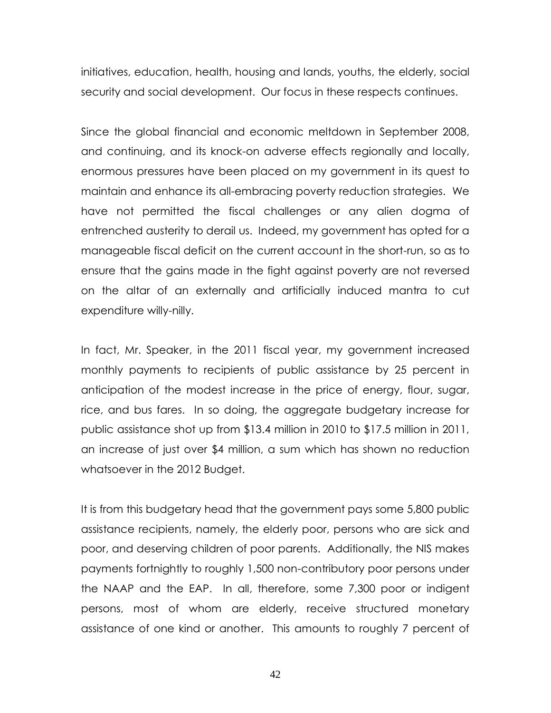initiatives, education, health, housing and lands, youths, the elderly, social security and social development. Our focus in these respects continues.

Since the global financial and economic meltdown in September 2008, and continuing, and its knock-on adverse effects regionally and locally, enormous pressures have been placed on my government in its quest to maintain and enhance its all-embracing poverty reduction strategies. We have not permitted the fiscal challenges or any alien dogma of entrenched austerity to derail us. Indeed, my government has opted for a manageable fiscal deficit on the current account in the short-run, so as to ensure that the gains made in the fight against poverty are not reversed on the altar of an externally and artificially induced mantra to cut expenditure willy-nilly.

In fact, Mr. Speaker, in the 2011 fiscal year, my government increased monthly payments to recipients of public assistance by 25 percent in anticipation of the modest increase in the price of energy, flour, sugar, rice, and bus fares. In so doing, the aggregate budgetary increase for public assistance shot up from \$13.4 million in 2010 to \$17.5 million in 2011, an increase of just over \$4 million, a sum which has shown no reduction whatsoever in the 2012 Budget.

It is from this budgetary head that the government pays some 5,800 public assistance recipients, namely, the elderly poor, persons who are sick and poor, and deserving children of poor parents. Additionally, the NIS makes payments fortnightly to roughly 1,500 non-contributory poor persons under the NAAP and the EAP. In all, therefore, some 7,300 poor or indigent persons, most of whom are elderly, receive structured monetary assistance of one kind or another. This amounts to roughly 7 percent of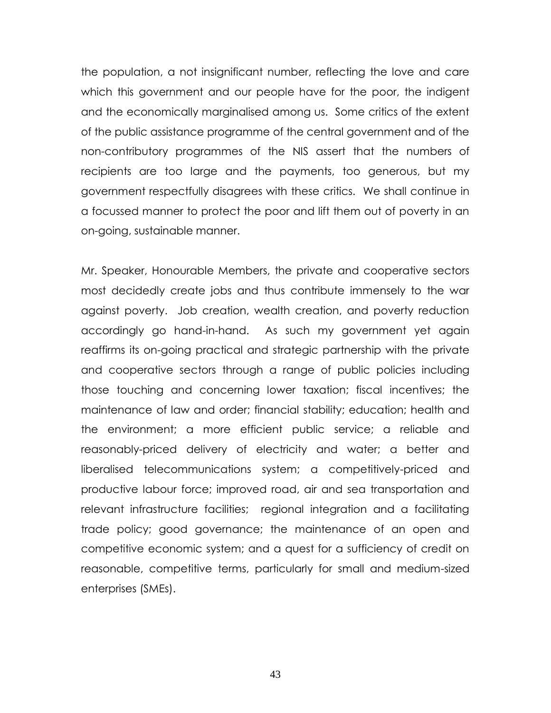the population, a not insignificant number, reflecting the love and care which this government and our people have for the poor, the indigent and the economically marginalised among us. Some critics of the extent of the public assistance programme of the central government and of the non-contributory programmes of the NIS assert that the numbers of recipients are too large and the payments, too generous, but my government respectfully disagrees with these critics. We shall continue in a focussed manner to protect the poor and lift them out of poverty in an on-going, sustainable manner.

Mr. Speaker, Honourable Members, the private and cooperative sectors most decidedly create jobs and thus contribute immensely to the war against poverty. Job creation, wealth creation, and poverty reduction accordingly go hand-in-hand. As such my government yet again reaffirms its on-going practical and strategic partnership with the private and cooperative sectors through a range of public policies including those touching and concerning lower taxation; fiscal incentives; the maintenance of law and order; financial stability; education; health and the environment; a more efficient public service; a reliable and reasonably-priced delivery of electricity and water; a better and liberalised telecommunications system; a competitively-priced and productive labour force; improved road, air and sea transportation and relevant infrastructure facilities; regional integration and a facilitating trade policy; good governance; the maintenance of an open and competitive economic system; and a quest for a sufficiency of credit on reasonable, competitive terms, particularly for small and medium-sized enterprises (SMEs).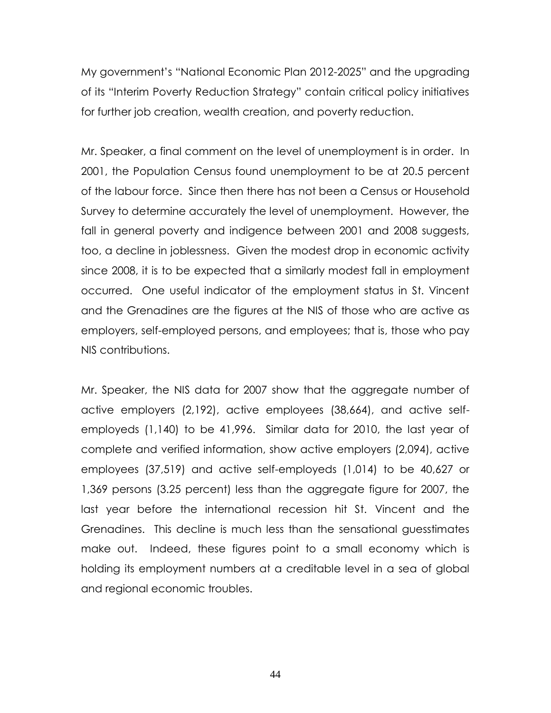My government's "National Economic Plan 2012-2025" and the upgrading of its "Interim Poverty Reduction Strategy" contain critical policy initiatives for further job creation, wealth creation, and poverty reduction.

Mr. Speaker, a final comment on the level of unemployment is in order. In 2001, the Population Census found unemployment to be at 20.5 percent of the labour force. Since then there has not been a Census or Household Survey to determine accurately the level of unemployment. However, the fall in general poverty and indigence between 2001 and 2008 suggests, too, a decline in joblessness. Given the modest drop in economic activity since 2008, it is to be expected that a similarly modest fall in employment occurred. One useful indicator of the employment status in St. Vincent and the Grenadines are the figures at the NIS of those who are active as employers, self-employed persons, and employees; that is, those who pay NIS contributions.

Mr. Speaker, the NIS data for 2007 show that the aggregate number of active employers (2,192), active employees (38,664), and active selfemployeds (1,140) to be 41,996. Similar data for 2010, the last year of complete and verified information, show active employers (2,094), active employees (37,519) and active self-employeds (1,014) to be 40,627 or 1,369 persons (3.25 percent) less than the aggregate figure for 2007, the last year before the international recession hit St. Vincent and the Grenadines. This decline is much less than the sensational guesstimates make out. Indeed, these figures point to a small economy which is holding its employment numbers at a creditable level in a sea of global and regional economic troubles.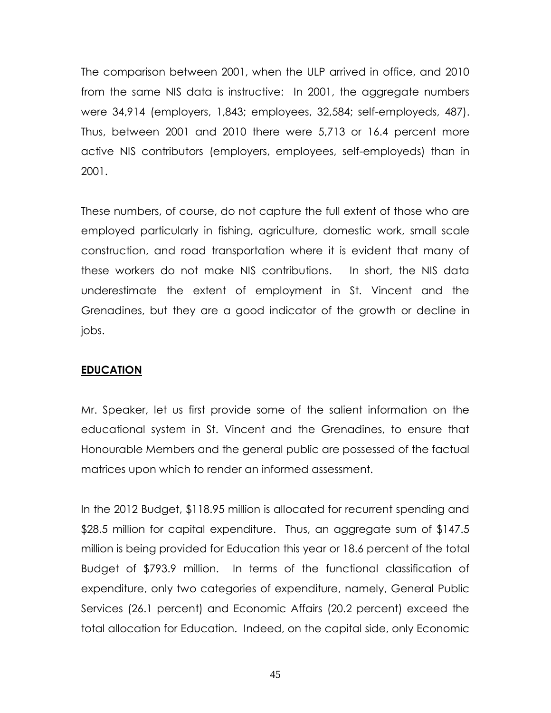The comparison between 2001, when the ULP arrived in office, and 2010 from the same NIS data is instructive: In 2001, the aggregate numbers were 34,914 (employers, 1,843; employees, 32,584; self-employeds, 487). Thus, between 2001 and 2010 there were 5,713 or 16.4 percent more active NIS contributors (employers, employees, self-employeds) than in 2001.

These numbers, of course, do not capture the full extent of those who are employed particularly in fishing, agriculture, domestic work, small scale construction, and road transportation where it is evident that many of these workers do not make NIS contributions. In short, the NIS data underestimate the extent of employment in St. Vincent and the Grenadines, but they are a good indicator of the growth or decline in jobs.

# **EDUCATION**

Mr. Speaker, let us first provide some of the salient information on the educational system in St. Vincent and the Grenadines, to ensure that Honourable Members and the general public are possessed of the factual matrices upon which to render an informed assessment.

In the 2012 Budget, \$118.95 million is allocated for recurrent spending and \$28.5 million for capital expenditure. Thus, an aggregate sum of \$147.5 million is being provided for Education this year or 18.6 percent of the total Budget of \$793.9 million. In terms of the functional classification of expenditure, only two categories of expenditure, namely, General Public Services (26.1 percent) and Economic Affairs (20.2 percent) exceed the total allocation for Education. Indeed, on the capital side, only Economic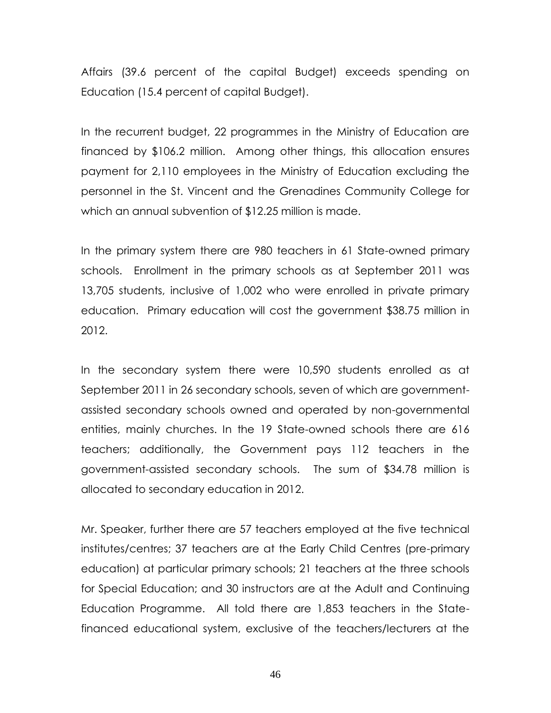Affairs (39.6 percent of the capital Budget) exceeds spending on Education (15.4 percent of capital Budget).

In the recurrent budget, 22 programmes in the Ministry of Education are financed by \$106.2 million. Among other things, this allocation ensures payment for 2,110 employees in the Ministry of Education excluding the personnel in the St. Vincent and the Grenadines Community College for which an annual subvention of \$12.25 million is made.

In the primary system there are 980 teachers in 61 State-owned primary schools. Enrollment in the primary schools as at September 2011 was 13,705 students, inclusive of 1,002 who were enrolled in private primary education. Primary education will cost the government \$38.75 million in 2012.

In the secondary system there were 10,590 students enrolled as at September 2011 in 26 secondary schools, seven of which are governmentassisted secondary schools owned and operated by non-governmental entities, mainly churches. In the 19 State-owned schools there are 616 teachers; additionally, the Government pays 112 teachers in the government-assisted secondary schools. The sum of \$34.78 million is allocated to secondary education in 2012.

Mr. Speaker, further there are 57 teachers employed at the five technical institutes/centres; 37 teachers are at the Early Child Centres (pre-primary education) at particular primary schools; 21 teachers at the three schools for Special Education; and 30 instructors are at the Adult and Continuing Education Programme. All told there are 1,853 teachers in the Statefinanced educational system, exclusive of the teachers/lecturers at the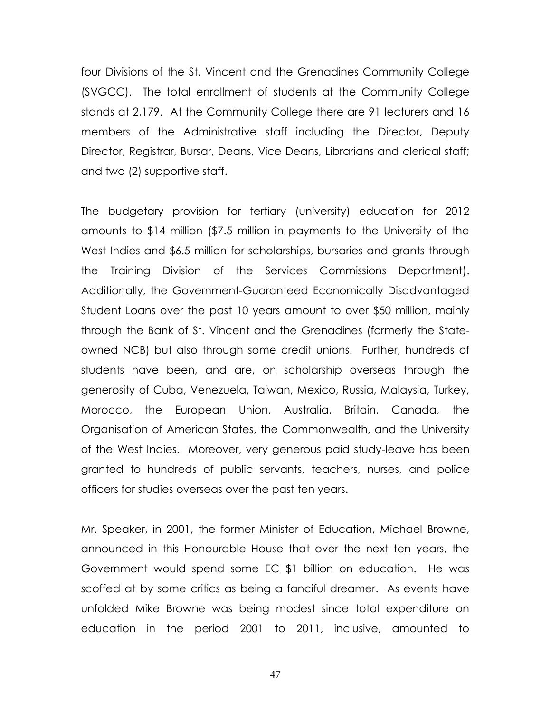four Divisions of the St. Vincent and the Grenadines Community College (SVGCC). The total enrollment of students at the Community College stands at 2,179. At the Community College there are 91 lecturers and 16 members of the Administrative staff including the Director, Deputy Director, Registrar, Bursar, Deans, Vice Deans, Librarians and clerical staff; and two (2) supportive staff.

The budgetary provision for tertiary (university) education for 2012 amounts to \$14 million (\$7.5 million in payments to the University of the West Indies and \$6.5 million for scholarships, bursaries and grants through the Training Division of the Services Commissions Department). Additionally, the Government-Guaranteed Economically Disadvantaged Student Loans over the past 10 years amount to over \$50 million, mainly through the Bank of St. Vincent and the Grenadines (formerly the Stateowned NCB) but also through some credit unions. Further, hundreds of students have been, and are, on scholarship overseas through the generosity of Cuba, Venezuela, Taiwan, Mexico, Russia, Malaysia, Turkey, Morocco, the European Union, Australia, Britain, Canada, the Organisation of American States, the Commonwealth, and the University of the West Indies. Moreover, very generous paid study-leave has been granted to hundreds of public servants, teachers, nurses, and police officers for studies overseas over the past ten years.

Mr. Speaker, in 2001, the former Minister of Education, Michael Browne, announced in this Honourable House that over the next ten years, the Government would spend some EC \$1 billion on education. He was scoffed at by some critics as being a fanciful dreamer. As events have unfolded Mike Browne was being modest since total expenditure on education in the period 2001 to 2011, inclusive, amounted to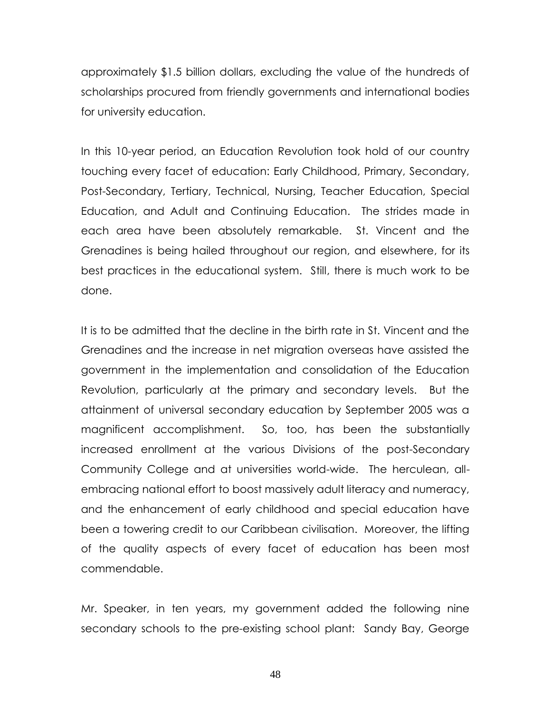approximately \$1.5 billion dollars, excluding the value of the hundreds of scholarships procured from friendly governments and international bodies for university education.

In this 10-year period, an Education Revolution took hold of our country touching every facet of education: Early Childhood, Primary, Secondary, Post-Secondary, Tertiary, Technical, Nursing, Teacher Education, Special Education, and Adult and Continuing Education. The strides made in each area have been absolutely remarkable. St. Vincent and the Grenadines is being hailed throughout our region, and elsewhere, for its best practices in the educational system. Still, there is much work to be done.

It is to be admitted that the decline in the birth rate in St. Vincent and the Grenadines and the increase in net migration overseas have assisted the government in the implementation and consolidation of the Education Revolution, particularly at the primary and secondary levels. But the attainment of universal secondary education by September 2005 was a magnificent accomplishment. So, too, has been the substantially increased enrollment at the various Divisions of the post-Secondary Community College and at universities world-wide. The herculean, allembracing national effort to boost massively adult literacy and numeracy, and the enhancement of early childhood and special education have been a towering credit to our Caribbean civilisation. Moreover, the lifting of the quality aspects of every facet of education has been most commendable.

Mr. Speaker, in ten years, my government added the following nine secondary schools to the pre-existing school plant: Sandy Bay, George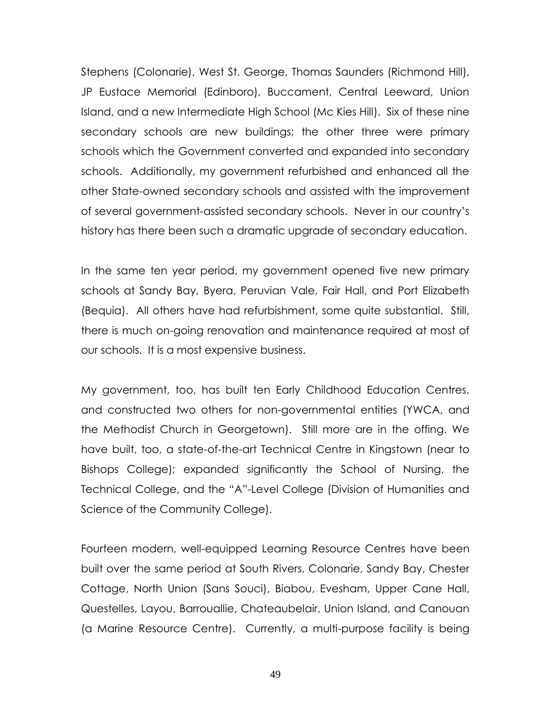Stephens (Colonarie), West St. George, Thomas Saunders (Richmond Hill), JP Eustace Memorial (Edinboro), Buccament, Central Leeward, Union Island, and a new Intermediate High School (Mc Kies Hill). Six of these nine secondary schools are new buildings; the other three were primary schools which the Government converted and expanded into secondary schools. Additionally, my government refurbished and enhanced all the other State-owned secondary schools and assisted with the improvement of several government-assisted secondary schools. Never in our country's history has there been such a dramatic upgrade of secondary education.

In the same ten year period, my government opened five new primary schools at Sandy Bay, Byera, Peruvian Vale, Fair Hall, and Port Elizabeth (Bequia). All others have had refurbishment, some quite substantial. Still, there is much on-going renovation and maintenance required at most of our schools. It is a most expensive business.

My government, too, has built ten Early Childhood Education Centres, and constructed two others for non-governmental entities (YWCA, and the Methodist Church in Georgetown). Still more are in the offing. We have built, too, a state-of-the-art Technical Centre in Kingstown (near to Bishops College); expanded significantly the School of Nursing, the Technical College, and the "A"-Level College (Division of Humanities and Science of the Community College).

Fourteen modern, well-equipped Learning Resource Centres have been built over the same period at South Rivers, Colonarie, Sandy Bay, Chester Cottage, North Union (Sans Souci), Biabou, Evesham, Upper Cane Hall, Questelles, Layou, Barrouallie, Chateaubelair, Union Island, and Canouan (a Marine Resource Centre). Currently, a multi-purpose facility is being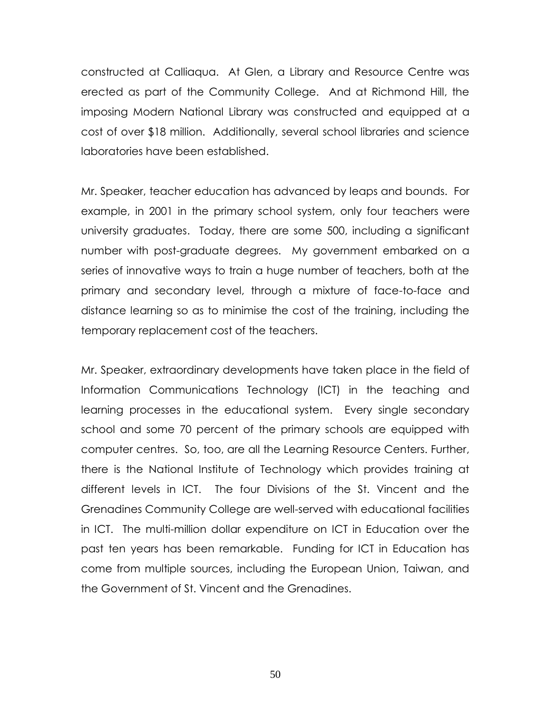constructed at Calliaqua. At Glen, a Library and Resource Centre was erected as part of the Community College. And at Richmond Hill, the imposing Modern National Library was constructed and equipped at a cost of over \$18 million. Additionally, several school libraries and science laboratories have been established.

Mr. Speaker, teacher education has advanced by leaps and bounds. For example, in 2001 in the primary school system, only four teachers were university graduates. Today, there are some 500, including a significant number with post-graduate degrees. My government embarked on a series of innovative ways to train a huge number of teachers, both at the primary and secondary level, through a mixture of face-to-face and distance learning so as to minimise the cost of the training, including the temporary replacement cost of the teachers.

Mr. Speaker, extraordinary developments have taken place in the field of Information Communications Technology (ICT) in the teaching and learning processes in the educational system. Every single secondary school and some 70 percent of the primary schools are equipped with computer centres. So, too, are all the Learning Resource Centers. Further, there is the National Institute of Technology which provides training at different levels in ICT. The four Divisions of the St. Vincent and the Grenadines Community College are well-served with educational facilities in ICT. The multi-million dollar expenditure on ICT in Education over the past ten years has been remarkable. Funding for ICT in Education has come from multiple sources, including the European Union, Taiwan, and the Government of St. Vincent and the Grenadines.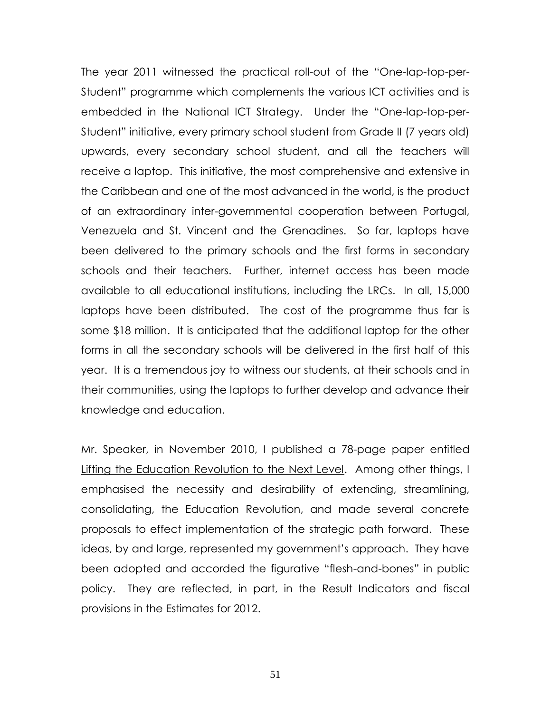The year 2011 witnessed the practical roll-out of the "One-lap-top-per-Student" programme which complements the various ICT activities and is embedded in the National ICT Strategy. Under the "One-lap-top-per-Student‖ initiative, every primary school student from Grade II (7 years old) upwards, every secondary school student, and all the teachers will receive a laptop. This initiative, the most comprehensive and extensive in the Caribbean and one of the most advanced in the world, is the product of an extraordinary inter-governmental cooperation between Portugal, Venezuela and St. Vincent and the Grenadines. So far, laptops have been delivered to the primary schools and the first forms in secondary schools and their teachers. Further, internet access has been made available to all educational institutions, including the LRCs. In all, 15,000 laptops have been distributed. The cost of the programme thus far is some \$18 million. It is anticipated that the additional laptop for the other forms in all the secondary schools will be delivered in the first half of this year. It is a tremendous joy to witness our students, at their schools and in their communities, using the laptops to further develop and advance their knowledge and education.

Mr. Speaker, in November 2010, I published a 78-page paper entitled Lifting the Education Revolution to the Next Level. Among other things, I emphasised the necessity and desirability of extending, streamlining, consolidating, the Education Revolution, and made several concrete proposals to effect implementation of the strategic path forward. These ideas, by and large, represented my government's approach. They have been adopted and accorded the figurative "flesh-and-bones" in public policy. They are reflected, in part, in the Result Indicators and fiscal provisions in the Estimates for 2012.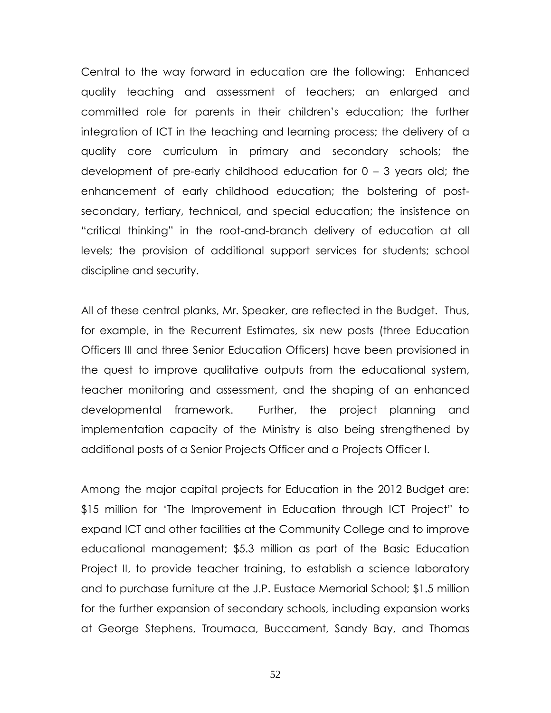Central to the way forward in education are the following: Enhanced quality teaching and assessment of teachers; an enlarged and committed role for parents in their children's education; the further integration of ICT in the teaching and learning process; the delivery of a quality core curriculum in primary and secondary schools; the development of pre-early childhood education for  $0 - 3$  years old; the enhancement of early childhood education; the bolstering of postsecondary, tertiary, technical, and special education; the insistence on "critical thinking" in the root-and-branch delivery of education at all levels; the provision of additional support services for students; school discipline and security.

All of these central planks, Mr. Speaker, are reflected in the Budget. Thus, for example, in the Recurrent Estimates, six new posts (three Education Officers III and three Senior Education Officers) have been provisioned in the quest to improve qualitative outputs from the educational system, teacher monitoring and assessment, and the shaping of an enhanced developmental framework. Further, the project planning and implementation capacity of the Ministry is also being strengthened by additional posts of a Senior Projects Officer and a Projects Officer I.

Among the major capital projects for Education in the 2012 Budget are: \$15 million for 'The Improvement in Education through ICT Project" to expand ICT and other facilities at the Community College and to improve educational management; \$5.3 million as part of the Basic Education Project II, to provide teacher training, to establish a science laboratory and to purchase furniture at the J.P. Eustace Memorial School; \$1.5 million for the further expansion of secondary schools, including expansion works at George Stephens, Troumaca, Buccament, Sandy Bay, and Thomas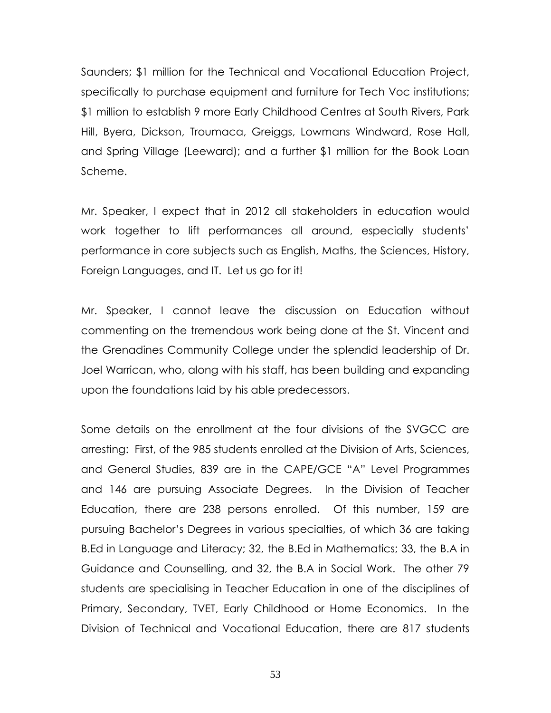Saunders; \$1 million for the Technical and Vocational Education Project, specifically to purchase equipment and furniture for Tech Voc institutions; \$1 million to establish 9 more Early Childhood Centres at South Rivers, Park Hill, Byera, Dickson, Troumaca, Greiggs, Lowmans Windward, Rose Hall, and Spring Village (Leeward); and a further \$1 million for the Book Loan Scheme.

Mr. Speaker, I expect that in 2012 all stakeholders in education would work together to lift performances all around, especially students' performance in core subjects such as English, Maths, the Sciences, History, Foreign Languages, and IT. Let us go for it!

Mr. Speaker, I cannot leave the discussion on Education without commenting on the tremendous work being done at the St. Vincent and the Grenadines Community College under the splendid leadership of Dr. Joel Warrican, who, along with his staff, has been building and expanding upon the foundations laid by his able predecessors.

Some details on the enrollment at the four divisions of the SVGCC are arresting: First, of the 985 students enrolled at the Division of Arts, Sciences, and General Studies, 839 are in the CAPE/GCE "A" Level Programmes and 146 are pursuing Associate Degrees. In the Division of Teacher Education, there are 238 persons enrolled. Of this number, 159 are pursuing Bachelor's Degrees in various specialties, of which 36 are taking B.Ed in Language and Literacy; 32, the B.Ed in Mathematics; 33, the B.A in Guidance and Counselling, and 32, the B.A in Social Work. The other 79 students are specialising in Teacher Education in one of the disciplines of Primary, Secondary, TVET, Early Childhood or Home Economics. In the Division of Technical and Vocational Education, there are 817 students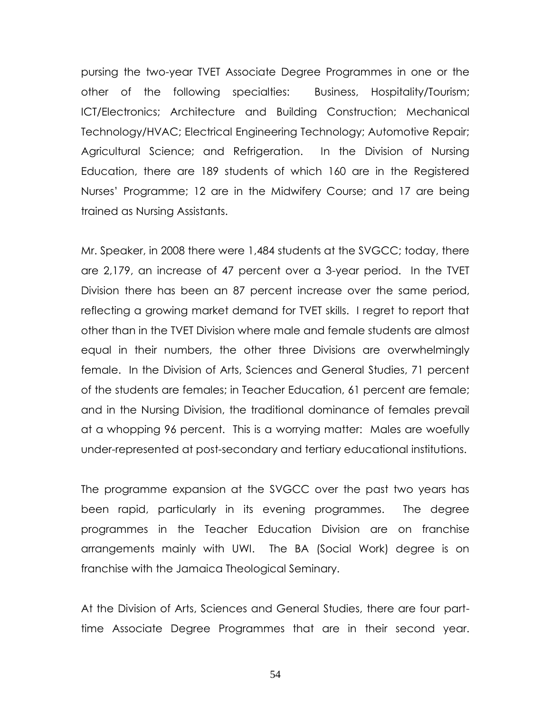pursing the two-year TVET Associate Degree Programmes in one or the other of the following specialties: Business, Hospitality/Tourism; ICT/Electronics; Architecture and Building Construction; Mechanical Technology/HVAC; Electrical Engineering Technology; Automotive Repair; Agricultural Science; and Refrigeration. In the Division of Nursing Education, there are 189 students of which 160 are in the Registered Nurses' Programme; 12 are in the Midwifery Course; and 17 are being trained as Nursing Assistants.

Mr. Speaker, in 2008 there were 1,484 students at the SVGCC; today, there are 2,179, an increase of 47 percent over a 3-year period. In the TVET Division there has been an 87 percent increase over the same period, reflecting a growing market demand for TVET skills. I regret to report that other than in the TVET Division where male and female students are almost equal in their numbers, the other three Divisions are overwhelmingly female. In the Division of Arts, Sciences and General Studies, 71 percent of the students are females; in Teacher Education, 61 percent are female; and in the Nursing Division, the traditional dominance of females prevail at a whopping 96 percent. This is a worrying matter: Males are woefully under-represented at post-secondary and tertiary educational institutions.

The programme expansion at the SVGCC over the past two years has been rapid, particularly in its evening programmes. The degree programmes in the Teacher Education Division are on franchise arrangements mainly with UWI. The BA (Social Work) degree is on franchise with the Jamaica Theological Seminary.

At the Division of Arts, Sciences and General Studies, there are four parttime Associate Degree Programmes that are in their second year.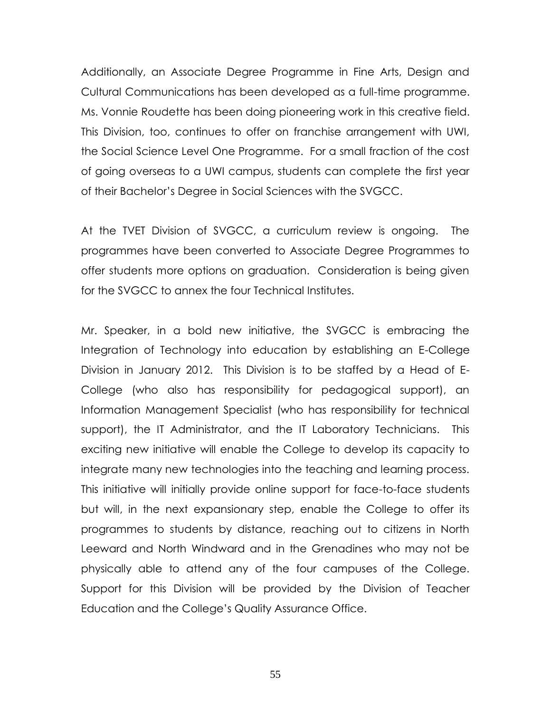Additionally, an Associate Degree Programme in Fine Arts, Design and Cultural Communications has been developed as a full-time programme. Ms. Vonnie Roudette has been doing pioneering work in this creative field. This Division, too, continues to offer on franchise arrangement with UWI, the Social Science Level One Programme. For a small fraction of the cost of going overseas to a UWI campus, students can complete the first year of their Bachelor's Degree in Social Sciences with the SVGCC.

At the TVET Division of SVGCC, a curriculum review is ongoing. The programmes have been converted to Associate Degree Programmes to offer students more options on graduation. Consideration is being given for the SVGCC to annex the four Technical Institutes.

Mr. Speaker, in a bold new initiative, the SVGCC is embracing the Integration of Technology into education by establishing an E-College Division in January 2012. This Division is to be staffed by a Head of E-College (who also has responsibility for pedagogical support), an Information Management Specialist (who has responsibility for technical support), the IT Administrator, and the IT Laboratory Technicians. This exciting new initiative will enable the College to develop its capacity to integrate many new technologies into the teaching and learning process. This initiative will initially provide online support for face-to-face students but will, in the next expansionary step, enable the College to offer its programmes to students by distance, reaching out to citizens in North Leeward and North Windward and in the Grenadines who may not be physically able to attend any of the four campuses of the College. Support for this Division will be provided by the Division of Teacher Education and the College's Quality Assurance Office.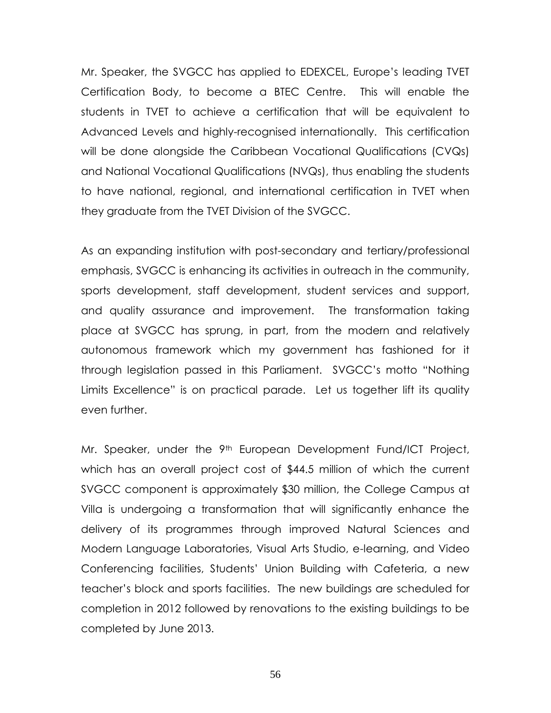Mr. Speaker, the SVGCC has applied to EDEXCEL, Europe's leading TVET Certification Body, to become a BTEC Centre. This will enable the students in TVET to achieve a certification that will be equivalent to Advanced Levels and highly-recognised internationally. This certification will be done alongside the Caribbean Vocational Qualifications (CVQs) and National Vocational Qualifications (NVQs), thus enabling the students to have national, regional, and international certification in TVET when they graduate from the TVET Division of the SVGCC.

As an expanding institution with post-secondary and tertiary/professional emphasis, SVGCC is enhancing its activities in outreach in the community, sports development, staff development, student services and support, and quality assurance and improvement. The transformation taking place at SVGCC has sprung, in part, from the modern and relatively autonomous framework which my government has fashioned for it through legislation passed in this Parliament. SVGCC's motto "Nothing Limits Excellence" is on practical parade. Let us together lift its quality even further.

Mr. Speaker, under the 9<sup>th</sup> European Development Fund/ICT Project, which has an overall project cost of \$44.5 million of which the current SVGCC component is approximately \$30 million, the College Campus at Villa is undergoing a transformation that will significantly enhance the delivery of its programmes through improved Natural Sciences and Modern Language Laboratories, Visual Arts Studio, e-learning, and Video Conferencing facilities, Students' Union Building with Cafeteria, a new teacher's block and sports facilities. The new buildings are scheduled for completion in 2012 followed by renovations to the existing buildings to be completed by June 2013.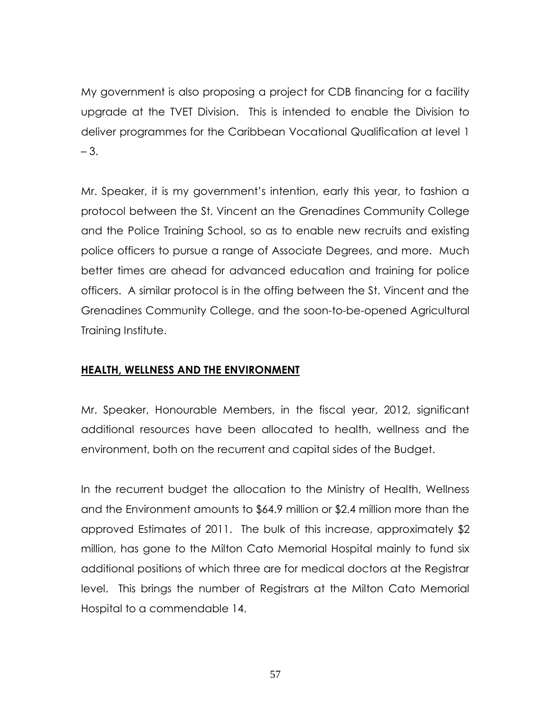My government is also proposing a project for CDB financing for a facility upgrade at the TVET Division. This is intended to enable the Division to deliver programmes for the Caribbean Vocational Qualification at level 1 – 3.

Mr. Speaker, it is my government's intention, early this year, to fashion a protocol between the St. Vincent an the Grenadines Community College and the Police Training School, so as to enable new recruits and existing police officers to pursue a range of Associate Degrees, and more. Much better times are ahead for advanced education and training for police officers. A similar protocol is in the offing between the St. Vincent and the Grenadines Community College, and the soon-to-be-opened Agricultural Training Institute.

# **HEALTH, WELLNESS AND THE ENVIRONMENT**

Mr. Speaker, Honourable Members, in the fiscal year, 2012, significant additional resources have been allocated to health, wellness and the environment, both on the recurrent and capital sides of the Budget.

In the recurrent budget the allocation to the Ministry of Health, Wellness and the Environment amounts to \$64.9 million or \$2.4 million more than the approved Estimates of 2011. The bulk of this increase, approximately \$2 million, has gone to the Milton Cato Memorial Hospital mainly to fund six additional positions of which three are for medical doctors at the Registrar level. This brings the number of Registrars at the Milton Cato Memorial Hospital to a commendable 14.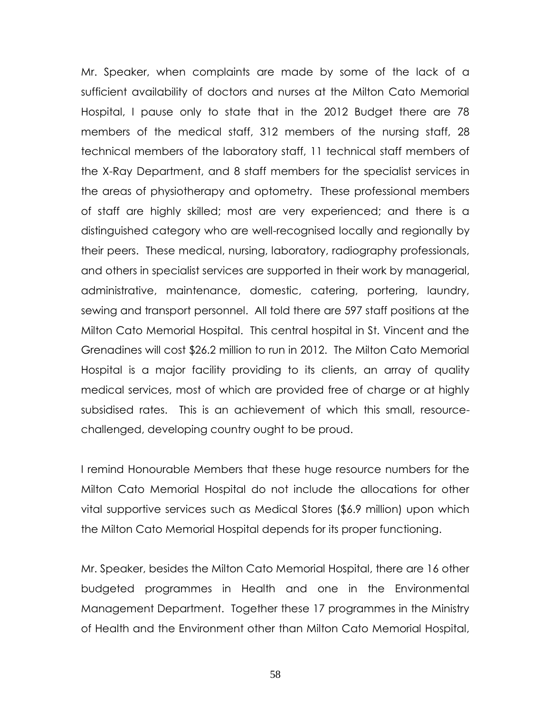Mr. Speaker, when complaints are made by some of the lack of a sufficient availability of doctors and nurses at the Milton Cato Memorial Hospital, I pause only to state that in the 2012 Budget there are 78 members of the medical staff, 312 members of the nursing staff, 28 technical members of the laboratory staff, 11 technical staff members of the X-Ray Department, and 8 staff members for the specialist services in the areas of physiotherapy and optometry. These professional members of staff are highly skilled; most are very experienced; and there is a distinguished category who are well-recognised locally and regionally by their peers. These medical, nursing, laboratory, radiography professionals, and others in specialist services are supported in their work by managerial, administrative, maintenance, domestic, catering, portering, laundry, sewing and transport personnel. All told there are 597 staff positions at the Milton Cato Memorial Hospital. This central hospital in St. Vincent and the Grenadines will cost \$26.2 million to run in 2012. The Milton Cato Memorial Hospital is a major facility providing to its clients, an array of quality medical services, most of which are provided free of charge or at highly subsidised rates. This is an achievement of which this small, resourcechallenged, developing country ought to be proud.

I remind Honourable Members that these huge resource numbers for the Milton Cato Memorial Hospital do not include the allocations for other vital supportive services such as Medical Stores (\$6.9 million) upon which the Milton Cato Memorial Hospital depends for its proper functioning.

Mr. Speaker, besides the Milton Cato Memorial Hospital, there are 16 other budgeted programmes in Health and one in the Environmental Management Department. Together these 17 programmes in the Ministry of Health and the Environment other than Milton Cato Memorial Hospital,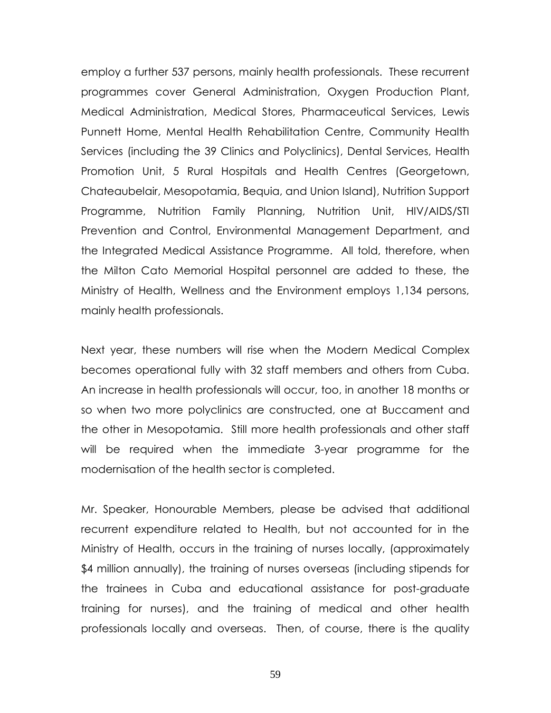employ a further 537 persons, mainly health professionals. These recurrent programmes cover General Administration, Oxygen Production Plant, Medical Administration, Medical Stores, Pharmaceutical Services, Lewis Punnett Home, Mental Health Rehabilitation Centre, Community Health Services (including the 39 Clinics and Polyclinics), Dental Services, Health Promotion Unit, 5 Rural Hospitals and Health Centres (Georgetown, Chateaubelair, Mesopotamia, Bequia, and Union Island), Nutrition Support Programme, Nutrition Family Planning, Nutrition Unit, HIV/AIDS/STI Prevention and Control, Environmental Management Department, and the Integrated Medical Assistance Programme. All told, therefore, when the Milton Cato Memorial Hospital personnel are added to these, the Ministry of Health, Wellness and the Environment employs 1,134 persons, mainly health professionals.

Next year, these numbers will rise when the Modern Medical Complex becomes operational fully with 32 staff members and others from Cuba. An increase in health professionals will occur, too, in another 18 months or so when two more polyclinics are constructed, one at Buccament and the other in Mesopotamia. Still more health professionals and other staff will be required when the immediate 3-year programme for the modernisation of the health sector is completed.

Mr. Speaker, Honourable Members, please be advised that additional recurrent expenditure related to Health, but not accounted for in the Ministry of Health, occurs in the training of nurses locally, (approximately \$4 million annually), the training of nurses overseas (including stipends for the trainees in Cuba and educational assistance for post-graduate training for nurses), and the training of medical and other health professionals locally and overseas. Then, of course, there is the quality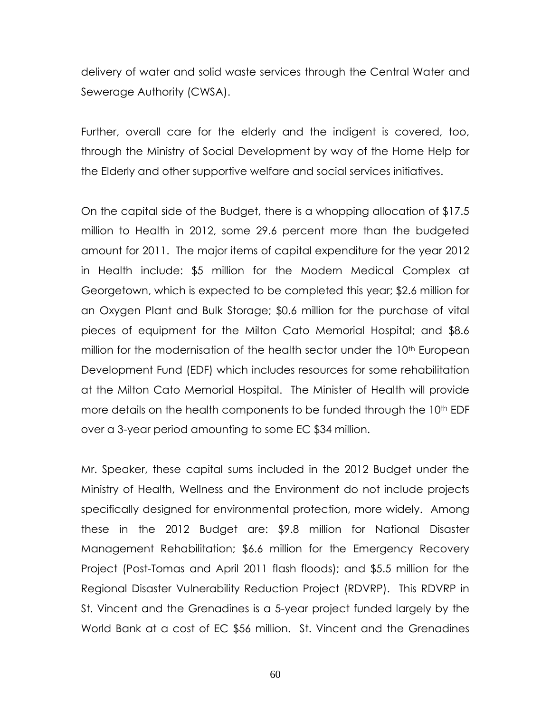delivery of water and solid waste services through the Central Water and Sewerage Authority (CWSA).

Further, overall care for the elderly and the indigent is covered, too, through the Ministry of Social Development by way of the Home Help for the Elderly and other supportive welfare and social services initiatives.

On the capital side of the Budget, there is a whopping allocation of \$17.5 million to Health in 2012, some 29.6 percent more than the budgeted amount for 2011. The major items of capital expenditure for the year 2012 in Health include: \$5 million for the Modern Medical Complex at Georgetown, which is expected to be completed this year; \$2.6 million for an Oxygen Plant and Bulk Storage; \$0.6 million for the purchase of vital pieces of equipment for the Milton Cato Memorial Hospital; and \$8.6 million for the modernisation of the health sector under the 10<sup>th</sup> European Development Fund (EDF) which includes resources for some rehabilitation at the Milton Cato Memorial Hospital. The Minister of Health will provide more details on the health components to be funded through the 10<sup>th</sup> EDF over a 3-year period amounting to some EC \$34 million.

Mr. Speaker, these capital sums included in the 2012 Budget under the Ministry of Health, Wellness and the Environment do not include projects specifically designed for environmental protection, more widely. Among these in the 2012 Budget are: \$9.8 million for National Disaster Management Rehabilitation; \$6.6 million for the Emergency Recovery Project (Post-Tomas and April 2011 flash floods); and \$5.5 million for the Regional Disaster Vulnerability Reduction Project (RDVRP). This RDVRP in St. Vincent and the Grenadines is a 5-year project funded largely by the World Bank at a cost of EC \$56 million. St. Vincent and the Grenadines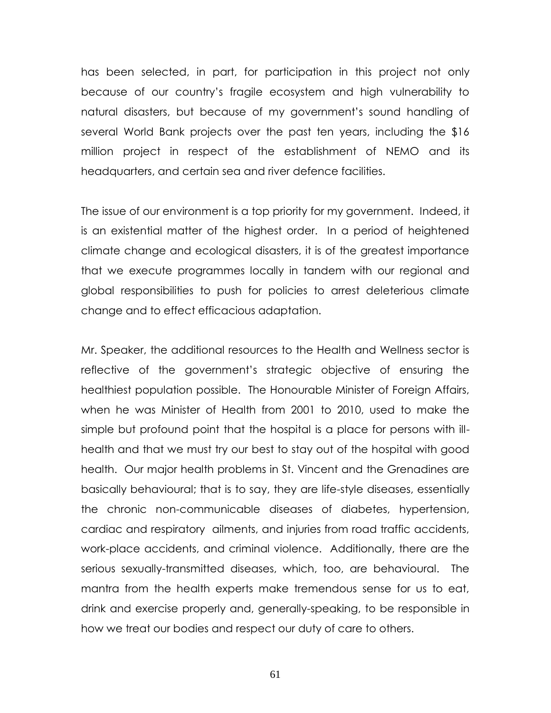has been selected, in part, for participation in this project not only because of our country's fragile ecosystem and high vulnerability to natural disasters, but because of my government's sound handling of several World Bank projects over the past ten years, including the \$16 million project in respect of the establishment of NEMO and its headquarters, and certain sea and river defence facilities.

The issue of our environment is a top priority for my government. Indeed, it is an existential matter of the highest order. In a period of heightened climate change and ecological disasters, it is of the greatest importance that we execute programmes locally in tandem with our regional and global responsibilities to push for policies to arrest deleterious climate change and to effect efficacious adaptation.

Mr. Speaker, the additional resources to the Health and Wellness sector is reflective of the government's strategic objective of ensuring the healthiest population possible. The Honourable Minister of Foreign Affairs, when he was Minister of Health from 2001 to 2010, used to make the simple but profound point that the hospital is a place for persons with illhealth and that we must try our best to stay out of the hospital with good health. Our major health problems in St. Vincent and the Grenadines are basically behavioural; that is to say, they are life-style diseases, essentially the chronic non-communicable diseases of diabetes, hypertension, cardiac and respiratory ailments, and injuries from road traffic accidents, work-place accidents, and criminal violence. Additionally, there are the serious sexually-transmitted diseases, which, too, are behavioural. The mantra from the health experts make tremendous sense for us to eat, drink and exercise properly and, generally-speaking, to be responsible in how we treat our bodies and respect our duty of care to others.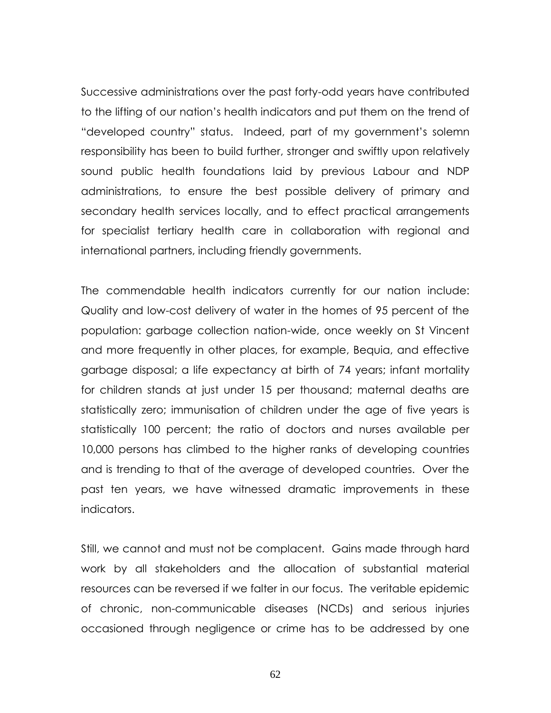Successive administrations over the past forty-odd years have contributed to the lifting of our nation's health indicators and put them on the trend of "developed country" status. Indeed, part of my government's solemn responsibility has been to build further, stronger and swiftly upon relatively sound public health foundations laid by previous Labour and NDP administrations, to ensure the best possible delivery of primary and secondary health services locally, and to effect practical arrangements for specialist tertiary health care in collaboration with regional and international partners, including friendly governments.

The commendable health indicators currently for our nation include: Quality and low-cost delivery of water in the homes of 95 percent of the population: garbage collection nation-wide, once weekly on St Vincent and more frequently in other places, for example, Bequia, and effective garbage disposal; a life expectancy at birth of 74 years; infant mortality for children stands at just under 15 per thousand; maternal deaths are statistically zero; immunisation of children under the age of five years is statistically 100 percent; the ratio of doctors and nurses available per 10,000 persons has climbed to the higher ranks of developing countries and is trending to that of the average of developed countries. Over the past ten years, we have witnessed dramatic improvements in these indicators.

Still, we cannot and must not be complacent. Gains made through hard work by all stakeholders and the allocation of substantial material resources can be reversed if we falter in our focus. The veritable epidemic of chronic, non-communicable diseases (NCDs) and serious injuries occasioned through negligence or crime has to be addressed by one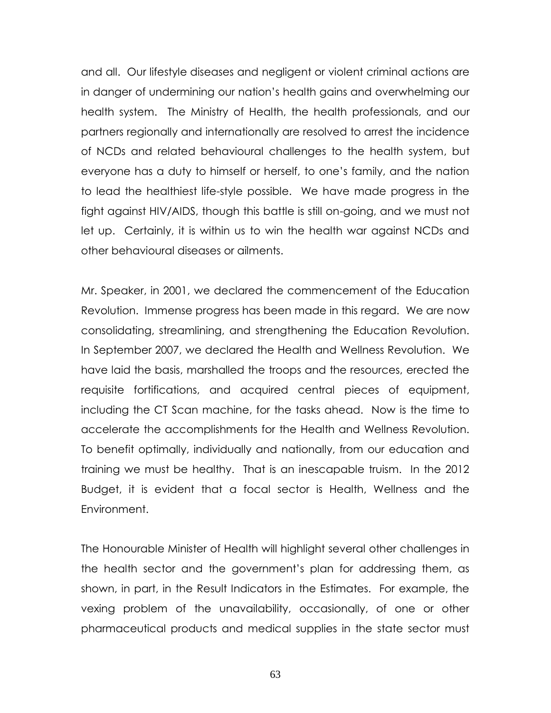and all. Our lifestyle diseases and negligent or violent criminal actions are in danger of undermining our nation's health gains and overwhelming our health system. The Ministry of Health, the health professionals, and our partners regionally and internationally are resolved to arrest the incidence of NCDs and related behavioural challenges to the health system, but everyone has a duty to himself or herself, to one's family, and the nation to lead the healthiest life-style possible. We have made progress in the fight against HIV/AIDS, though this battle is still on-going, and we must not let up. Certainly, it is within us to win the health war against NCDs and other behavioural diseases or ailments.

Mr. Speaker, in 2001, we declared the commencement of the Education Revolution. Immense progress has been made in this regard. We are now consolidating, streamlining, and strengthening the Education Revolution. In September 2007, we declared the Health and Wellness Revolution. We have laid the basis, marshalled the troops and the resources, erected the requisite fortifications, and acquired central pieces of equipment, including the CT Scan machine, for the tasks ahead. Now is the time to accelerate the accomplishments for the Health and Wellness Revolution. To benefit optimally, individually and nationally, from our education and training we must be healthy. That is an inescapable truism. In the 2012 Budget, it is evident that a focal sector is Health, Wellness and the Environment.

The Honourable Minister of Health will highlight several other challenges in the health sector and the government's plan for addressing them, as shown, in part, in the Result Indicators in the Estimates. For example, the vexing problem of the unavailability, occasionally, of one or other pharmaceutical products and medical supplies in the state sector must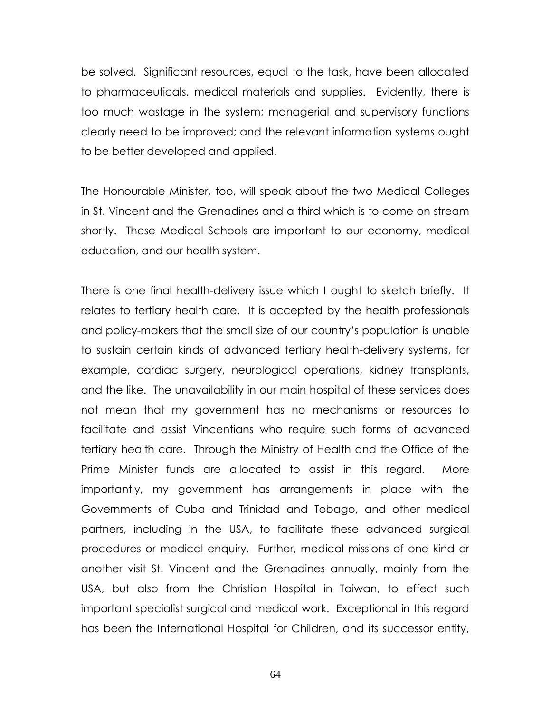be solved. Significant resources, equal to the task, have been allocated to pharmaceuticals, medical materials and supplies. Evidently, there is too much wastage in the system; managerial and supervisory functions clearly need to be improved; and the relevant information systems ought to be better developed and applied.

The Honourable Minister, too, will speak about the two Medical Colleges in St. Vincent and the Grenadines and a third which is to come on stream shortly. These Medical Schools are important to our economy, medical education, and our health system.

There is one final health-delivery issue which I ought to sketch briefly. It relates to tertiary health care. It is accepted by the health professionals and policy-makers that the small size of our country's population is unable to sustain certain kinds of advanced tertiary health-delivery systems, for example, cardiac surgery, neurological operations, kidney transplants, and the like. The unavailability in our main hospital of these services does not mean that my government has no mechanisms or resources to facilitate and assist Vincentians who require such forms of advanced tertiary health care. Through the Ministry of Health and the Office of the Prime Minister funds are allocated to assist in this regard. More importantly, my government has arrangements in place with the Governments of Cuba and Trinidad and Tobago, and other medical partners, including in the USA, to facilitate these advanced surgical procedures or medical enquiry. Further, medical missions of one kind or another visit St. Vincent and the Grenadines annually, mainly from the USA, but also from the Christian Hospital in Taiwan, to effect such important specialist surgical and medical work. Exceptional in this regard has been the International Hospital for Children, and its successor entity,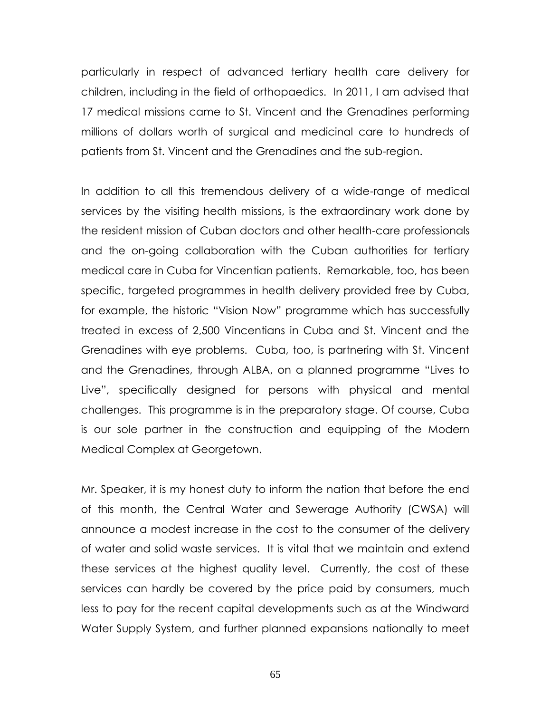particularly in respect of advanced tertiary health care delivery for children, including in the field of orthopaedics. In 2011, I am advised that 17 medical missions came to St. Vincent and the Grenadines performing millions of dollars worth of surgical and medicinal care to hundreds of patients from St. Vincent and the Grenadines and the sub-region.

In addition to all this tremendous delivery of a wide-range of medical services by the visiting health missions, is the extraordinary work done by the resident mission of Cuban doctors and other health-care professionals and the on-going collaboration with the Cuban authorities for tertiary medical care in Cuba for Vincentian patients. Remarkable, too, has been specific, targeted programmes in health delivery provided free by Cuba, for example, the historic "Vision Now" programme which has successfully treated in excess of 2,500 Vincentians in Cuba and St. Vincent and the Grenadines with eye problems. Cuba, too, is partnering with St. Vincent and the Grenadines, through ALBA, on a planned programme "Lives to Live‖, specifically designed for persons with physical and mental challenges. This programme is in the preparatory stage. Of course, Cuba is our sole partner in the construction and equipping of the Modern Medical Complex at Georgetown.

Mr. Speaker, it is my honest duty to inform the nation that before the end of this month, the Central Water and Sewerage Authority (CWSA) will announce a modest increase in the cost to the consumer of the delivery of water and solid waste services. It is vital that we maintain and extend these services at the highest quality level. Currently, the cost of these services can hardly be covered by the price paid by consumers, much less to pay for the recent capital developments such as at the Windward Water Supply System, and further planned expansions nationally to meet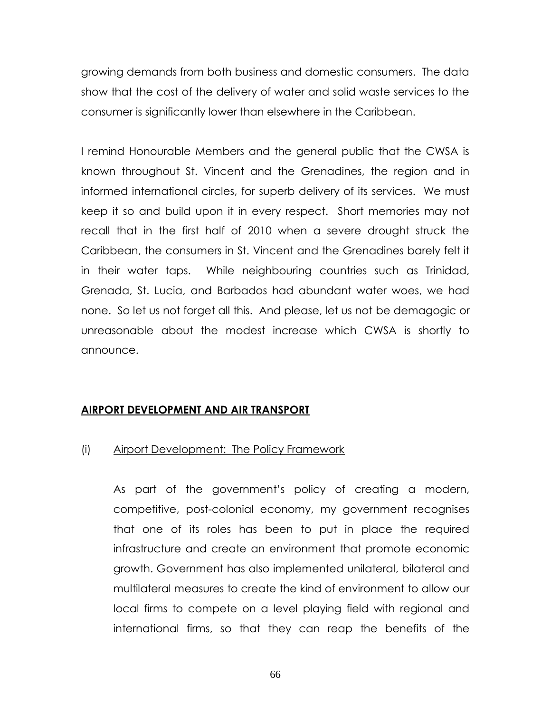growing demands from both business and domestic consumers. The data show that the cost of the delivery of water and solid waste services to the consumer is significantly lower than elsewhere in the Caribbean.

I remind Honourable Members and the general public that the CWSA is known throughout St. Vincent and the Grenadines, the region and in informed international circles, for superb delivery of its services. We must keep it so and build upon it in every respect. Short memories may not recall that in the first half of 2010 when a severe drought struck the Caribbean, the consumers in St. Vincent and the Grenadines barely felt it in their water taps. While neighbouring countries such as Trinidad, Grenada, St. Lucia, and Barbados had abundant water woes, we had none. So let us not forget all this. And please, let us not be demagogic or unreasonable about the modest increase which CWSA is shortly to announce.

## **AIRPORT DEVELOPMENT AND AIR TRANSPORT**

## (i) Airport Development: The Policy Framework

As part of the government's policy of creating a modern, competitive, post-colonial economy, my government recognises that one of its roles has been to put in place the required infrastructure and create an environment that promote economic growth. Government has also implemented unilateral, bilateral and multilateral measures to create the kind of environment to allow our local firms to compete on a level playing field with regional and international firms, so that they can reap the benefits of the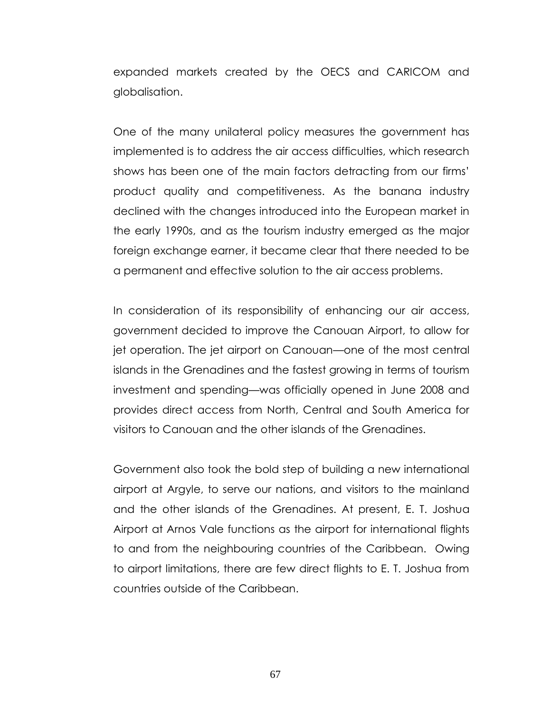expanded markets created by the OECS and CARICOM and globalisation.

One of the many unilateral policy measures the government has implemented is to address the air access difficulties, which research shows has been one of the main factors detracting from our firms' product quality and competitiveness. As the banana industry declined with the changes introduced into the European market in the early 1990s, and as the tourism industry emerged as the major foreign exchange earner, it became clear that there needed to be a permanent and effective solution to the air access problems.

In consideration of its responsibility of enhancing our air access, government decided to improve the Canouan Airport, to allow for jet operation. The jet airport on Canouan—one of the most central islands in the Grenadines and the fastest growing in terms of tourism investment and spending—was officially opened in June 2008 and provides direct access from North, Central and South America for visitors to Canouan and the other islands of the Grenadines.

Government also took the bold step of building a new international airport at Argyle, to serve our nations, and visitors to the mainland and the other islands of the Grenadines. At present, E. T. Joshua Airport at Arnos Vale functions as the airport for international flights to and from the neighbouring countries of the Caribbean. Owing to airport limitations, there are few direct flights to E. T. Joshua from countries outside of the Caribbean.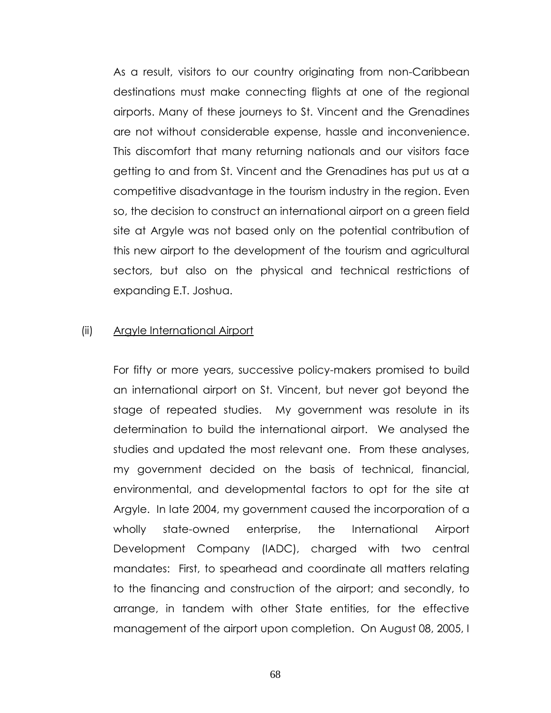As a result, visitors to our country originating from non-Caribbean destinations must make connecting flights at one of the regional airports. Many of these journeys to St. Vincent and the Grenadines are not without considerable expense, hassle and inconvenience. This discomfort that many returning nationals and our visitors face getting to and from St. Vincent and the Grenadines has put us at a competitive disadvantage in the tourism industry in the region. Even so, the decision to construct an international airport on a green field site at Argyle was not based only on the potential contribution of this new airport to the development of the tourism and agricultural sectors, but also on the physical and technical restrictions of expanding E.T. Joshua.

#### (ii) Argyle International Airport

For fifty or more years, successive policy-makers promised to build an international airport on St. Vincent, but never got beyond the stage of repeated studies. My government was resolute in its determination to build the international airport. We analysed the studies and updated the most relevant one. From these analyses, my government decided on the basis of technical, financial, environmental, and developmental factors to opt for the site at Argyle. In late 2004, my government caused the incorporation of a wholly state-owned enterprise, the International Airport Development Company (IADC), charged with two central mandates: First, to spearhead and coordinate all matters relating to the financing and construction of the airport; and secondly, to arrange, in tandem with other State entities, for the effective management of the airport upon completion. On August 08, 2005, I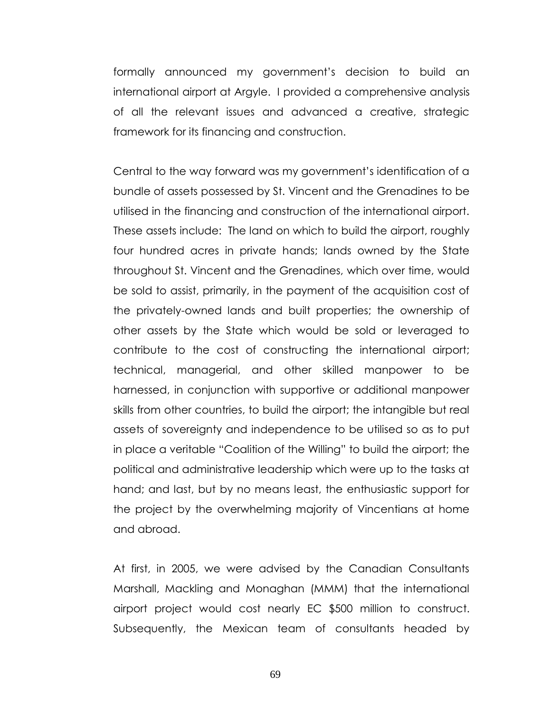formally announced my government's decision to build an international airport at Argyle. I provided a comprehensive analysis of all the relevant issues and advanced a creative, strategic framework for its financing and construction.

Central to the way forward was my government's identification of a bundle of assets possessed by St. Vincent and the Grenadines to be utilised in the financing and construction of the international airport. These assets include: The land on which to build the airport, roughly four hundred acres in private hands; lands owned by the State throughout St. Vincent and the Grenadines, which over time, would be sold to assist, primarily, in the payment of the acquisition cost of the privately-owned lands and built properties; the ownership of other assets by the State which would be sold or leveraged to contribute to the cost of constructing the international airport; technical, managerial, and other skilled manpower to be harnessed, in conjunction with supportive or additional manpower skills from other countries, to build the airport; the intangible but real assets of sovereignty and independence to be utilised so as to put in place a veritable "Coalition of the Willing" to build the airport; the political and administrative leadership which were up to the tasks at hand; and last, but by no means least, the enthusiastic support for the project by the overwhelming majority of Vincentians at home and abroad.

At first, in 2005, we were advised by the Canadian Consultants Marshall, Mackling and Monaghan (MMM) that the international airport project would cost nearly EC \$500 million to construct. Subsequently, the Mexican team of consultants headed by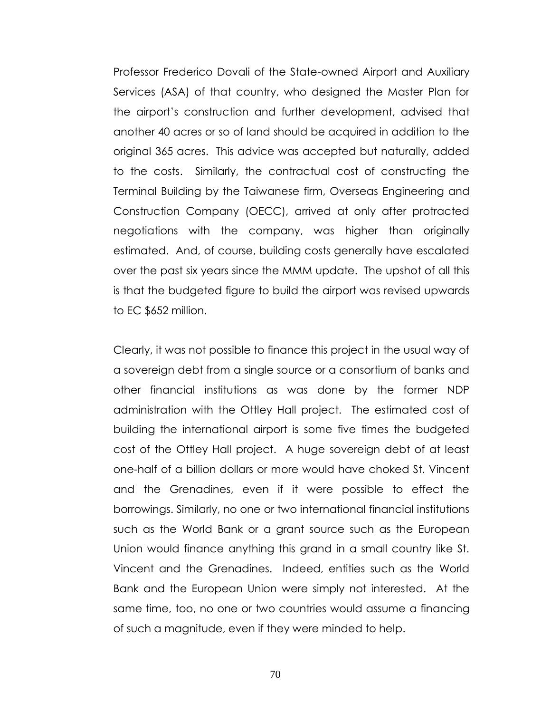Professor Frederico Dovali of the State-owned Airport and Auxiliary Services (ASA) of that country, who designed the Master Plan for the airport's construction and further development, advised that another 40 acres or so of land should be acquired in addition to the original 365 acres. This advice was accepted but naturally, added to the costs. Similarly, the contractual cost of constructing the Terminal Building by the Taiwanese firm, Overseas Engineering and Construction Company (OECC), arrived at only after protracted negotiations with the company, was higher than originally estimated. And, of course, building costs generally have escalated over the past six years since the MMM update. The upshot of all this is that the budgeted figure to build the airport was revised upwards to EC \$652 million.

Clearly, it was not possible to finance this project in the usual way of a sovereign debt from a single source or a consortium of banks and other financial institutions as was done by the former NDP administration with the Ottley Hall project. The estimated cost of building the international airport is some five times the budgeted cost of the Ottley Hall project. A huge sovereign debt of at least one-half of a billion dollars or more would have choked St. Vincent and the Grenadines, even if it were possible to effect the borrowings. Similarly, no one or two international financial institutions such as the World Bank or a grant source such as the European Union would finance anything this grand in a small country like St. Vincent and the Grenadines. Indeed, entities such as the World Bank and the European Union were simply not interested. At the same time, too, no one or two countries would assume a financing of such a magnitude, even if they were minded to help.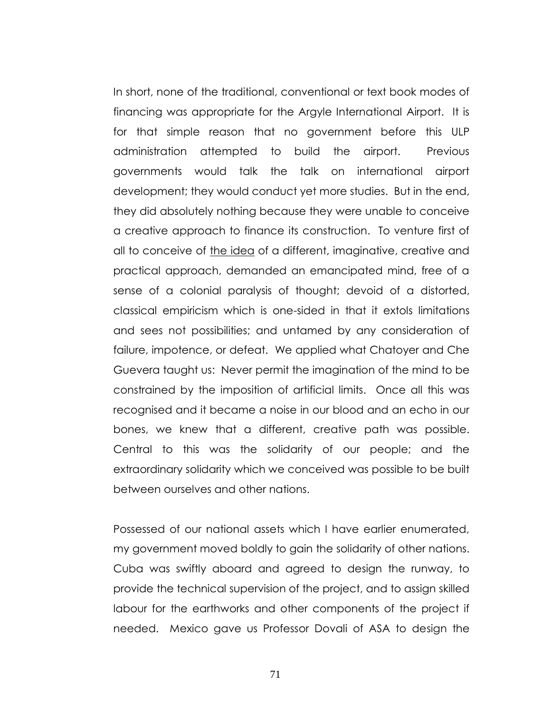In short, none of the traditional, conventional or text book modes of financing was appropriate for the Argyle International Airport. It is for that simple reason that no government before this ULP administration attempted to build the airport. Previous governments would talk the talk on international airport development; they would conduct yet more studies. But in the end, they did absolutely nothing because they were unable to conceive a creative approach to finance its construction. To venture first of all to conceive of the idea of a different, imaginative, creative and practical approach, demanded an emancipated mind, free of a sense of a colonial paralysis of thought; devoid of a distorted, classical empiricism which is one-sided in that it extols limitations and sees not possibilities; and untamed by any consideration of failure, impotence, or defeat. We applied what Chatoyer and Che Guevera taught us: Never permit the imagination of the mind to be constrained by the imposition of artificial limits. Once all this was recognised and it became a noise in our blood and an echo in our bones, we knew that a different, creative path was possible. Central to this was the solidarity of our people; and the extraordinary solidarity which we conceived was possible to be built between ourselves and other nations.

Possessed of our national assets which I have earlier enumerated, my government moved boldly to gain the solidarity of other nations. Cuba was swiftly aboard and agreed to design the runway, to provide the technical supervision of the project, and to assign skilled labour for the earthworks and other components of the project if needed. Mexico gave us Professor Dovali of ASA to design the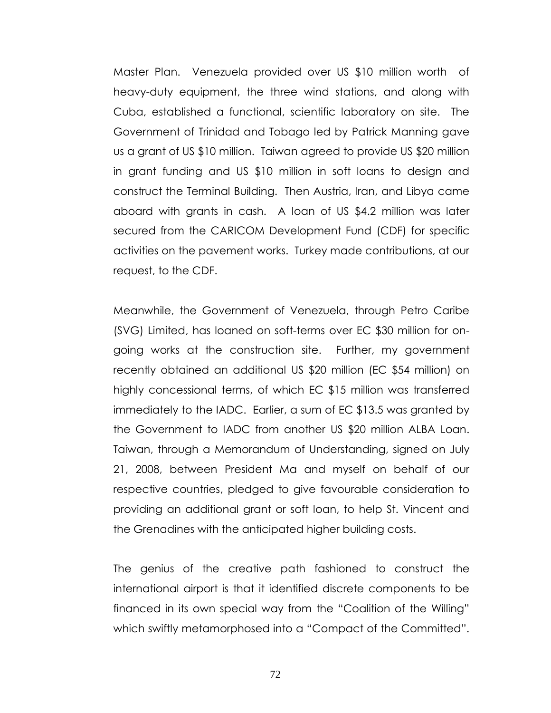Master Plan. Venezuela provided over US \$10 million worth of heavy-duty equipment, the three wind stations, and along with Cuba, established a functional, scientific laboratory on site. The Government of Trinidad and Tobago led by Patrick Manning gave us a grant of US \$10 million. Taiwan agreed to provide US \$20 million in grant funding and US \$10 million in soft loans to design and construct the Terminal Building. Then Austria, Iran, and Libya came aboard with grants in cash. A loan of US \$4.2 million was later secured from the CARICOM Development Fund (CDF) for specific activities on the pavement works. Turkey made contributions, at our request, to the CDF.

Meanwhile, the Government of Venezuela, through Petro Caribe (SVG) Limited, has loaned on soft-terms over EC \$30 million for ongoing works at the construction site. Further, my government recently obtained an additional US \$20 million (EC \$54 million) on highly concessional terms, of which EC \$15 million was transferred immediately to the IADC. Earlier, a sum of EC \$13.5 was granted by the Government to IADC from another US \$20 million ALBA Loan. Taiwan, through a Memorandum of Understanding, signed on July 21, 2008, between President Ma and myself on behalf of our respective countries, pledged to give favourable consideration to providing an additional grant or soft loan, to help St. Vincent and the Grenadines with the anticipated higher building costs.

The genius of the creative path fashioned to construct the international airport is that it identified discrete components to be financed in its own special way from the "Coalition of the Willing" which swiftly metamorphosed into a "Compact of the Committed".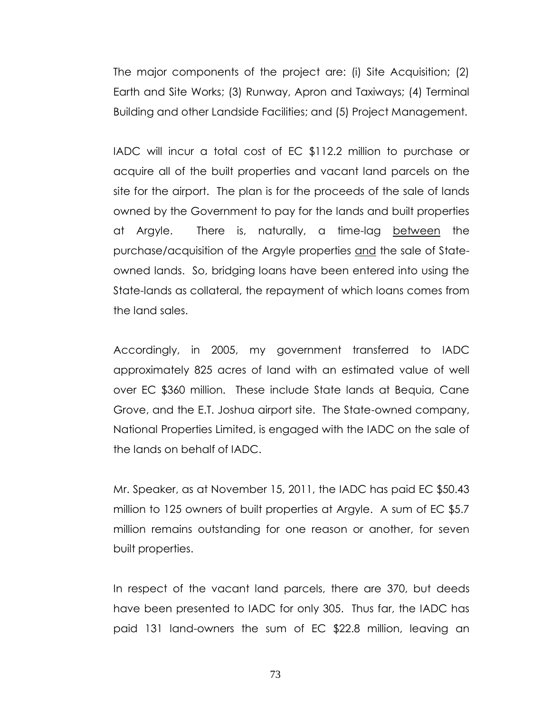The major components of the project are: (i) Site Acquisition; (2) Earth and Site Works; (3) Runway, Apron and Taxiways; (4) Terminal Building and other Landside Facilities; and (5) Project Management.

IADC will incur a total cost of EC \$112.2 million to purchase or acquire all of the built properties and vacant land parcels on the site for the airport. The plan is for the proceeds of the sale of lands owned by the Government to pay for the lands and built properties at Argyle. There is, naturally, a time-lag between the purchase/acquisition of the Argyle properties and the sale of Stateowned lands. So, bridging loans have been entered into using the State-lands as collateral, the repayment of which loans comes from the land sales.

Accordingly, in 2005, my government transferred to IADC approximately 825 acres of land with an estimated value of well over EC \$360 million. These include State lands at Bequia, Cane Grove, and the E.T. Joshua airport site. The State-owned company, National Properties Limited, is engaged with the IADC on the sale of the lands on behalf of IADC.

Mr. Speaker, as at November 15, 2011, the IADC has paid EC \$50.43 million to 125 owners of built properties at Argyle. A sum of EC \$5.7 million remains outstanding for one reason or another, for seven built properties.

In respect of the vacant land parcels, there are 370, but deeds have been presented to IADC for only 305. Thus far, the IADC has paid 131 land-owners the sum of EC \$22.8 million, leaving an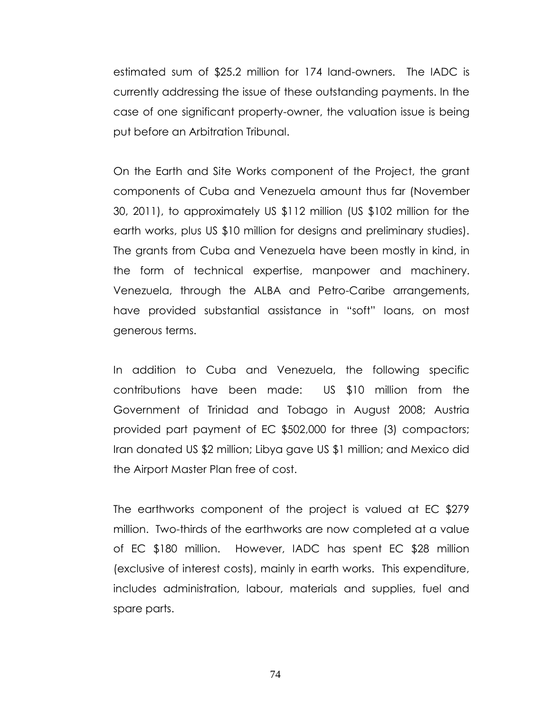estimated sum of \$25.2 million for 174 land-owners. The IADC is currently addressing the issue of these outstanding payments. In the case of one significant property-owner, the valuation issue is being put before an Arbitration Tribunal.

On the Earth and Site Works component of the Project, the grant components of Cuba and Venezuela amount thus far (November 30, 2011), to approximately US \$112 million (US \$102 million for the earth works, plus US \$10 million for designs and preliminary studies). The grants from Cuba and Venezuela have been mostly in kind, in the form of technical expertise, manpower and machinery. Venezuela, through the ALBA and Petro-Caribe arrangements, have provided substantial assistance in "soft" loans, on most generous terms.

In addition to Cuba and Venezuela, the following specific contributions have been made: US \$10 million from the Government of Trinidad and Tobago in August 2008; Austria provided part payment of EC \$502,000 for three (3) compactors; Iran donated US \$2 million; Libya gave US \$1 million; and Mexico did the Airport Master Plan free of cost.

The earthworks component of the project is valued at EC \$279 million. Two-thirds of the earthworks are now completed at a value of EC \$180 million. However, IADC has spent EC \$28 million (exclusive of interest costs), mainly in earth works. This expenditure, includes administration, labour, materials and supplies, fuel and spare parts.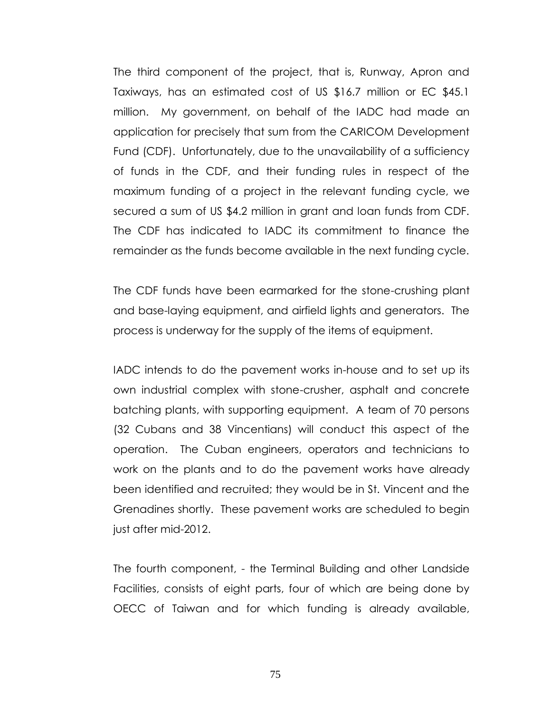The third component of the project, that is, Runway, Apron and Taxiways, has an estimated cost of US \$16.7 million or EC \$45.1 million. My government, on behalf of the IADC had made an application for precisely that sum from the CARICOM Development Fund (CDF). Unfortunately, due to the unavailability of a sufficiency of funds in the CDF, and their funding rules in respect of the maximum funding of a project in the relevant funding cycle, we secured a sum of US \$4.2 million in grant and loan funds from CDF. The CDF has indicated to IADC its commitment to finance the remainder as the funds become available in the next funding cycle.

The CDF funds have been earmarked for the stone-crushing plant and base-laying equipment, and airfield lights and generators. The process is underway for the supply of the items of equipment.

IADC intends to do the pavement works in-house and to set up its own industrial complex with stone-crusher, asphalt and concrete batching plants, with supporting equipment. A team of 70 persons (32 Cubans and 38 Vincentians) will conduct this aspect of the operation. The Cuban engineers, operators and technicians to work on the plants and to do the pavement works have already been identified and recruited; they would be in St. Vincent and the Grenadines shortly. These pavement works are scheduled to begin just after mid-2012.

The fourth component, - the Terminal Building and other Landside Facilities, consists of eight parts, four of which are being done by OECC of Taiwan and for which funding is already available,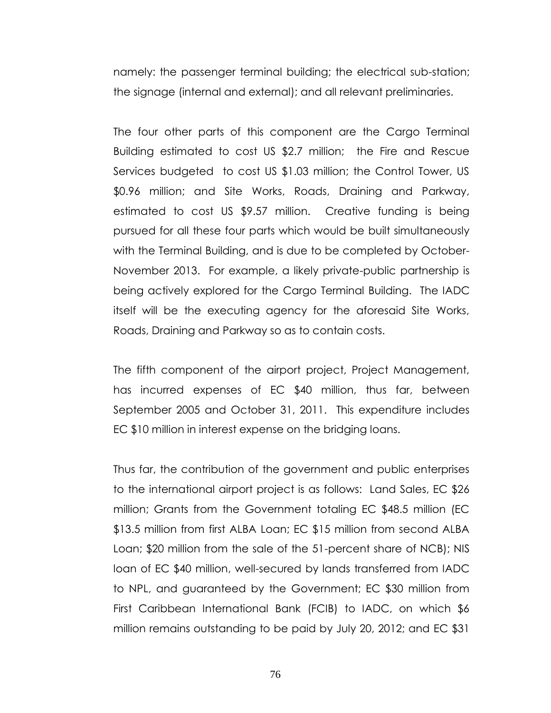namely: the passenger terminal building; the electrical sub-station; the signage (internal and external); and all relevant preliminaries.

The four other parts of this component are the Cargo Terminal Building estimated to cost US \$2.7 million; the Fire and Rescue Services budgeted to cost US \$1.03 million; the Control Tower, US \$0.96 million; and Site Works, Roads, Draining and Parkway, estimated to cost US \$9.57 million. Creative funding is being pursued for all these four parts which would be built simultaneously with the Terminal Building, and is due to be completed by October-November 2013. For example, a likely private-public partnership is being actively explored for the Cargo Terminal Building. The IADC itself will be the executing agency for the aforesaid Site Works, Roads, Draining and Parkway so as to contain costs.

The fifth component of the airport project, Project Management, has incurred expenses of EC \$40 million, thus far, between September 2005 and October 31, 2011. This expenditure includes EC \$10 million in interest expense on the bridging loans.

Thus far, the contribution of the government and public enterprises to the international airport project is as follows: Land Sales, EC \$26 million; Grants from the Government totaling EC \$48.5 million (EC \$13.5 million from first ALBA Loan; EC \$15 million from second ALBA Loan; \$20 million from the sale of the 51-percent share of NCB); NIS loan of EC \$40 million, well-secured by lands transferred from IADC to NPL, and guaranteed by the Government; EC \$30 million from First Caribbean International Bank (FCIB) to IADC, on which \$6 million remains outstanding to be paid by July 20, 2012; and EC \$31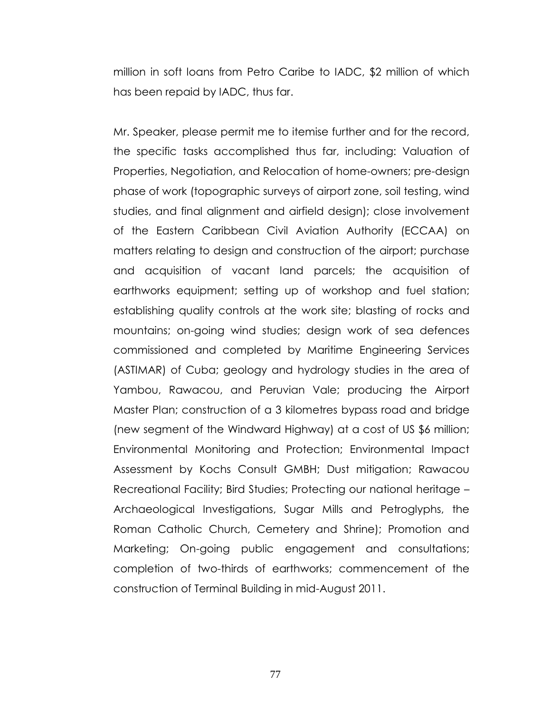million in soft loans from Petro Caribe to IADC, \$2 million of which has been repaid by IADC, thus far.

Mr. Speaker, please permit me to itemise further and for the record, the specific tasks accomplished thus far, including: Valuation of Properties, Negotiation, and Relocation of home-owners; pre-design phase of work (topographic surveys of airport zone, soil testing, wind studies, and final alignment and airfield design); close involvement of the Eastern Caribbean Civil Aviation Authority (ECCAA) on matters relating to design and construction of the airport; purchase and acquisition of vacant land parcels; the acquisition of earthworks equipment; setting up of workshop and fuel station; establishing quality controls at the work site; blasting of rocks and mountains; on-going wind studies; design work of sea defences commissioned and completed by Maritime Engineering Services (ASTIMAR) of Cuba; geology and hydrology studies in the area of Yambou, Rawacou, and Peruvian Vale; producing the Airport Master Plan; construction of a 3 kilometres bypass road and bridge (new segment of the Windward Highway) at a cost of US \$6 million; Environmental Monitoring and Protection; Environmental Impact Assessment by Kochs Consult GMBH; Dust mitigation; Rawacou Recreational Facility; Bird Studies; Protecting our national heritage – Archaeological Investigations, Sugar Mills and Petroglyphs, the Roman Catholic Church, Cemetery and Shrine); Promotion and Marketing; On-going public engagement and consultations; completion of two-thirds of earthworks; commencement of the construction of Terminal Building in mid-August 2011.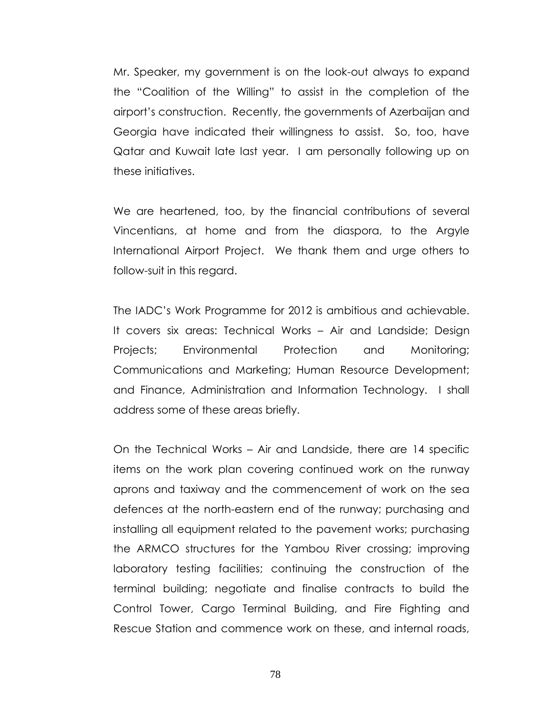Mr. Speaker, my government is on the look-out always to expand the "Coalition of the Willing" to assist in the completion of the airport's construction. Recently, the governments of Azerbaijan and Georgia have indicated their willingness to assist. So, too, have Qatar and Kuwait late last year. I am personally following up on these initiatives.

We are heartened, too, by the financial contributions of several Vincentians, at home and from the diaspora, to the Argyle International Airport Project. We thank them and urge others to follow-suit in this regard.

The IADC's Work Programme for 2012 is ambitious and achievable. It covers six areas: Technical Works – Air and Landside; Design Projects; Environmental Protection and Monitoring; Communications and Marketing; Human Resource Development; and Finance, Administration and Information Technology. I shall address some of these areas briefly.

On the Technical Works – Air and Landside, there are 14 specific items on the work plan covering continued work on the runway aprons and taxiway and the commencement of work on the sea defences at the north-eastern end of the runway; purchasing and installing all equipment related to the pavement works; purchasing the ARMCO structures for the Yambou River crossing; improving laboratory testing facilities; continuing the construction of the terminal building; negotiate and finalise contracts to build the Control Tower, Cargo Terminal Building, and Fire Fighting and Rescue Station and commence work on these, and internal roads,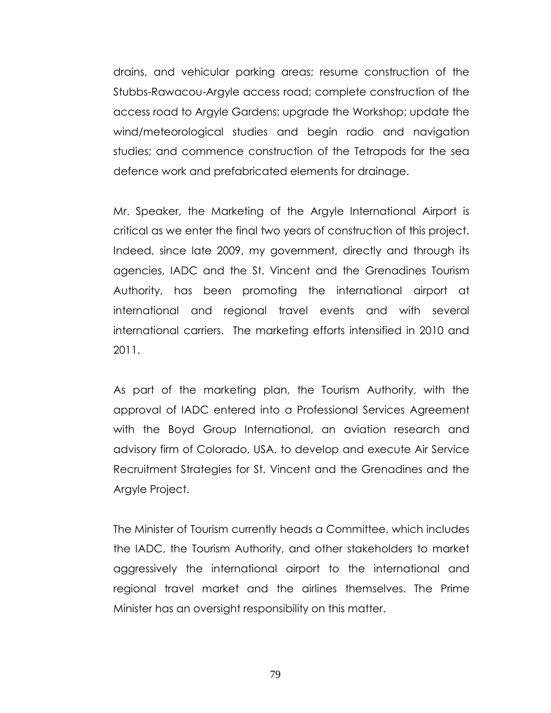drains, and vehicular parking areas; resume construction of the Stubbs-Rawacou-Argyle access road; complete construction of the access road to Argyle Gardens; upgrade the Workshop; update the wind/meteorological studies and begin radio and navigation studies; and commence construction of the Tetrapods for the sea defence work and prefabricated elements for drainage.

Mr. Speaker, the Marketing of the Argyle International Airport is critical as we enter the final two years of construction of this project. Indeed, since late 2009, my government, directly and through its agencies, IADC and the St. Vincent and the Grenadines Tourism Authority, has been promoting the international airport at international and regional travel events and with several international carriers. The marketing efforts intensified in 2010 and 2011.

As part of the marketing plan, the Tourism Authority, with the approval of IADC entered into a Professional Services Agreement with the Boyd Group International, an aviation research and advisory firm of Colorado, USA, to develop and execute Air Service Recruitment Strategies for St. Vincent and the Grenadines and the Argyle Project.

The Minister of Tourism currently heads a Committee, which includes the IADC, the Tourism Authority, and other stakeholders to market aggressively the international airport to the international and regional travel market and the airlines themselves. The Prime Minister has an oversight responsibility on this matter.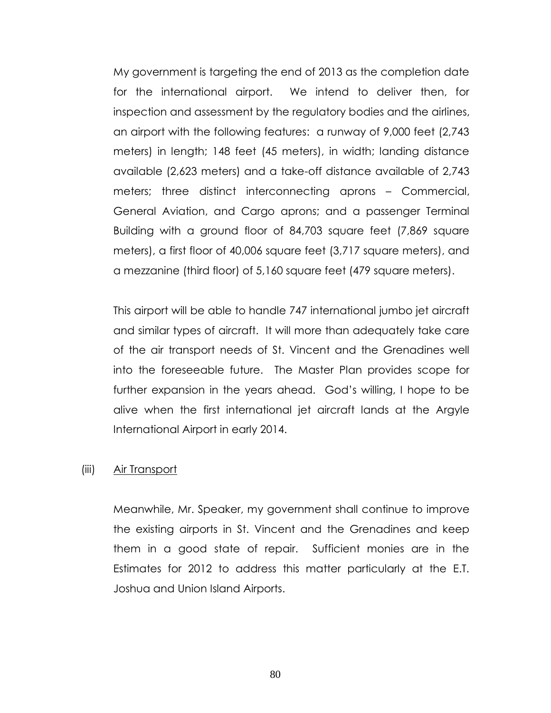My government is targeting the end of 2013 as the completion date for the international airport. We intend to deliver then, for inspection and assessment by the regulatory bodies and the airlines, an airport with the following features: a runway of 9,000 feet (2,743 meters) in length; 148 feet (45 meters), in width; landing distance available (2,623 meters) and a take-off distance available of 2,743 meters; three distinct interconnecting aprons – Commercial, General Aviation, and Cargo aprons; and a passenger Terminal Building with a ground floor of 84,703 square feet (7,869 square meters), a first floor of 40,006 square feet (3,717 square meters), and a mezzanine (third floor) of 5,160 square feet (479 square meters).

This airport will be able to handle 747 international jumbo jet aircraft and similar types of aircraft. It will more than adequately take care of the air transport needs of St. Vincent and the Grenadines well into the foreseeable future. The Master Plan provides scope for further expansion in the years ahead. God's willing, I hope to be alive when the first international jet aircraft lands at the Argyle International Airport in early 2014.

#### (iii) Air Transport

Meanwhile, Mr. Speaker, my government shall continue to improve the existing airports in St. Vincent and the Grenadines and keep them in a good state of repair. Sufficient monies are in the Estimates for 2012 to address this matter particularly at the E.T. Joshua and Union Island Airports.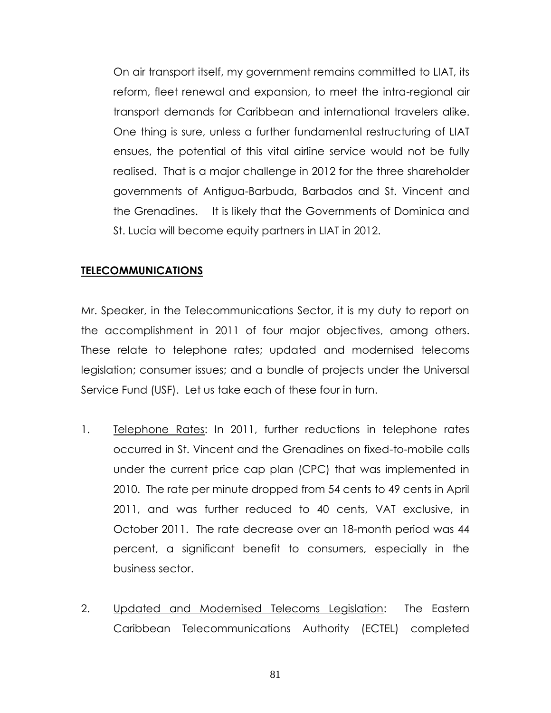On air transport itself, my government remains committed to LIAT, its reform, fleet renewal and expansion, to meet the intra-regional air transport demands for Caribbean and international travelers alike. One thing is sure, unless a further fundamental restructuring of LIAT ensues, the potential of this vital airline service would not be fully realised. That is a major challenge in 2012 for the three shareholder governments of Antigua-Barbuda, Barbados and St. Vincent and the Grenadines. It is likely that the Governments of Dominica and St. Lucia will become equity partners in LIAT in 2012.

### **TELECOMMUNICATIONS**

Mr. Speaker, in the Telecommunications Sector, it is my duty to report on the accomplishment in 2011 of four major objectives, among others. These relate to telephone rates; updated and modernised telecoms legislation; consumer issues; and a bundle of projects under the Universal Service Fund (USF). Let us take each of these four in turn.

- 1. Telephone Rates: In 2011, further reductions in telephone rates occurred in St. Vincent and the Grenadines on fixed-to-mobile calls under the current price cap plan (CPC) that was implemented in 2010. The rate per minute dropped from 54 cents to 49 cents in April 2011, and was further reduced to 40 cents, VAT exclusive, in October 2011. The rate decrease over an 18-month period was 44 percent, a significant benefit to consumers, especially in the business sector.
- 2. Updated and Modernised Telecoms Legislation: The Eastern Caribbean Telecommunications Authority (ECTEL) completed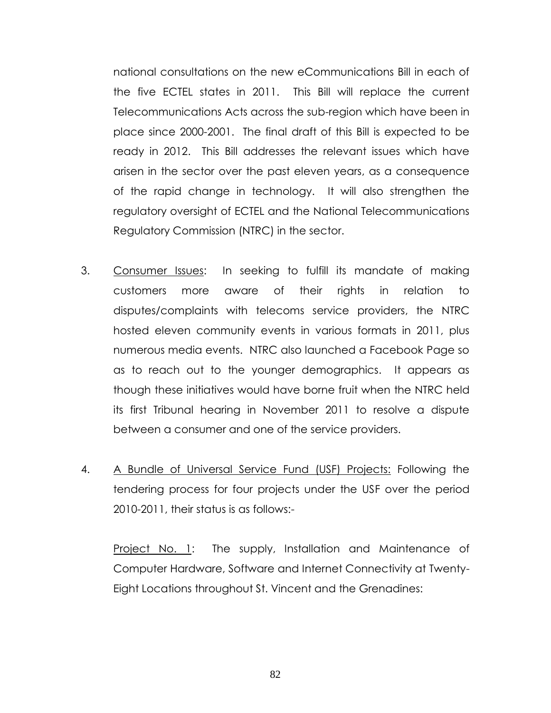national consultations on the new eCommunications Bill in each of the five ECTEL states in 2011. This Bill will replace the current Telecommunications Acts across the sub-region which have been in place since 2000-2001. The final draft of this Bill is expected to be ready in 2012. This Bill addresses the relevant issues which have arisen in the sector over the past eleven years, as a consequence of the rapid change in technology. It will also strengthen the regulatory oversight of ECTEL and the National Telecommunications Regulatory Commission (NTRC) in the sector.

- 3. Consumer Issues: In seeking to fulfill its mandate of making customers more aware of their rights in relation to disputes/complaints with telecoms service providers, the NTRC hosted eleven community events in various formats in 2011, plus numerous media events. NTRC also launched a Facebook Page so as to reach out to the younger demographics. It appears as though these initiatives would have borne fruit when the NTRC held its first Tribunal hearing in November 2011 to resolve a dispute between a consumer and one of the service providers.
- 4. A Bundle of Universal Service Fund (USF) Projects: Following the tendering process for four projects under the USF over the period 2010-2011, their status is as follows:-

Project No. 1: The supply, Installation and Maintenance of Computer Hardware, Software and Internet Connectivity at Twenty-Eight Locations throughout St. Vincent and the Grenadines: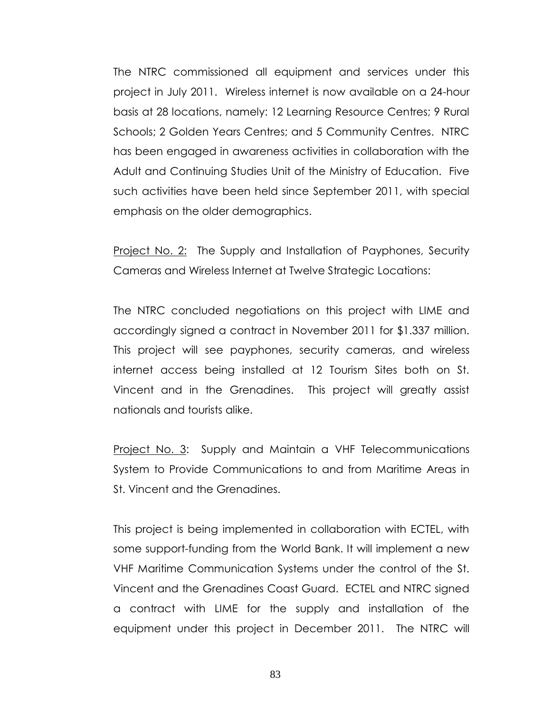The NTRC commissioned all equipment and services under this project in July 2011. Wireless internet is now available on a 24-hour basis at 28 locations, namely: 12 Learning Resource Centres; 9 Rural Schools; 2 Golden Years Centres; and 5 Community Centres. NTRC has been engaged in awareness activities in collaboration with the Adult and Continuing Studies Unit of the Ministry of Education. Five such activities have been held since September 2011, with special emphasis on the older demographics.

Project No. 2: The Supply and Installation of Payphones, Security Cameras and Wireless Internet at Twelve Strategic Locations:

The NTRC concluded negotiations on this project with LIME and accordingly signed a contract in November 2011 for \$1.337 million. This project will see payphones, security cameras, and wireless internet access being installed at 12 Tourism Sites both on St. Vincent and in the Grenadines. This project will greatly assist nationals and tourists alike.

Project No. 3: Supply and Maintain a VHF Telecommunications System to Provide Communications to and from Maritime Areas in St. Vincent and the Grenadines.

This project is being implemented in collaboration with ECTEL, with some support-funding from the World Bank. It will implement a new VHF Maritime Communication Systems under the control of the St. Vincent and the Grenadines Coast Guard. ECTEL and NTRC signed a contract with LIME for the supply and installation of the equipment under this project in December 2011. The NTRC will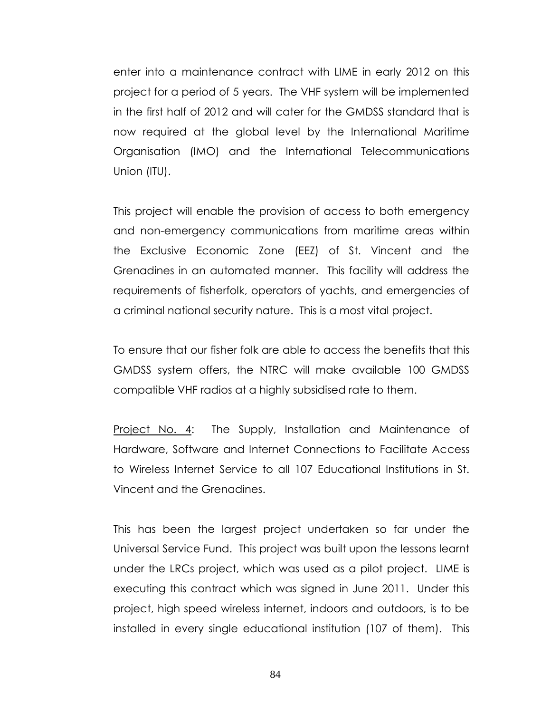enter into a maintenance contract with LIME in early 2012 on this project for a period of 5 years. The VHF system will be implemented in the first half of 2012 and will cater for the GMDSS standard that is now required at the global level by the International Maritime Organisation (IMO) and the International Telecommunications Union (ITU).

This project will enable the provision of access to both emergency and non-emergency communications from maritime areas within the Exclusive Economic Zone (EEZ) of St. Vincent and the Grenadines in an automated manner. This facility will address the requirements of fisherfolk, operators of yachts, and emergencies of a criminal national security nature. This is a most vital project.

To ensure that our fisher folk are able to access the benefits that this GMDSS system offers, the NTRC will make available 100 GMDSS compatible VHF radios at a highly subsidised rate to them.

Project No. 4: The Supply, Installation and Maintenance of Hardware, Software and Internet Connections to Facilitate Access to Wireless Internet Service to all 107 Educational Institutions in St. Vincent and the Grenadines.

This has been the largest project undertaken so far under the Universal Service Fund. This project was built upon the lessons learnt under the LRCs project, which was used as a pilot project. LIME is executing this contract which was signed in June 2011. Under this project, high speed wireless internet, indoors and outdoors, is to be installed in every single educational institution (107 of them). This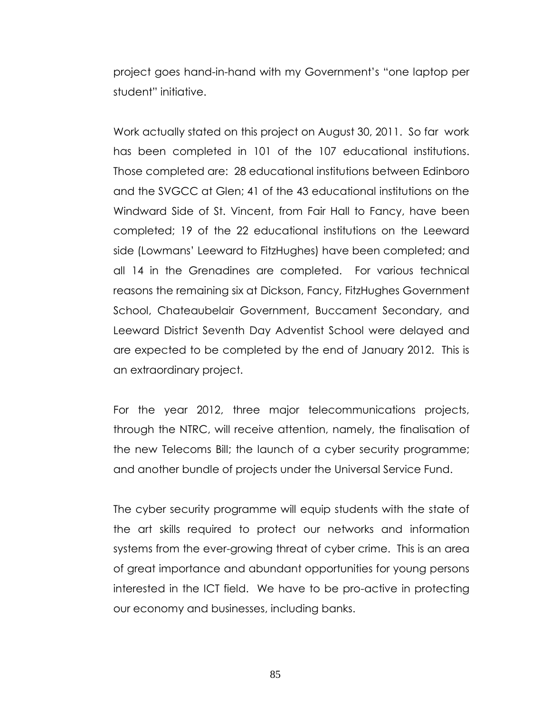project goes hand-in-hand with my Government's "one laptop per student" initiative.

Work actually stated on this project on August 30, 2011. So far work has been completed in 101 of the 107 educational institutions. Those completed are: 28 educational institutions between Edinboro and the SVGCC at Glen; 41 of the 43 educational institutions on the Windward Side of St. Vincent, from Fair Hall to Fancy, have been completed; 19 of the 22 educational institutions on the Leeward side (Lowmans' Leeward to FitzHughes) have been completed; and all 14 in the Grenadines are completed. For various technical reasons the remaining six at Dickson, Fancy, FitzHughes Government School, Chateaubelair Government, Buccament Secondary, and Leeward District Seventh Day Adventist School were delayed and are expected to be completed by the end of January 2012. This is an extraordinary project.

For the year 2012, three major telecommunications projects, through the NTRC, will receive attention, namely, the finalisation of the new Telecoms Bill; the launch of a cyber security programme; and another bundle of projects under the Universal Service Fund.

The cyber security programme will equip students with the state of the art skills required to protect our networks and information systems from the ever-growing threat of cyber crime. This is an area of great importance and abundant opportunities for young persons interested in the ICT field. We have to be pro-active in protecting our economy and businesses, including banks.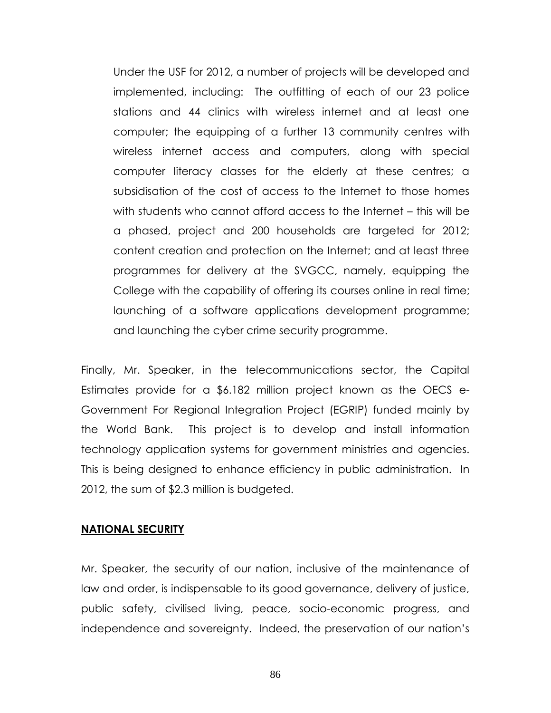Under the USF for 2012, a number of projects will be developed and implemented, including: The outfitting of each of our 23 police stations and 44 clinics with wireless internet and at least one computer; the equipping of a further 13 community centres with wireless internet access and computers, along with special computer literacy classes for the elderly at these centres; a subsidisation of the cost of access to the Internet to those homes with students who cannot afford access to the Internet – this will be a phased, project and 200 households are targeted for 2012; content creation and protection on the Internet; and at least three programmes for delivery at the SVGCC, namely, equipping the College with the capability of offering its courses online in real time; launching of a software applications development programme; and launching the cyber crime security programme.

Finally, Mr. Speaker, in the telecommunications sector, the Capital Estimates provide for a \$6.182 million project known as the OECS e-Government For Regional Integration Project (EGRIP) funded mainly by the World Bank. This project is to develop and install information technology application systems for government ministries and agencies. This is being designed to enhance efficiency in public administration. In 2012, the sum of \$2.3 million is budgeted.

#### **NATIONAL SECURITY**

Mr. Speaker, the security of our nation, inclusive of the maintenance of law and order, is indispensable to its good governance, delivery of justice, public safety, civilised living, peace, socio-economic progress, and independence and sovereignty. Indeed, the preservation of our nation's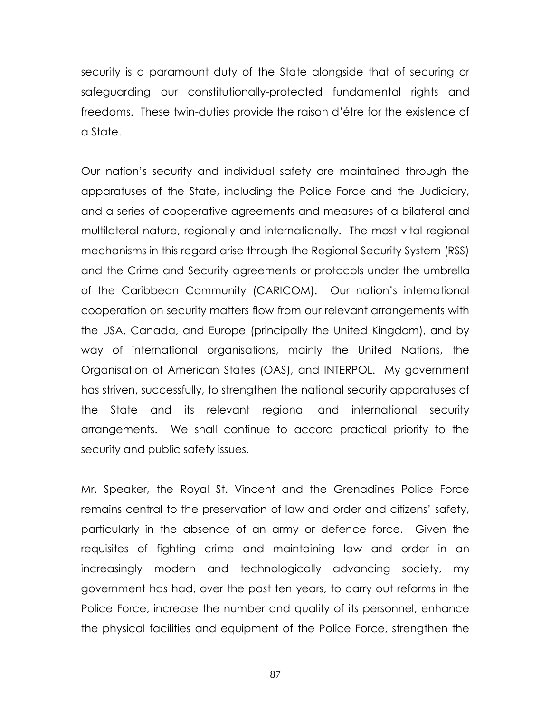security is a paramount duty of the State alongside that of securing or safeguarding our constitutionally-protected fundamental rights and freedoms. These twin-duties provide the raison d'étre for the existence of a State.

Our nation's security and individual safety are maintained through the apparatuses of the State, including the Police Force and the Judiciary, and a series of cooperative agreements and measures of a bilateral and multilateral nature, regionally and internationally. The most vital regional mechanisms in this regard arise through the Regional Security System (RSS) and the Crime and Security agreements or protocols under the umbrella of the Caribbean Community (CARICOM). Our nation's international cooperation on security matters flow from our relevant arrangements with the USA, Canada, and Europe (principally the United Kingdom), and by way of international organisations, mainly the United Nations, the Organisation of American States (OAS), and INTERPOL. My government has striven, successfully, to strengthen the national security apparatuses of the State and its relevant regional and international security arrangements. We shall continue to accord practical priority to the security and public safety issues.

Mr. Speaker, the Royal St. Vincent and the Grenadines Police Force remains central to the preservation of law and order and citizens' safety, particularly in the absence of an army or defence force. Given the requisites of fighting crime and maintaining law and order in an increasingly modern and technologically advancing society, my government has had, over the past ten years, to carry out reforms in the Police Force, increase the number and quality of its personnel, enhance the physical facilities and equipment of the Police Force, strengthen the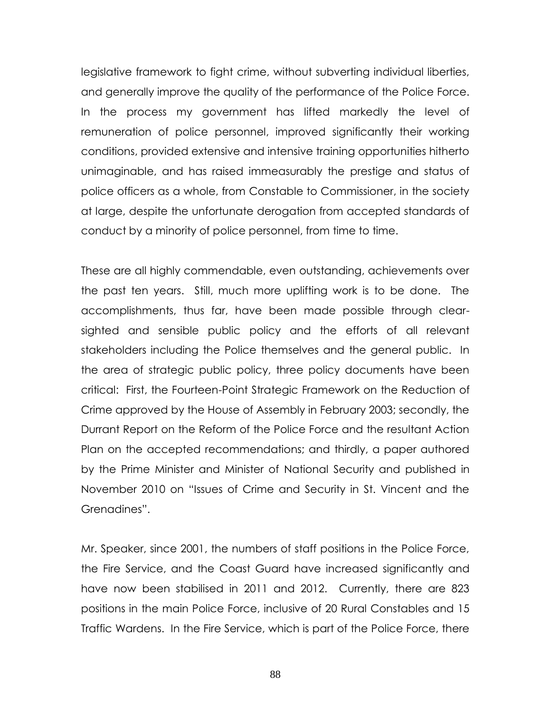legislative framework to fight crime, without subverting individual liberties, and generally improve the quality of the performance of the Police Force. In the process my government has lifted markedly the level of remuneration of police personnel, improved significantly their working conditions, provided extensive and intensive training opportunities hitherto unimaginable, and has raised immeasurably the prestige and status of police officers as a whole, from Constable to Commissioner, in the society at large, despite the unfortunate derogation from accepted standards of conduct by a minority of police personnel, from time to time.

These are all highly commendable, even outstanding, achievements over the past ten years. Still, much more uplifting work is to be done. The accomplishments, thus far, have been made possible through clearsighted and sensible public policy and the efforts of all relevant stakeholders including the Police themselves and the general public. In the area of strategic public policy, three policy documents have been critical: First, the Fourteen-Point Strategic Framework on the Reduction of Crime approved by the House of Assembly in February 2003; secondly, the Durrant Report on the Reform of the Police Force and the resultant Action Plan on the accepted recommendations; and thirdly, a paper authored by the Prime Minister and Minister of National Security and published in November 2010 on "Issues of Crime and Security in St. Vincent and the Grenadines".

Mr. Speaker, since 2001, the numbers of staff positions in the Police Force, the Fire Service, and the Coast Guard have increased significantly and have now been stabilised in 2011 and 2012. Currently, there are 823 positions in the main Police Force, inclusive of 20 Rural Constables and 15 Traffic Wardens. In the Fire Service, which is part of the Police Force, there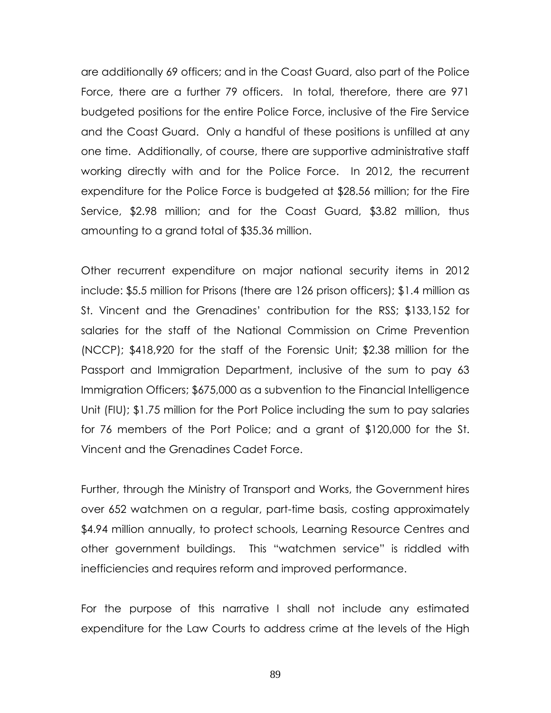are additionally 69 officers; and in the Coast Guard, also part of the Police Force, there are a further 79 officers. In total, therefore, there are 971 budgeted positions for the entire Police Force, inclusive of the Fire Service and the Coast Guard. Only a handful of these positions is unfilled at any one time. Additionally, of course, there are supportive administrative staff working directly with and for the Police Force. In 2012, the recurrent expenditure for the Police Force is budgeted at \$28.56 million; for the Fire Service, \$2.98 million; and for the Coast Guard, \$3.82 million, thus amounting to a grand total of \$35.36 million.

Other recurrent expenditure on major national security items in 2012 include: \$5.5 million for Prisons (there are 126 prison officers); \$1.4 million as St. Vincent and the Grenadines' contribution for the RSS; \$133,152 for salaries for the staff of the National Commission on Crime Prevention (NCCP); \$418,920 for the staff of the Forensic Unit; \$2.38 million for the Passport and Immigration Department, inclusive of the sum to pay 63 Immigration Officers; \$675,000 as a subvention to the Financial Intelligence Unit (FIU); \$1.75 million for the Port Police including the sum to pay salaries for 76 members of the Port Police; and a grant of \$120,000 for the St. Vincent and the Grenadines Cadet Force.

Further, through the Ministry of Transport and Works, the Government hires over 652 watchmen on a regular, part-time basis, costing approximately \$4.94 million annually, to protect schools, Learning Resource Centres and other government buildings. This "watchmen service" is riddled with inefficiencies and requires reform and improved performance.

For the purpose of this narrative I shall not include any estimated expenditure for the Law Courts to address crime at the levels of the High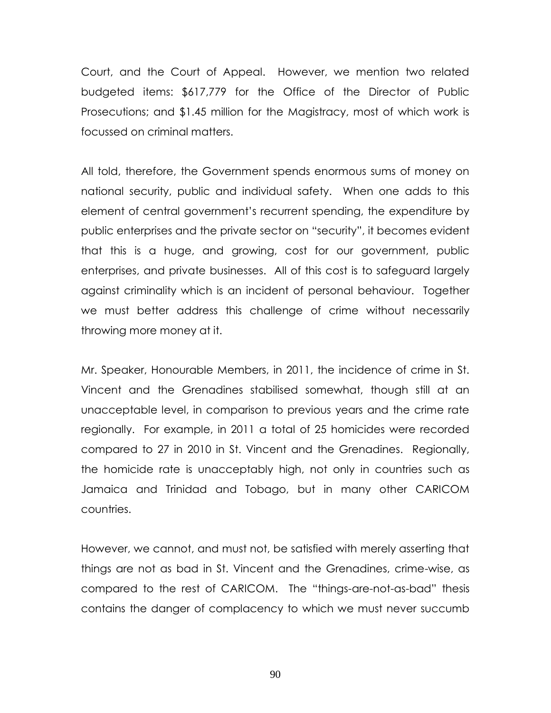Court, and the Court of Appeal. However, we mention two related budgeted items: \$617,779 for the Office of the Director of Public Prosecutions; and \$1.45 million for the Magistracy, most of which work is focussed on criminal matters.

All told, therefore, the Government spends enormous sums of money on national security, public and individual safety. When one adds to this element of central government's recurrent spending, the expenditure by public enterprises and the private sector on "security", it becomes evident that this is a huge, and growing, cost for our government, public enterprises, and private businesses. All of this cost is to safeguard largely against criminality which is an incident of personal behaviour. Together we must better address this challenge of crime without necessarily throwing more money at it.

Mr. Speaker, Honourable Members, in 2011, the incidence of crime in St. Vincent and the Grenadines stabilised somewhat, though still at an unacceptable level, in comparison to previous years and the crime rate regionally. For example, in 2011 a total of 25 homicides were recorded compared to 27 in 2010 in St. Vincent and the Grenadines. Regionally, the homicide rate is unacceptably high, not only in countries such as Jamaica and Trinidad and Tobago, but in many other CARICOM countries.

However, we cannot, and must not, be satisfied with merely asserting that things are not as bad in St. Vincent and the Grenadines, crime-wise, as compared to the rest of CARICOM. The "things-are-not-as-bad" thesis contains the danger of complacency to which we must never succumb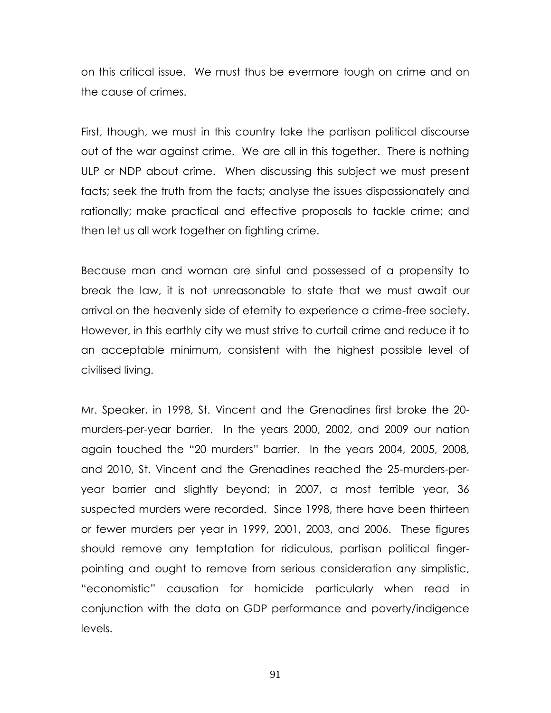on this critical issue. We must thus be evermore tough on crime and on the cause of crimes.

First, though, we must in this country take the partisan political discourse out of the war against crime. We are all in this together. There is nothing ULP or NDP about crime. When discussing this subject we must present facts; seek the truth from the facts; analyse the issues dispassionately and rationally; make practical and effective proposals to tackle crime; and then let us all work together on fighting crime.

Because man and woman are sinful and possessed of a propensity to break the law, it is not unreasonable to state that we must await our arrival on the heavenly side of eternity to experience a crime-free society. However, in this earthly city we must strive to curtail crime and reduce it to an acceptable minimum, consistent with the highest possible level of civilised living.

Mr. Speaker, in 1998, St. Vincent and the Grenadines first broke the 20 murders-per-year barrier. In the years 2000, 2002, and 2009 our nation again touched the "20 murders" barrier. In the years 2004, 2005, 2008, and 2010, St. Vincent and the Grenadines reached the 25-murders-peryear barrier and slightly beyond; in 2007, a most terrible year, 36 suspected murders were recorded. Since 1998, there have been thirteen or fewer murders per year in 1999, 2001, 2003, and 2006. These figures should remove any temptation for ridiculous, partisan political fingerpointing and ought to remove from serious consideration any simplistic, "economistic" causation for homicide particularly when read in conjunction with the data on GDP performance and poverty/indigence levels.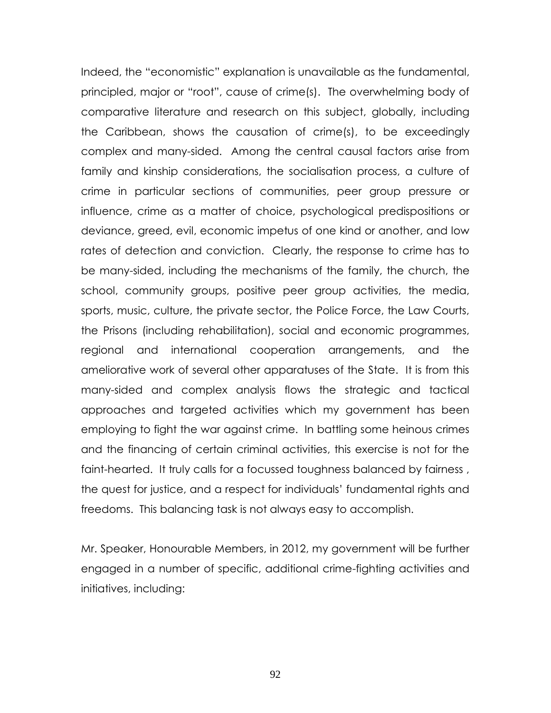Indeed, the "economistic" explanation is unavailable as the fundamental, principled, major or "root", cause of crime(s). The overwhelming body of comparative literature and research on this subject, globally, including the Caribbean, shows the causation of crime(s), to be exceedingly complex and many-sided. Among the central causal factors arise from family and kinship considerations, the socialisation process, a culture of crime in particular sections of communities, peer group pressure or influence, crime as a matter of choice, psychological predispositions or deviance, greed, evil, economic impetus of one kind or another, and low rates of detection and conviction. Clearly, the response to crime has to be many-sided, including the mechanisms of the family, the church, the school, community groups, positive peer group activities, the media, sports, music, culture, the private sector, the Police Force, the Law Courts, the Prisons (including rehabilitation), social and economic programmes, regional and international cooperation arrangements, and the ameliorative work of several other apparatuses of the State. It is from this many-sided and complex analysis flows the strategic and tactical approaches and targeted activities which my government has been employing to fight the war against crime. In battling some heinous crimes and the financing of certain criminal activities, this exercise is not for the faint-hearted. It truly calls for a focussed toughness balanced by fairness , the quest for justice, and a respect for individuals' fundamental rights and freedoms. This balancing task is not always easy to accomplish.

Mr. Speaker, Honourable Members, in 2012, my government will be further engaged in a number of specific, additional crime-fighting activities and initiatives, including: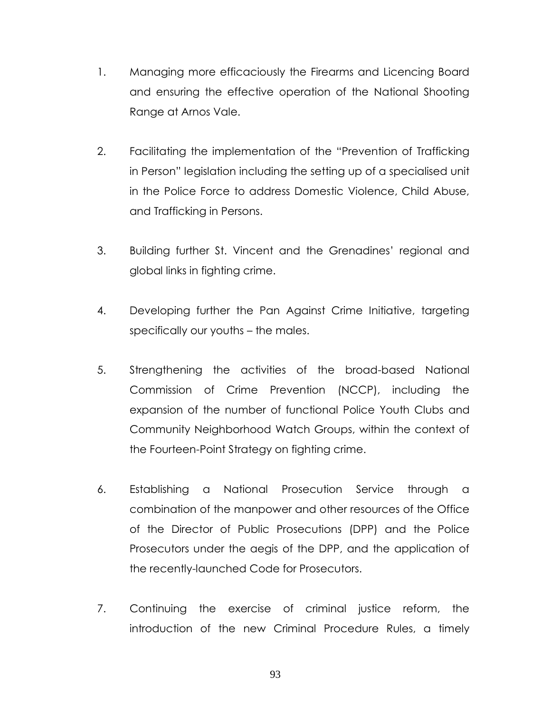- 1. Managing more efficaciously the Firearms and Licencing Board and ensuring the effective operation of the National Shooting Range at Arnos Vale.
- 2. Facilitating the implementation of the "Prevention of Trafficking in Person" legislation including the setting up of a specialised unit in the Police Force to address Domestic Violence, Child Abuse, and Trafficking in Persons.
- 3. Building further St. Vincent and the Grenadines' regional and global links in fighting crime.
- 4. Developing further the Pan Against Crime Initiative, targeting specifically our youths – the males.
- 5. Strengthening the activities of the broad-based National Commission of Crime Prevention (NCCP), including the expansion of the number of functional Police Youth Clubs and Community Neighborhood Watch Groups, within the context of the Fourteen-Point Strategy on fighting crime.
- 6. Establishing a National Prosecution Service through a combination of the manpower and other resources of the Office of the Director of Public Prosecutions (DPP) and the Police Prosecutors under the aegis of the DPP, and the application of the recently-launched Code for Prosecutors.
- 7. Continuing the exercise of criminal justice reform, the introduction of the new Criminal Procedure Rules, a timely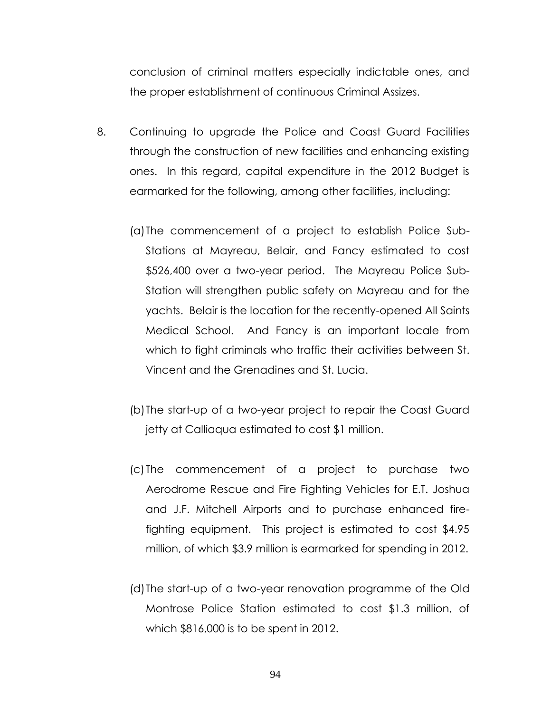conclusion of criminal matters especially indictable ones, and the proper establishment of continuous Criminal Assizes.

- 8. Continuing to upgrade the Police and Coast Guard Facilities through the construction of new facilities and enhancing existing ones. In this regard, capital expenditure in the 2012 Budget is earmarked for the following, among other facilities, including:
	- (a)The commencement of a project to establish Police Sub-Stations at Mayreau, Belair, and Fancy estimated to cost \$526,400 over a two-year period. The Mayreau Police Sub-Station will strengthen public safety on Mayreau and for the yachts. Belair is the location for the recently-opened All Saints Medical School. And Fancy is an important locale from which to fight criminals who traffic their activities between St. Vincent and the Grenadines and St. Lucia.
	- (b)The start-up of a two-year project to repair the Coast Guard jetty at Calliaqua estimated to cost \$1 million.
	- (c) The commencement of a project to purchase two Aerodrome Rescue and Fire Fighting Vehicles for E.T. Joshua and J.F. Mitchell Airports and to purchase enhanced firefighting equipment. This project is estimated to cost \$4.95 million, of which \$3.9 million is earmarked for spending in 2012.
	- (d)The start-up of a two-year renovation programme of the Old Montrose Police Station estimated to cost \$1.3 million, of which \$816,000 is to be spent in 2012.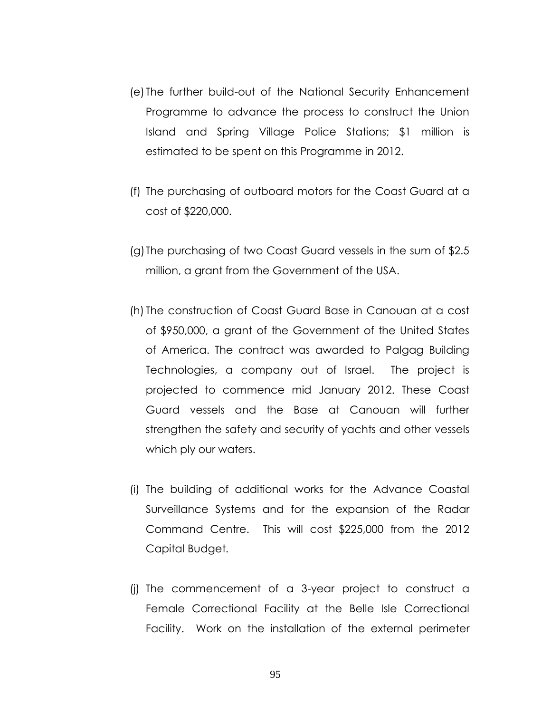- (e) The further build-out of the National Security Enhancement Programme to advance the process to construct the Union Island and Spring Village Police Stations; \$1 million is estimated to be spent on this Programme in 2012.
- (f) The purchasing of outboard motors for the Coast Guard at a cost of \$220,000.
- (g)The purchasing of two Coast Guard vessels in the sum of \$2.5 million, a grant from the Government of the USA.
- (h) The construction of Coast Guard Base in Canouan at a cost of \$950,000, a grant of the Government of the United States of America. The contract was awarded to Palgag Building Technologies, a company out of Israel. The project is projected to commence mid January 2012. These Coast Guard vessels and the Base at Canouan will further strengthen the safety and security of yachts and other vessels which ply our waters.
- (i) The building of additional works for the Advance Coastal Surveillance Systems and for the expansion of the Radar Command Centre. This will cost \$225,000 from the 2012 Capital Budget.
- (j) The commencement of a 3-year project to construct a Female Correctional Facility at the Belle Isle Correctional Facility. Work on the installation of the external perimeter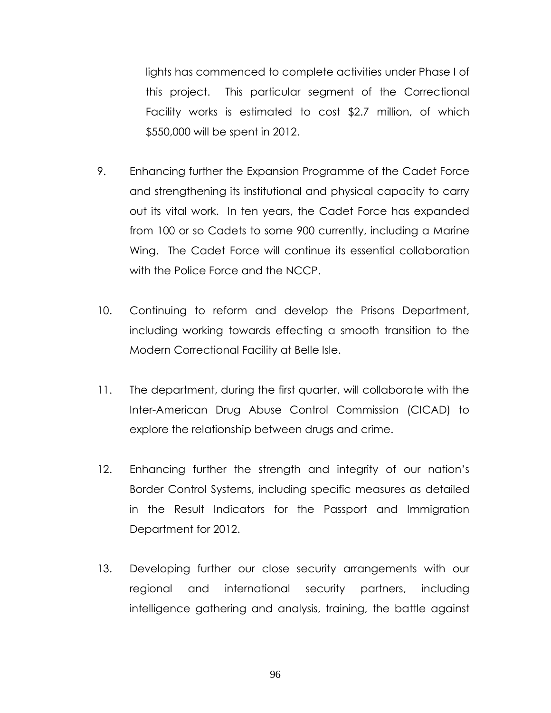lights has commenced to complete activities under Phase I of this project. This particular segment of the Correctional Facility works is estimated to cost \$2.7 million, of which \$550,000 will be spent in 2012.

- 9. Enhancing further the Expansion Programme of the Cadet Force and strengthening its institutional and physical capacity to carry out its vital work. In ten years, the Cadet Force has expanded from 100 or so Cadets to some 900 currently, including a Marine Wing. The Cadet Force will continue its essential collaboration with the Police Force and the NCCP.
- 10. Continuing to reform and develop the Prisons Department, including working towards effecting a smooth transition to the Modern Correctional Facility at Belle Isle.
- 11. The department, during the first quarter, will collaborate with the Inter-American Drug Abuse Control Commission (CICAD) to explore the relationship between drugs and crime.
- 12. Enhancing further the strength and integrity of our nation's Border Control Systems, including specific measures as detailed in the Result Indicators for the Passport and Immigration Department for 2012.
- 13. Developing further our close security arrangements with our regional and international security partners, including intelligence gathering and analysis, training, the battle against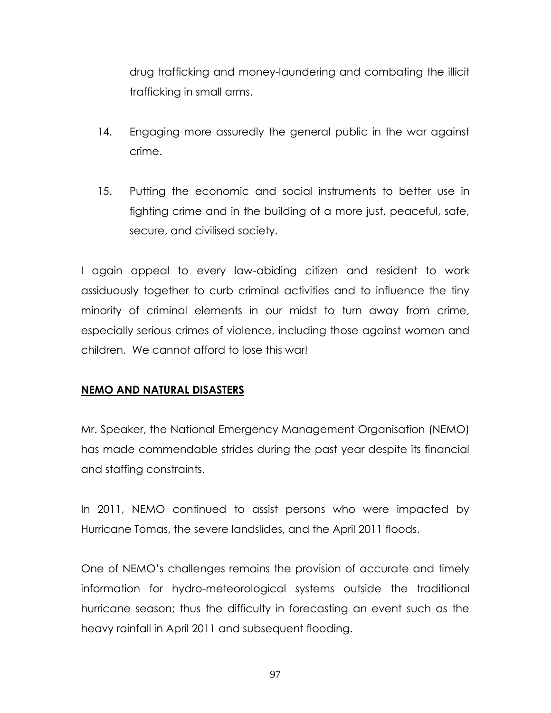drug trafficking and money-laundering and combating the illicit trafficking in small arms.

- 14. Engaging more assuredly the general public in the war against crime.
- 15. Putting the economic and social instruments to better use in fighting crime and in the building of a more just, peaceful, safe, secure, and civilised society.

I again appeal to every law-abiding citizen and resident to work assiduously together to curb criminal activities and to influence the tiny minority of criminal elements in our midst to turn away from crime, especially serious crimes of violence, including those against women and children. We cannot afford to lose this war!

# **NEMO AND NATURAL DISASTERS**

Mr. Speaker, the National Emergency Management Organisation (NEMO) has made commendable strides during the past year despite its financial and staffing constraints.

In 2011, NEMO continued to assist persons who were impacted by Hurricane Tomas, the severe landslides, and the April 2011 floods.

One of NEMO's challenges remains the provision of accurate and timely information for hydro-meteorological systems outside the traditional hurricane season; thus the difficulty in forecasting an event such as the heavy rainfall in April 2011 and subsequent flooding.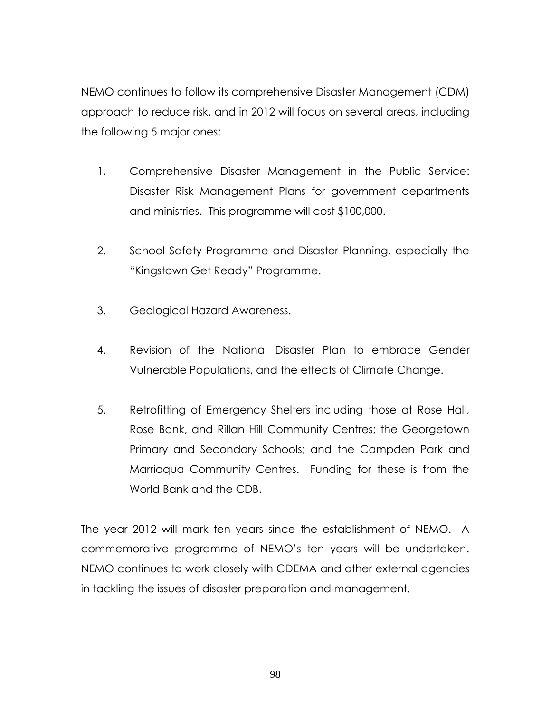NEMO continues to follow its comprehensive Disaster Management (CDM) approach to reduce risk, and in 2012 will focus on several areas, including the following 5 major ones:

- 1. Comprehensive Disaster Management in the Public Service: Disaster Risk Management Plans for government departments and ministries. This programme will cost \$100,000.
- 2. School Safety Programme and Disaster Planning, especially the "Kingstown Get Ready" Programme.
- 3. Geological Hazard Awareness.
- 4. Revision of the National Disaster Plan to embrace Gender Vulnerable Populations, and the effects of Climate Change.
- 5. Retrofitting of Emergency Shelters including those at Rose Hall, Rose Bank, and Rillan Hill Community Centres; the Georgetown Primary and Secondary Schools; and the Campden Park and Marriaqua Community Centres. Funding for these is from the World Bank and the CDB.

The year 2012 will mark ten years since the establishment of NEMO. A commemorative programme of NEMO's ten years will be undertaken. NEMO continues to work closely with CDEMA and other external agencies in tackling the issues of disaster preparation and management.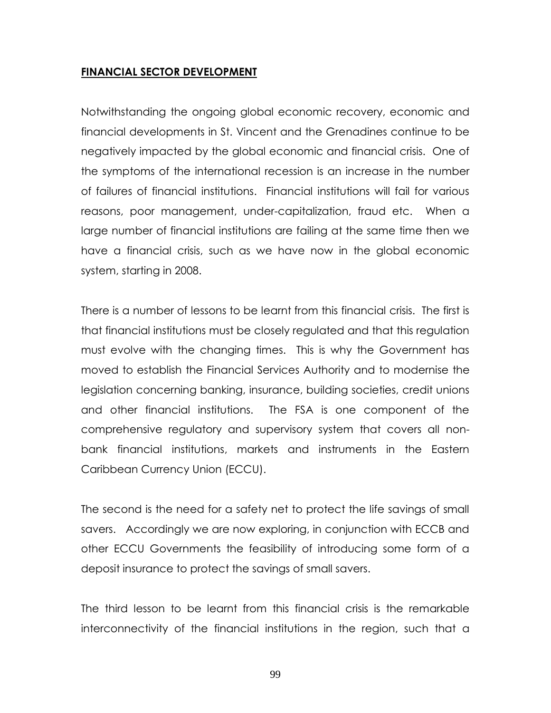### **FINANCIAL SECTOR DEVELOPMENT**

Notwithstanding the ongoing global economic recovery, economic and financial developments in St. Vincent and the Grenadines continue to be negatively impacted by the global economic and financial crisis. One of the symptoms of the international recession is an increase in the number of failures of financial institutions. Financial institutions will fail for various reasons, poor management, under-capitalization, fraud etc. When a large number of financial institutions are failing at the same time then we have a financial crisis, such as we have now in the global economic system, starting in 2008.

There is a number of lessons to be learnt from this financial crisis. The first is that financial institutions must be closely regulated and that this regulation must evolve with the changing times. This is why the Government has moved to establish the Financial Services Authority and to modernise the legislation concerning banking, insurance, building societies, credit unions and other financial institutions. The FSA is one component of the comprehensive regulatory and supervisory system that covers all nonbank financial institutions, markets and instruments in the Eastern Caribbean Currency Union (ECCU).

The second is the need for a safety net to protect the life savings of small savers. Accordingly we are now exploring, in conjunction with ECCB and other ECCU Governments the feasibility of introducing some form of a deposit insurance to protect the savings of small savers.

The third lesson to be learnt from this financial crisis is the remarkable interconnectivity of the financial institutions in the region, such that a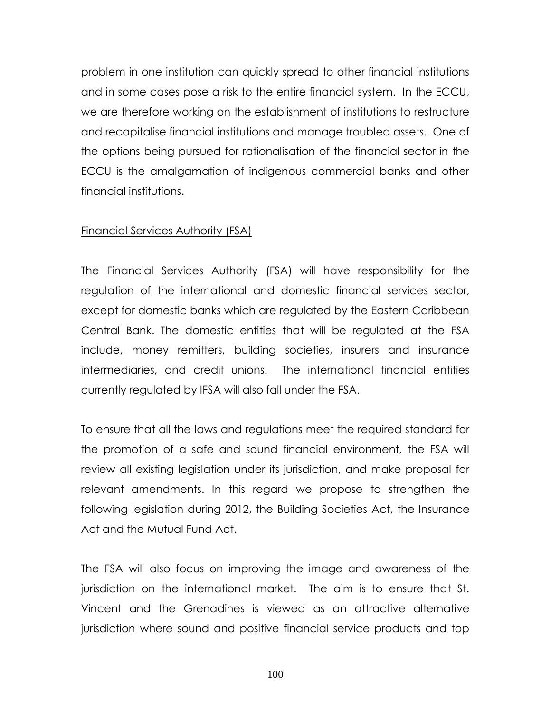problem in one institution can quickly spread to other financial institutions and in some cases pose a risk to the entire financial system. In the ECCU, we are therefore working on the establishment of institutions to restructure and recapitalise financial institutions and manage troubled assets. One of the options being pursued for rationalisation of the financial sector in the ECCU is the amalgamation of indigenous commercial banks and other financial institutions.

### Financial Services Authority (FSA)

The Financial Services Authority (FSA) will have responsibility for the regulation of the international and domestic financial services sector, except for domestic banks which are regulated by the Eastern Caribbean Central Bank. The domestic entities that will be regulated at the FSA include, money remitters, building societies, insurers and insurance intermediaries, and credit unions. The international financial entities currently regulated by IFSA will also fall under the FSA.

To ensure that all the laws and regulations meet the required standard for the promotion of a safe and sound financial environment, the FSA will review all existing legislation under its jurisdiction, and make proposal for relevant amendments. In this regard we propose to strengthen the following legislation during 2012, the Building Societies Act, the Insurance Act and the Mutual Fund Act.

The FSA will also focus on improving the image and awareness of the jurisdiction on the international market. The aim is to ensure that St. Vincent and the Grenadines is viewed as an attractive alternative jurisdiction where sound and positive financial service products and top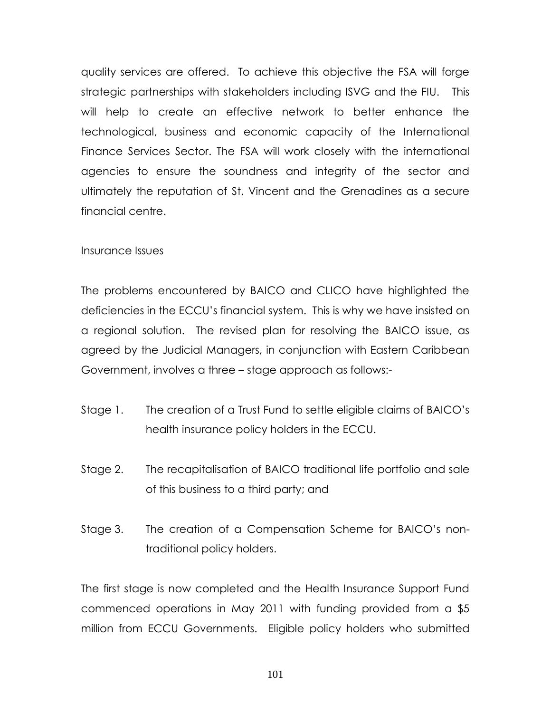quality services are offered. To achieve this objective the FSA will forge strategic partnerships with stakeholders including ISVG and the FIU. This will help to create an effective network to better enhance the technological, business and economic capacity of the International Finance Services Sector. The FSA will work closely with the international agencies to ensure the soundness and integrity of the sector and ultimately the reputation of St. Vincent and the Grenadines as a secure financial centre.

### Insurance Issues

The problems encountered by BAICO and CLICO have highlighted the deficiencies in the ECCU's financial system. This is why we have insisted on a regional solution. The revised plan for resolving the BAICO issue, as agreed by the Judicial Managers, in conjunction with Eastern Caribbean Government, involves a three – stage approach as follows:-

- Stage 1. The creation of a Trust Fund to settle eligible claims of BAICO's health insurance policy holders in the ECCU.
- Stage 2. The recapitalisation of BAICO traditional life portfolio and sale of this business to a third party; and
- Stage 3. The creation of a Compensation Scheme for BAICO's nontraditional policy holders.

The first stage is now completed and the Health Insurance Support Fund commenced operations in May 2011 with funding provided from a \$5 million from ECCU Governments. Eligible policy holders who submitted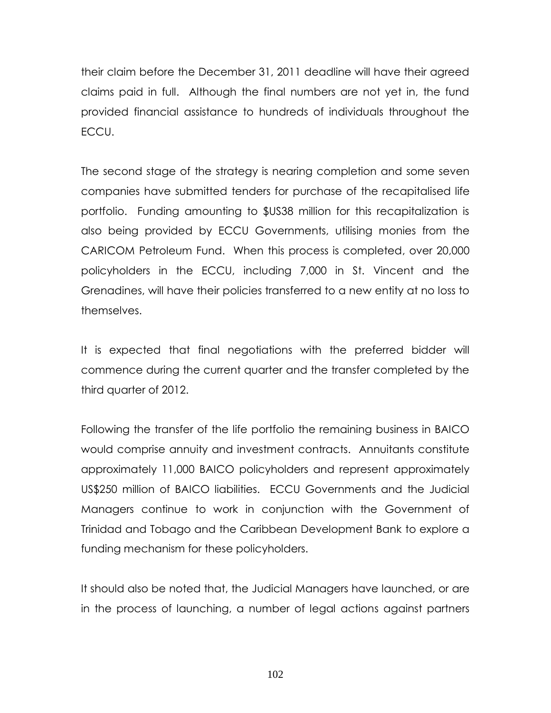their claim before the December 31, 2011 deadline will have their agreed claims paid in full. Although the final numbers are not yet in, the fund provided financial assistance to hundreds of individuals throughout the ECCU.

The second stage of the strategy is nearing completion and some seven companies have submitted tenders for purchase of the recapitalised life portfolio. Funding amounting to \$US38 million for this recapitalization is also being provided by ECCU Governments, utilising monies from the CARICOM Petroleum Fund. When this process is completed, over 20,000 policyholders in the ECCU, including 7,000 in St. Vincent and the Grenadines, will have their policies transferred to a new entity at no loss to themselves.

It is expected that final negotiations with the preferred bidder will commence during the current quarter and the transfer completed by the third quarter of 2012.

Following the transfer of the life portfolio the remaining business in BAICO would comprise annuity and investment contracts. Annuitants constitute approximately 11,000 BAICO policyholders and represent approximately US\$250 million of BAICO liabilities. ECCU Governments and the Judicial Managers continue to work in conjunction with the Government of Trinidad and Tobago and the Caribbean Development Bank to explore a funding mechanism for these policyholders.

It should also be noted that, the Judicial Managers have launched, or are in the process of launching, a number of legal actions against partners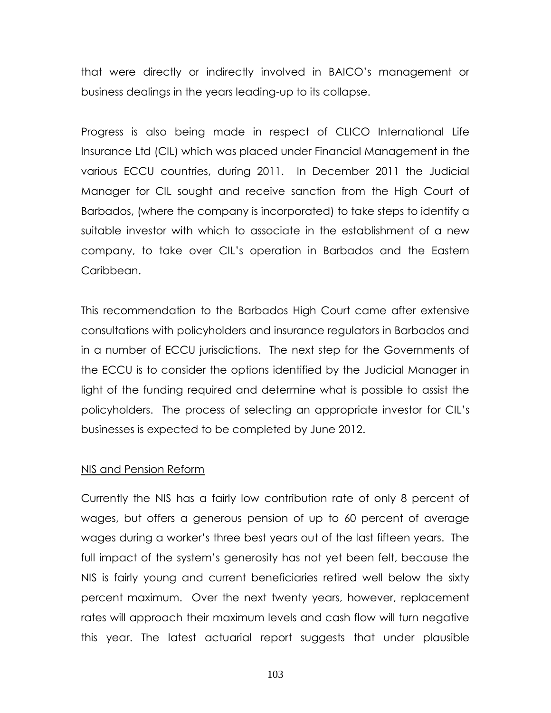that were directly or indirectly involved in BAICO's management or business dealings in the years leading-up to its collapse.

Progress is also being made in respect of CLICO International Life Insurance Ltd (CIL) which was placed under Financial Management in the various ECCU countries, during 2011. In December 2011 the Judicial Manager for CIL sought and receive sanction from the High Court of Barbados, (where the company is incorporated) to take steps to identify a suitable investor with which to associate in the establishment of a new company, to take over CIL's operation in Barbados and the Eastern Caribbean.

This recommendation to the Barbados High Court came after extensive consultations with policyholders and insurance regulators in Barbados and in a number of ECCU jurisdictions. The next step for the Governments of the ECCU is to consider the options identified by the Judicial Manager in light of the funding required and determine what is possible to assist the policyholders. The process of selecting an appropriate investor for CIL's businesses is expected to be completed by June 2012.

#### NIS and Pension Reform

Currently the NIS has a fairly low contribution rate of only 8 percent of wages, but offers a generous pension of up to 60 percent of average wages during a worker's three best years out of the last fifteen years. The full impact of the system's generosity has not yet been felt, because the NIS is fairly young and current beneficiaries retired well below the sixty percent maximum. Over the next twenty years, however, replacement rates will approach their maximum levels and cash flow will turn negative this year. The latest actuarial report suggests that under plausible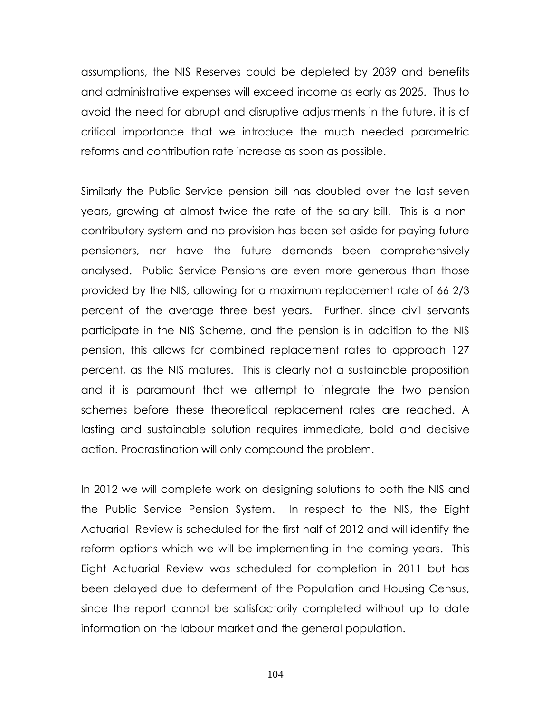assumptions, the NIS Reserves could be depleted by 2039 and benefits and administrative expenses will exceed income as early as 2025. Thus to avoid the need for abrupt and disruptive adjustments in the future, it is of critical importance that we introduce the much needed parametric reforms and contribution rate increase as soon as possible.

Similarly the Public Service pension bill has doubled over the last seven years, growing at almost twice the rate of the salary bill. This is a noncontributory system and no provision has been set aside for paying future pensioners, nor have the future demands been comprehensively analysed. Public Service Pensions are even more generous than those provided by the NIS, allowing for a maximum replacement rate of 66 2/3 percent of the average three best years. Further, since civil servants participate in the NIS Scheme, and the pension is in addition to the NIS pension, this allows for combined replacement rates to approach 127 percent, as the NIS matures. This is clearly not a sustainable proposition and it is paramount that we attempt to integrate the two pension schemes before these theoretical replacement rates are reached. A lasting and sustainable solution requires immediate, bold and decisive action. Procrastination will only compound the problem.

In 2012 we will complete work on designing solutions to both the NIS and the Public Service Pension System. In respect to the NIS, the Eight Actuarial Review is scheduled for the first half of 2012 and will identify the reform options which we will be implementing in the coming years. This Eight Actuarial Review was scheduled for completion in 2011 but has been delayed due to deferment of the Population and Housing Census, since the report cannot be satisfactorily completed without up to date information on the labour market and the general population.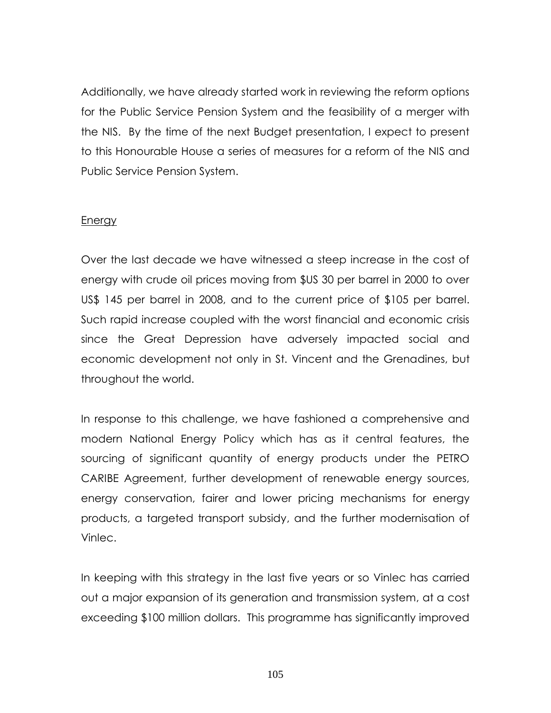Additionally, we have already started work in reviewing the reform options for the Public Service Pension System and the feasibility of a merger with the NIS. By the time of the next Budget presentation, I expect to present to this Honourable House a series of measures for a reform of the NIS and Public Service Pension System.

#### Energy

Over the last decade we have witnessed a steep increase in the cost of energy with crude oil prices moving from \$US 30 per barrel in 2000 to over US\$ 145 per barrel in 2008, and to the current price of \$105 per barrel. Such rapid increase coupled with the worst financial and economic crisis since the Great Depression have adversely impacted social and economic development not only in St. Vincent and the Grenadines, but throughout the world.

In response to this challenge, we have fashioned a comprehensive and modern National Energy Policy which has as it central features, the sourcing of significant quantity of energy products under the PETRO CARIBE Agreement, further development of renewable energy sources, energy conservation, fairer and lower pricing mechanisms for energy products, a targeted transport subsidy, and the further modernisation of Vinlec.

In keeping with this strategy in the last five years or so Vinlec has carried out a major expansion of its generation and transmission system, at a cost exceeding \$100 million dollars. This programme has significantly improved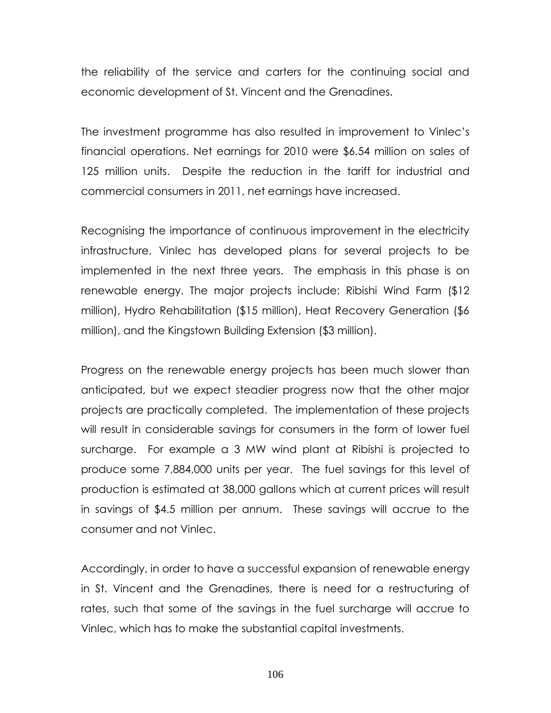the reliability of the service and carters for the continuing social and economic development of St. Vincent and the Grenadines.

The investment programme has also resulted in improvement to Vinlec's financial operations. Net earnings for 2010 were \$6.54 million on sales of 125 million units. Despite the reduction in the tariff for industrial and commercial consumers in 2011, net earnings have increased.

Recognising the importance of continuous improvement in the electricity infrastructure, Vinlec has developed plans for several projects to be implemented in the next three years. The emphasis in this phase is on renewable energy. The major projects include: Ribishi Wind Farm (\$12 million), Hydro Rehabilitation (\$15 million), Heat Recovery Generation (\$6 million), and the Kingstown Building Extension (\$3 million).

Progress on the renewable energy projects has been much slower than anticipated, but we expect steadier progress now that the other major projects are practically completed. The implementation of these projects will result in considerable savings for consumers in the form of lower fuel surcharge. For example a 3 MW wind plant at Ribishi is projected to produce some 7,884,000 units per year. The fuel savings for this level of production is estimated at 38,000 gallons which at current prices will result in savings of \$4.5 million per annum. These savings will accrue to the consumer and not Vinlec.

Accordingly, in order to have a successful expansion of renewable energy in St. Vincent and the Grenadines, there is need for a restructuring of rates, such that some of the savings in the fuel surcharge will accrue to Vinlec, which has to make the substantial capital investments.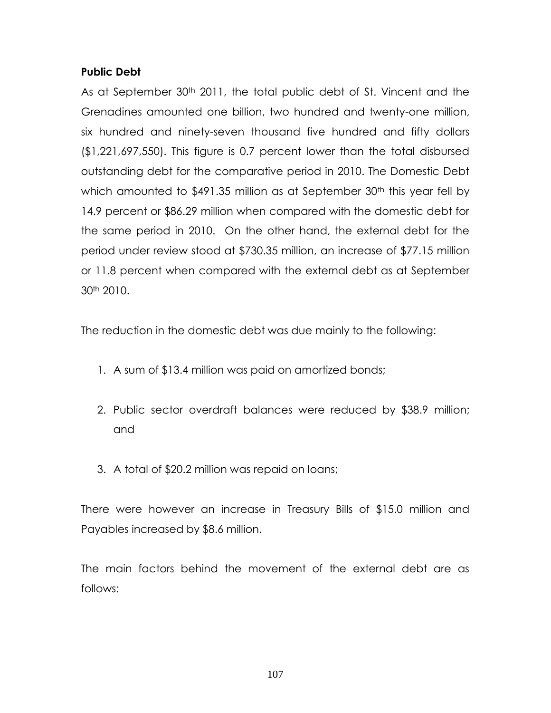## **Public Debt**

As at September 30<sup>th</sup> 2011, the total public debt of St. Vincent and the Grenadines amounted one billion, two hundred and twenty-one million, six hundred and ninety-seven thousand five hundred and fifty dollars (\$1,221,697,550). This figure is 0.7 percent lower than the total disbursed outstanding debt for the comparative period in 2010. The Domestic Debt which amounted to \$491.35 million as at September 30<sup>th</sup> this year fell by 14.9 percent or \$86.29 million when compared with the domestic debt for the same period in 2010. On the other hand, the external debt for the period under review stood at \$730.35 million, an increase of \$77.15 million or 11.8 percent when compared with the external debt as at September 30th 2010.

The reduction in the domestic debt was due mainly to the following:

- 1. A sum of \$13.4 million was paid on amortized bonds;
- 2. Public sector overdraft balances were reduced by \$38.9 million; and
- 3. A total of \$20.2 million was repaid on loans;

There were however an increase in Treasury Bills of \$15.0 million and Payables increased by \$8.6 million.

The main factors behind the movement of the external debt are as follows: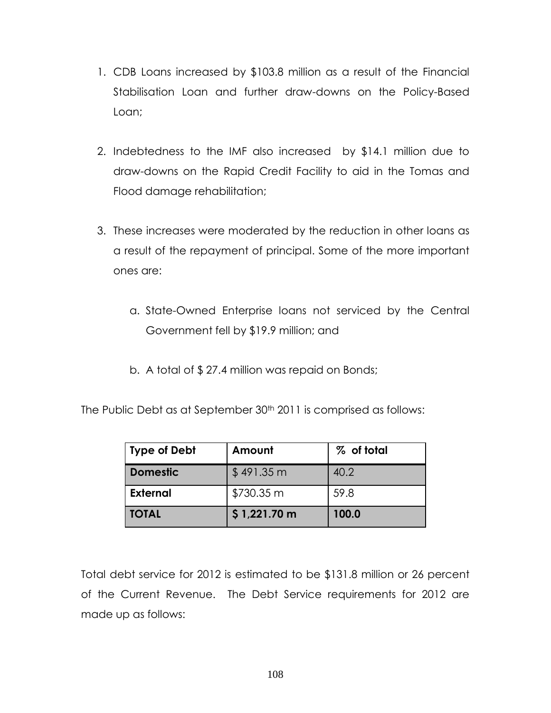- 1. CDB Loans increased by \$103.8 million as a result of the Financial Stabilisation Loan and further draw-downs on the Policy-Based Loan;
- 2. Indebtedness to the IMF also increased by \$14.1 million due to draw-downs on the Rapid Credit Facility to aid in the Tomas and Flood damage rehabilitation;
- 3. These increases were moderated by the reduction in other loans as a result of the repayment of principal. Some of the more important ones are:
	- a. State-Owned Enterprise loans not serviced by the Central Government fell by \$19.9 million; and
	- b. A total of \$ 27.4 million was repaid on Bonds;

The Public Debt as at September 30<sup>th</sup> 2011 is comprised as follows:

| <b>Type of Debt</b> | Amount       | % of total |
|---------------------|--------------|------------|
| <b>Domestic</b>     | \$491.35 m   | 40.2       |
| <b>External</b>     | \$730.35 m   | 59.8       |
| <b>TOTAL</b>        | \$1,221.70 m | 100.0      |

Total debt service for 2012 is estimated to be \$131.8 million or 26 percent of the Current Revenue. The Debt Service requirements for 2012 are made up as follows: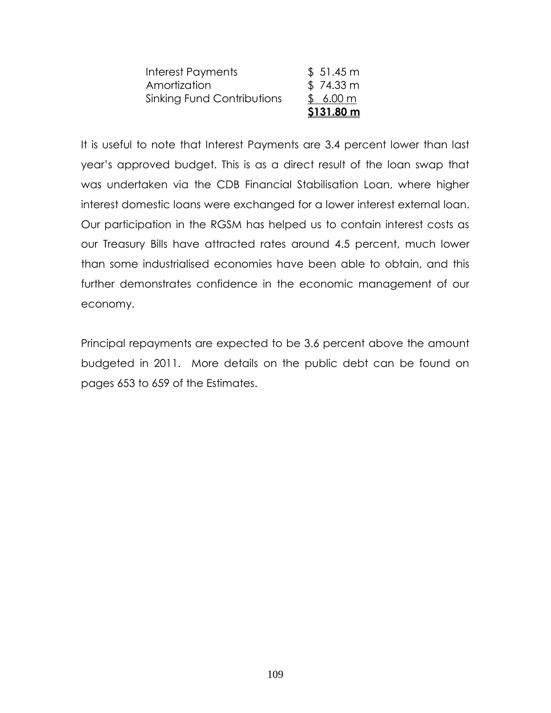| \$6.00 m  |
|-----------|
| \$74.33 m |
| \$51.45 m |
|           |

It is useful to note that Interest Payments are 3.4 percent lower than last year's approved budget. This is as a direct result of the loan swap that was undertaken via the CDB Financial Stabilisation Loan, where higher interest domestic loans were exchanged for a lower interest external loan. Our participation in the RGSM has helped us to contain interest costs as our Treasury Bills have attracted rates around 4.5 percent, much lower than some industrialised economies have been able to obtain, and this further demonstrates confidence in the economic management of our economy.

Principal repayments are expected to be 3.6 percent above the amount budgeted in 2011. More details on the public debt can be found on pages 653 to 659 of the Estimates.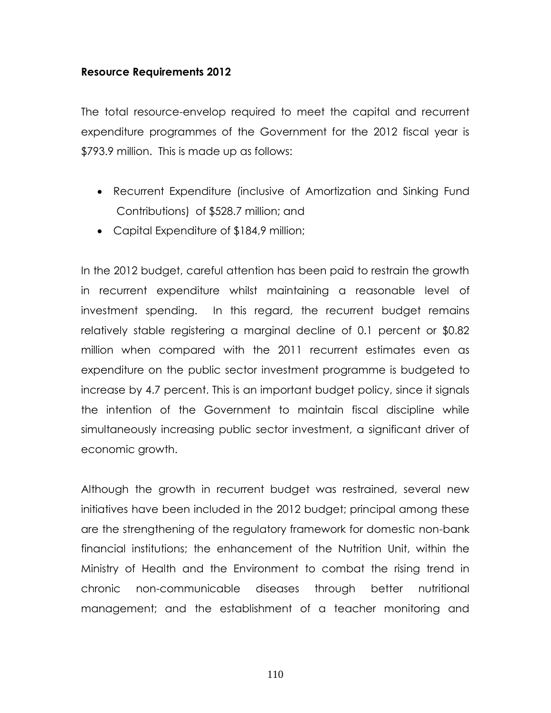## **Resource Requirements 2012**

The total resource-envelop required to meet the capital and recurrent expenditure programmes of the Government for the 2012 fiscal year is \$793.9 million. This is made up as follows:

- Recurrent Expenditure (inclusive of Amortization and Sinking Fund Contributions) of \$528.7 million; and
- Capital Expenditure of \$184,9 million;

In the 2012 budget, careful attention has been paid to restrain the growth in recurrent expenditure whilst maintaining a reasonable level of investment spending. In this regard, the recurrent budget remains relatively stable registering a marginal decline of 0.1 percent or \$0.82 million when compared with the 2011 recurrent estimates even as expenditure on the public sector investment programme is budgeted to increase by 4.7 percent. This is an important budget policy, since it signals the intention of the Government to maintain fiscal discipline while simultaneously increasing public sector investment, a significant driver of economic growth.

Although the growth in recurrent budget was restrained, several new initiatives have been included in the 2012 budget; principal among these are the strengthening of the regulatory framework for domestic non-bank financial institutions; the enhancement of the Nutrition Unit, within the Ministry of Health and the Environment to combat the rising trend in chronic non-communicable diseases through better nutritional management; and the establishment of a teacher monitoring and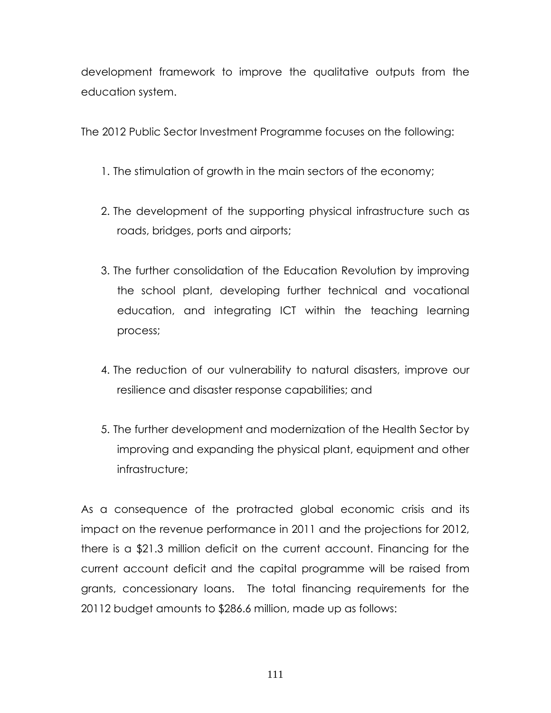development framework to improve the qualitative outputs from the education system.

The 2012 Public Sector Investment Programme focuses on the following:

- 1. The stimulation of growth in the main sectors of the economy;
- 2. The development of the supporting physical infrastructure such as roads, bridges, ports and airports;
- 3. The further consolidation of the Education Revolution by improving the school plant, developing further technical and vocational education, and integrating ICT within the teaching learning process;
- 4. The reduction of our vulnerability to natural disasters, improve our resilience and disaster response capabilities; and
- 5. The further development and modernization of the Health Sector by improving and expanding the physical plant, equipment and other infrastructure;

As a consequence of the protracted global economic crisis and its impact on the revenue performance in 2011 and the projections for 2012, there is a \$21.3 million deficit on the current account. Financing for the current account deficit and the capital programme will be raised from grants, concessionary loans. The total financing requirements for the 20112 budget amounts to \$286.6 million, made up as follows: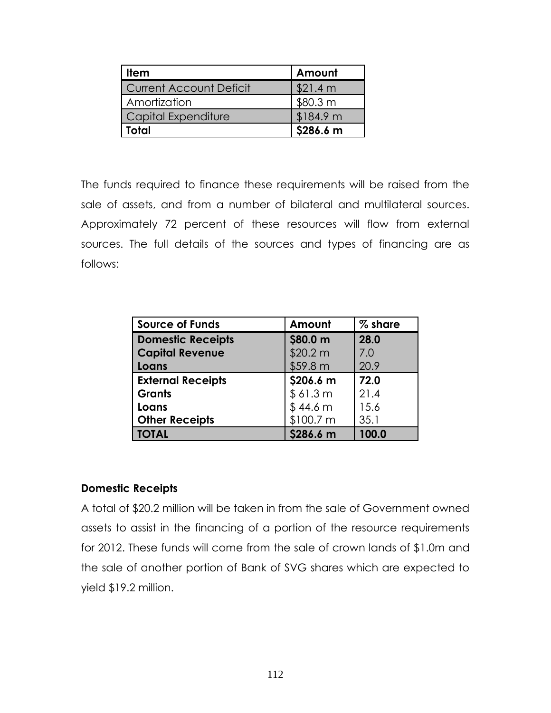| <b>Item</b>             | Amount    |
|-------------------------|-----------|
| Current Account Deficit | \$21.4 m  |
| Amortization            | \$80.3 m  |
| Capital Expenditure     | \$184.9 m |
| Total                   | \$286.6 m |

The funds required to finance these requirements will be raised from the sale of assets, and from a number of bilateral and multilateral sources. Approximately 72 percent of these resources will flow from external sources. The full details of the sources and types of financing are as follows:

| <b>Source of Funds</b>   | Amount    | % share |
|--------------------------|-----------|---------|
| <b>Domestic Receipts</b> | \$80.0 m  | 28.0    |
| <b>Capital Revenue</b>   | \$20.2 m  | 7.0     |
| Loans                    | \$59.8 m  | 20.9    |
| <b>External Receipts</b> | \$206.6 m | 72.0    |
| <b>Grants</b>            | \$61.3 m  | 21.4    |
| Loans                    | \$44.6 m  | 15.6    |
| <b>Other Receipts</b>    | \$100.7 m | 35.1    |
| <b>TOTAL</b>             | \$286.6 m | 100.0   |

# **Domestic Receipts**

A total of \$20.2 million will be taken in from the sale of Government owned assets to assist in the financing of a portion of the resource requirements for 2012. These funds will come from the sale of crown lands of \$1.0m and the sale of another portion of Bank of SVG shares which are expected to yield \$19.2 million.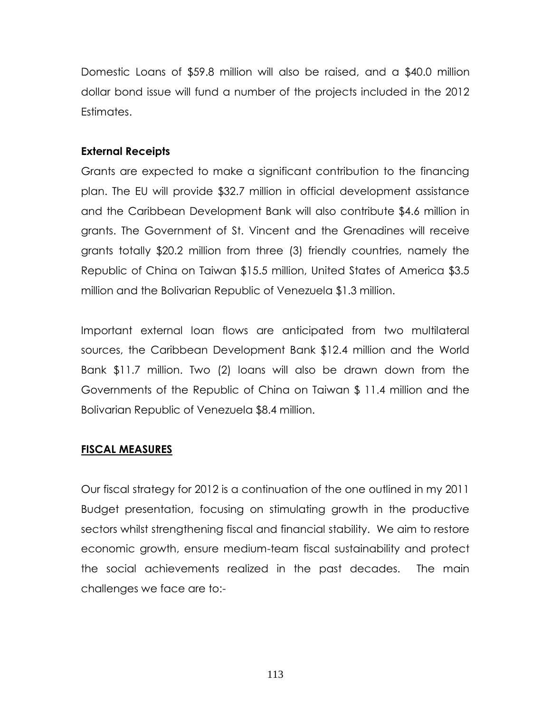Domestic Loans of \$59.8 million will also be raised, and a \$40.0 million dollar bond issue will fund a number of the projects included in the 2012 Estimates.

# **External Receipts**

Grants are expected to make a significant contribution to the financing plan. The EU will provide \$32.7 million in official development assistance and the Caribbean Development Bank will also contribute \$4.6 million in grants. The Government of St. Vincent and the Grenadines will receive grants totally \$20.2 million from three (3) friendly countries, namely the Republic of China on Taiwan \$15.5 million, United States of America \$3.5 million and the Bolivarian Republic of Venezuela \$1.3 million.

Important external loan flows are anticipated from two multilateral sources, the Caribbean Development Bank \$12.4 million and the World Bank \$11.7 million. Two (2) loans will also be drawn down from the Governments of the Republic of China on Taiwan \$ 11.4 million and the Bolivarian Republic of Venezuela \$8.4 million.

# **FISCAL MEASURES**

Our fiscal strategy for 2012 is a continuation of the one outlined in my 2011 Budget presentation, focusing on stimulating growth in the productive sectors whilst strengthening fiscal and financial stability. We aim to restore economic growth, ensure medium-team fiscal sustainability and protect the social achievements realized in the past decades. The main challenges we face are to:-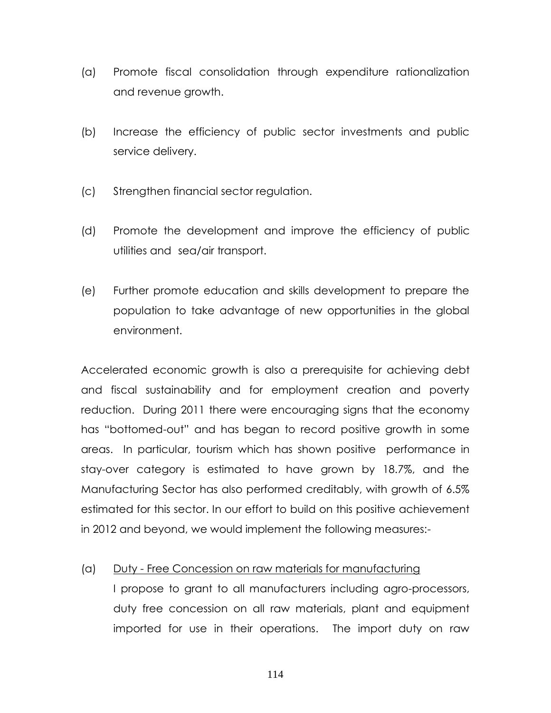- (a) Promote fiscal consolidation through expenditure rationalization and revenue growth.
- (b) Increase the efficiency of public sector investments and public service delivery.
- (c) Strengthen financial sector regulation.
- (d) Promote the development and improve the efficiency of public utilities and sea/air transport.
- (e) Further promote education and skills development to prepare the population to take advantage of new opportunities in the global environment.

Accelerated economic growth is also a prerequisite for achieving debt and fiscal sustainability and for employment creation and poverty reduction. During 2011 there were encouraging signs that the economy has "bottomed-out" and has began to record positive growth in some areas. In particular, tourism which has shown positive performance in stay-over category is estimated to have grown by 18.7%, and the Manufacturing Sector has also performed creditably, with growth of 6.5% estimated for this sector. In our effort to build on this positive achievement in 2012 and beyond, we would implement the following measures:-

## (a) Duty - Free Concession on raw materials for manufacturing

I propose to grant to all manufacturers including agro-processors, duty free concession on all raw materials, plant and equipment imported for use in their operations. The import duty on raw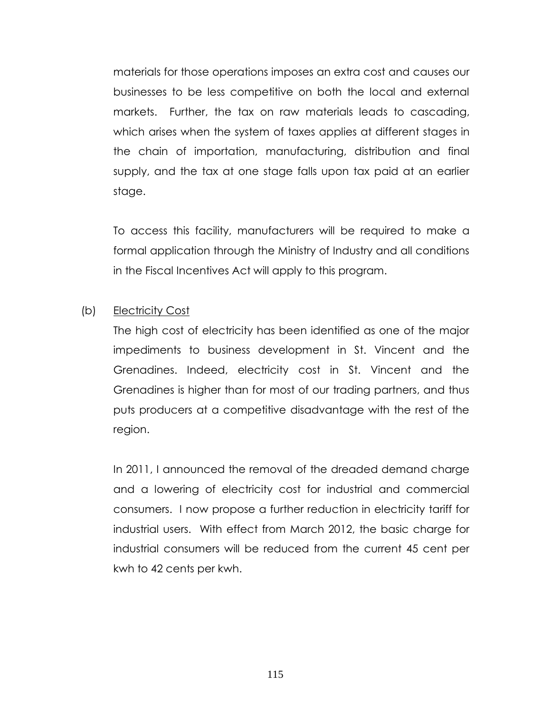materials for those operations imposes an extra cost and causes our businesses to be less competitive on both the local and external markets. Further, the tax on raw materials leads to cascading, which arises when the system of taxes applies at different stages in the chain of importation, manufacturing, distribution and final supply, and the tax at one stage falls upon tax paid at an earlier stage.

To access this facility, manufacturers will be required to make a formal application through the Ministry of Industry and all conditions in the Fiscal Incentives Act will apply to this program.

## (b) Electricity Cost

The high cost of electricity has been identified as one of the major impediments to business development in St. Vincent and the Grenadines. Indeed, electricity cost in St. Vincent and the Grenadines is higher than for most of our trading partners, and thus puts producers at a competitive disadvantage with the rest of the region.

In 2011, I announced the removal of the dreaded demand charge and a lowering of electricity cost for industrial and commercial consumers. I now propose a further reduction in electricity tariff for industrial users. With effect from March 2012, the basic charge for industrial consumers will be reduced from the current 45 cent per kwh to 42 cents per kwh.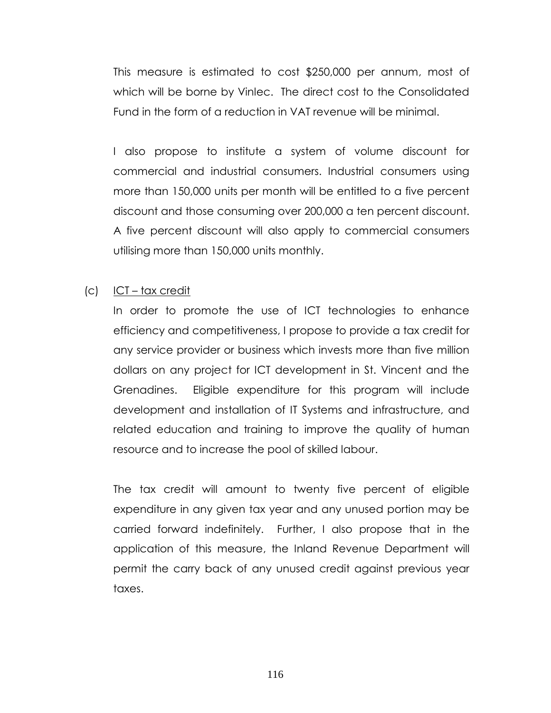This measure is estimated to cost \$250,000 per annum, most of which will be borne by Vinlec. The direct cost to the Consolidated Fund in the form of a reduction in VAT revenue will be minimal.

I also propose to institute a system of volume discount for commercial and industrial consumers. Industrial consumers using more than 150,000 units per month will be entitled to a five percent discount and those consuming over 200,000 a ten percent discount. A five percent discount will also apply to commercial consumers utilising more than 150,000 units monthly.

## (c) ICT – tax credit

In order to promote the use of ICT technologies to enhance efficiency and competitiveness, I propose to provide a tax credit for any service provider or business which invests more than five million dollars on any project for ICT development in St. Vincent and the Grenadines. Eligible expenditure for this program will include development and installation of IT Systems and infrastructure, and related education and training to improve the quality of human resource and to increase the pool of skilled labour.

The tax credit will amount to twenty five percent of eligible expenditure in any given tax year and any unused portion may be carried forward indefinitely. Further, I also propose that in the application of this measure, the Inland Revenue Department will permit the carry back of any unused credit against previous year taxes.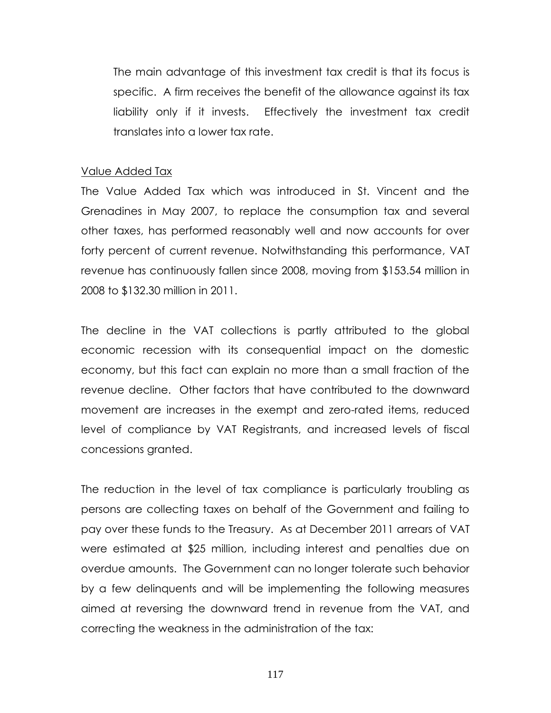The main advantage of this investment tax credit is that its focus is specific. A firm receives the benefit of the allowance against its tax liability only if it invests. Effectively the investment tax credit translates into a lower tax rate.

#### Value Added Tax

The Value Added Tax which was introduced in St. Vincent and the Grenadines in May 2007, to replace the consumption tax and several other taxes, has performed reasonably well and now accounts for over forty percent of current revenue. Notwithstanding this performance, VAT revenue has continuously fallen since 2008, moving from \$153.54 million in 2008 to \$132.30 million in 2011.

The decline in the VAT collections is partly attributed to the global economic recession with its consequential impact on the domestic economy, but this fact can explain no more than a small fraction of the revenue decline. Other factors that have contributed to the downward movement are increases in the exempt and zero-rated items, reduced level of compliance by VAT Registrants, and increased levels of fiscal concessions granted.

The reduction in the level of tax compliance is particularly troubling as persons are collecting taxes on behalf of the Government and failing to pay over these funds to the Treasury. As at December 2011 arrears of VAT were estimated at \$25 million, including interest and penalties due on overdue amounts. The Government can no longer tolerate such behavior by a few delinquents and will be implementing the following measures aimed at reversing the downward trend in revenue from the VAT, and correcting the weakness in the administration of the tax: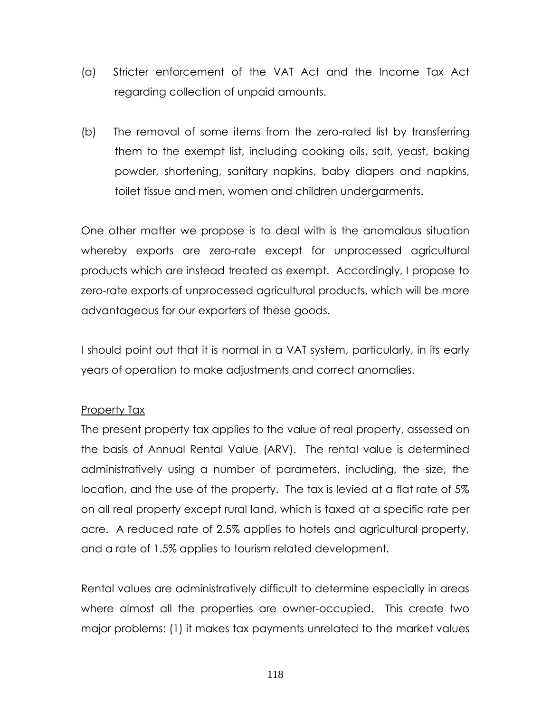- (a) Stricter enforcement of the VAT Act and the Income Tax Act regarding collection of unpaid amounts.
- (b) The removal of some items from the zero-rated list by transferring them to the exempt list, including cooking oils, salt, yeast, baking powder, shortening, sanitary napkins, baby diapers and napkins, toilet tissue and men, women and children undergarments.

One other matter we propose is to deal with is the anomalous situation whereby exports are zero-rate except for unprocessed agricultural products which are instead treated as exempt. Accordingly, I propose to zero-rate exports of unprocessed agricultural products, which will be more advantageous for our exporters of these goods.

I should point out that it is normal in a VAT system, particularly, in its early years of operation to make adjustments and correct anomalies.

# Property Tax

The present property tax applies to the value of real property, assessed on the basis of Annual Rental Value (ARV). The rental value is determined administratively using a number of parameters, including, the size, the location, and the use of the property. The tax is levied at a flat rate of 5% on all real property except rural land, which is taxed at a specific rate per acre. A reduced rate of 2.5% applies to hotels and agricultural property, and a rate of 1.5% applies to tourism related development.

Rental values are administratively difficult to determine especially in areas where almost all the properties are owner-occupied. This create two major problems: (1) it makes tax payments unrelated to the market values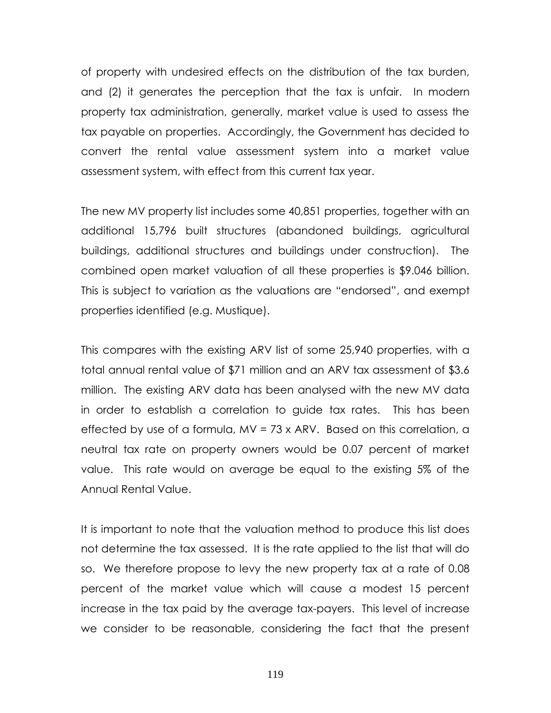of property with undesired effects on the distribution of the tax burden, and (2) it generates the perception that the tax is unfair. In modern property tax administration, generally, market value is used to assess the tax payable on properties. Accordingly, the Government has decided to convert the rental value assessment system into a market value assessment system, with effect from this current tax year.

The new MV property list includes some 40,851 properties, together with an additional 15,796 built structures (abandoned buildings, agricultural buildings, additional structures and buildings under construction). The combined open market valuation of all these properties is \$9.046 billion. This is subject to variation as the valuations are "endorsed", and exempt properties identified (e.g. Mustique).

This compares with the existing ARV list of some 25,940 properties, with a total annual rental value of \$71 million and an ARV tax assessment of \$3.6 million. The existing ARV data has been analysed with the new MV data in order to establish a correlation to guide tax rates. This has been effected by use of a formula, MV = 73 x ARV. Based on this correlation, a neutral tax rate on property owners would be 0.07 percent of market value. This rate would on average be equal to the existing 5% of the Annual Rental Value.

It is important to note that the valuation method to produce this list does not determine the tax assessed. It is the rate applied to the list that will do so. We therefore propose to levy the new property tax at a rate of 0.08 percent of the market value which will cause a modest 15 percent increase in the tax paid by the average tax-payers. This level of increase we consider to be reasonable, considering the fact that the present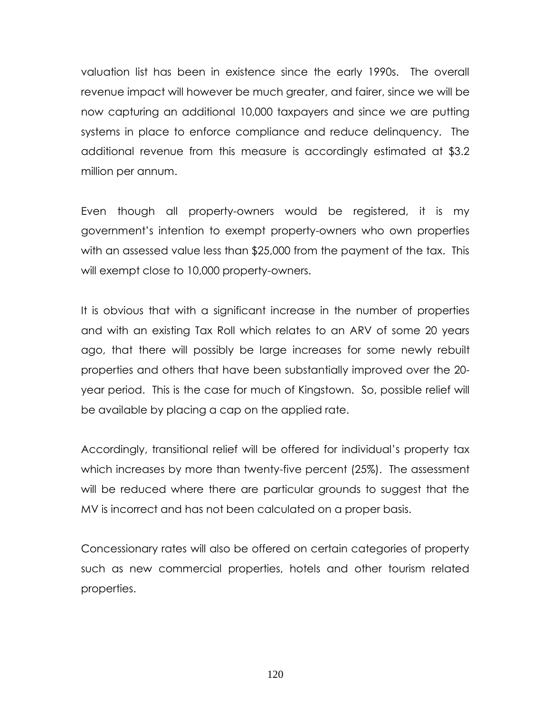valuation list has been in existence since the early 1990s. The overall revenue impact will however be much greater, and fairer, since we will be now capturing an additional 10,000 taxpayers and since we are putting systems in place to enforce compliance and reduce delinquency. The additional revenue from this measure is accordingly estimated at \$3.2 million per annum.

Even though all property-owners would be registered, it is my government's intention to exempt property-owners who own properties with an assessed value less than \$25,000 from the payment of the tax. This will exempt close to 10,000 property-owners.

It is obvious that with a significant increase in the number of properties and with an existing Tax Roll which relates to an ARV of some 20 years ago, that there will possibly be large increases for some newly rebuilt properties and others that have been substantially improved over the 20 year period. This is the case for much of Kingstown. So, possible relief will be available by placing a cap on the applied rate.

Accordingly, transitional relief will be offered for individual's property tax which increases by more than twenty-five percent (25%). The assessment will be reduced where there are particular grounds to suggest that the MV is incorrect and has not been calculated on a proper basis.

Concessionary rates will also be offered on certain categories of property such as new commercial properties, hotels and other tourism related properties.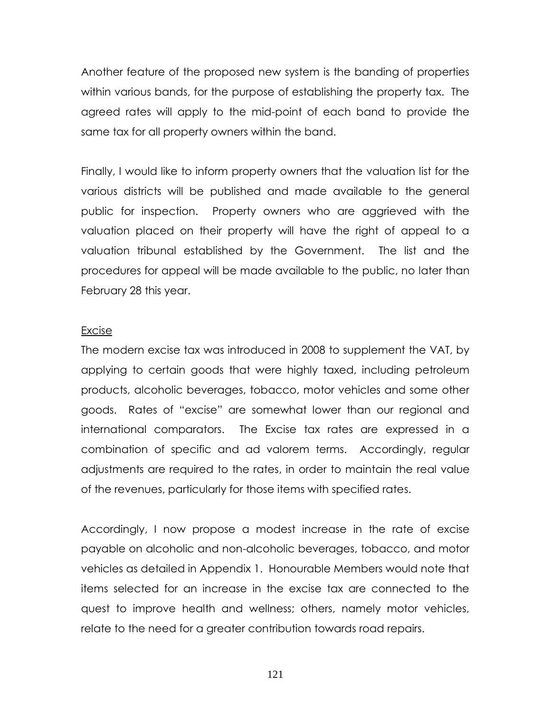Another feature of the proposed new system is the banding of properties within various bands, for the purpose of establishing the property tax. The agreed rates will apply to the mid-point of each band to provide the same tax for all property owners within the band.

Finally, I would like to inform property owners that the valuation list for the various districts will be published and made available to the general public for inspection. Property owners who are aggrieved with the valuation placed on their property will have the right of appeal to a valuation tribunal established by the Government. The list and the procedures for appeal will be made available to the public, no later than February 28 this year.

#### Excise

The modern excise tax was introduced in 2008 to supplement the VAT, by applying to certain goods that were highly taxed, including petroleum products, alcoholic beverages, tobacco, motor vehicles and some other goods. Rates of "excise" are somewhat lower than our regional and international comparators. The Excise tax rates are expressed in a combination of specific and ad valorem terms. Accordingly, regular adjustments are required to the rates, in order to maintain the real value of the revenues, particularly for those items with specified rates.

Accordingly, I now propose a modest increase in the rate of excise payable on alcoholic and non-alcoholic beverages, tobacco, and motor vehicles as detailed in Appendix 1. Honourable Members would note that items selected for an increase in the excise tax are connected to the quest to improve health and wellness; others, namely motor vehicles, relate to the need for a greater contribution towards road repairs.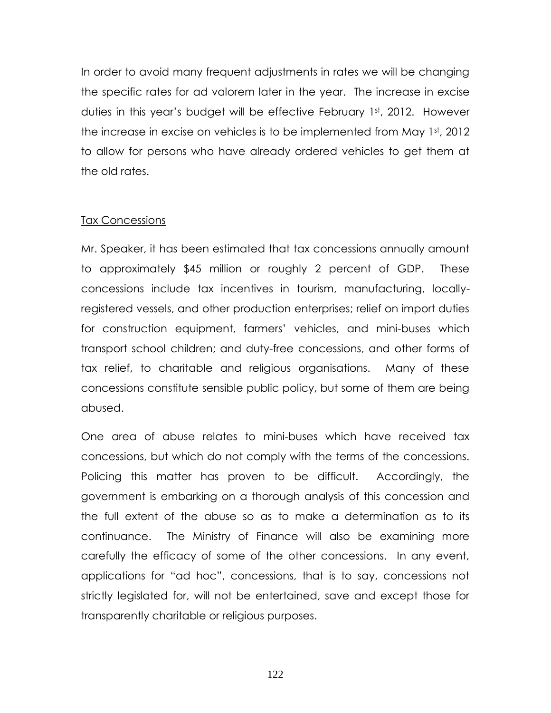In order to avoid many frequent adjustments in rates we will be changing the specific rates for ad valorem later in the year. The increase in excise duties in this year's budget will be effective February 1st, 2012. However the increase in excise on vehicles is to be implemented from May 1st, 2012 to allow for persons who have already ordered vehicles to get them at the old rates.

## Tax Concessions

Mr. Speaker, it has been estimated that tax concessions annually amount to approximately \$45 million or roughly 2 percent of GDP. These concessions include tax incentives in tourism, manufacturing, locallyregistered vessels, and other production enterprises; relief on import duties for construction equipment, farmers' vehicles, and mini-buses which transport school children; and duty-free concessions, and other forms of tax relief, to charitable and religious organisations. Many of these concessions constitute sensible public policy, but some of them are being abused.

One area of abuse relates to mini-buses which have received tax concessions, but which do not comply with the terms of the concessions. Policing this matter has proven to be difficult. Accordingly, the government is embarking on a thorough analysis of this concession and the full extent of the abuse so as to make a determination as to its continuance. The Ministry of Finance will also be examining more carefully the efficacy of some of the other concessions. In any event, applications for "ad hoc", concessions, that is to say, concessions not strictly legislated for, will not be entertained, save and except those for transparently charitable or religious purposes.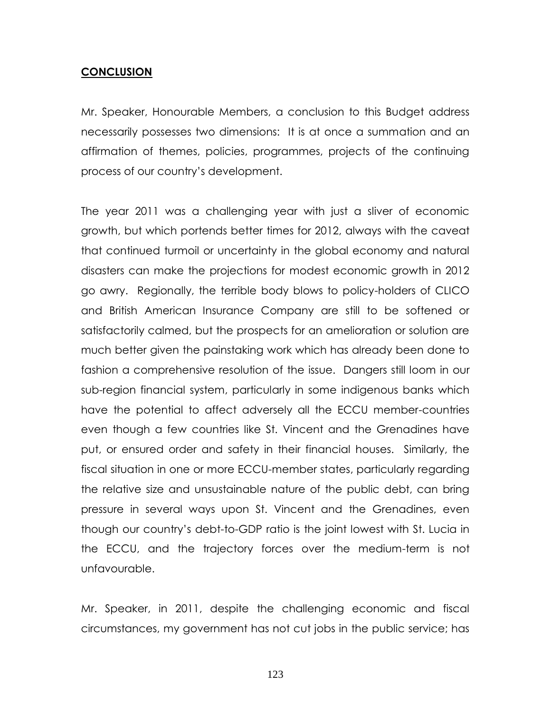## **CONCLUSION**

Mr. Speaker, Honourable Members, a conclusion to this Budget address necessarily possesses two dimensions: It is at once a summation and an affirmation of themes, policies, programmes, projects of the continuing process of our country's development.

The year 2011 was a challenging year with just a sliver of economic growth, but which portends better times for 2012, always with the caveat that continued turmoil or uncertainty in the global economy and natural disasters can make the projections for modest economic growth in 2012 go awry. Regionally, the terrible body blows to policy-holders of CLICO and British American Insurance Company are still to be softened or satisfactorily calmed, but the prospects for an amelioration or solution are much better given the painstaking work which has already been done to fashion a comprehensive resolution of the issue. Dangers still loom in our sub-region financial system, particularly in some indigenous banks which have the potential to affect adversely all the ECCU member-countries even though a few countries like St. Vincent and the Grenadines have put, or ensured order and safety in their financial houses. Similarly, the fiscal situation in one or more ECCU-member states, particularly regarding the relative size and unsustainable nature of the public debt, can bring pressure in several ways upon St. Vincent and the Grenadines, even though our country's debt-to-GDP ratio is the joint lowest with St. Lucia in the ECCU, and the trajectory forces over the medium-term is not unfavourable.

Mr. Speaker, in 2011, despite the challenging economic and fiscal circumstances, my government has not cut jobs in the public service; has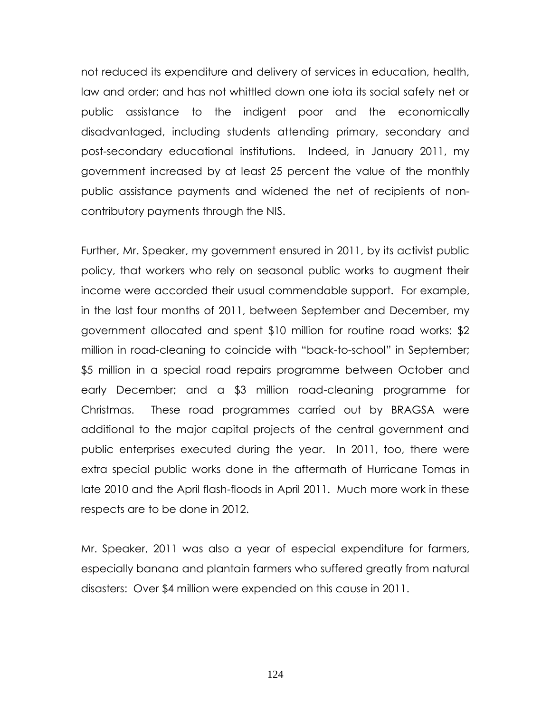not reduced its expenditure and delivery of services in education, health, law and order; and has not whittled down one iota its social safety net or public assistance to the indigent poor and the economically disadvantaged, including students attending primary, secondary and post-secondary educational institutions. Indeed, in January 2011, my government increased by at least 25 percent the value of the monthly public assistance payments and widened the net of recipients of noncontributory payments through the NIS.

Further, Mr. Speaker, my government ensured in 2011, by its activist public policy, that workers who rely on seasonal public works to augment their income were accorded their usual commendable support. For example, in the last four months of 2011, between September and December, my government allocated and spent \$10 million for routine road works: \$2 million in road-cleaning to coincide with "back-to-school" in September; \$5 million in a special road repairs programme between October and early December; and a \$3 million road-cleaning programme for Christmas. These road programmes carried out by BRAGSA were additional to the major capital projects of the central government and public enterprises executed during the year. In 2011, too, there were extra special public works done in the aftermath of Hurricane Tomas in late 2010 and the April flash-floods in April 2011. Much more work in these respects are to be done in 2012.

Mr. Speaker, 2011 was also a year of especial expenditure for farmers, especially banana and plantain farmers who suffered greatly from natural disasters: Over \$4 million were expended on this cause in 2011.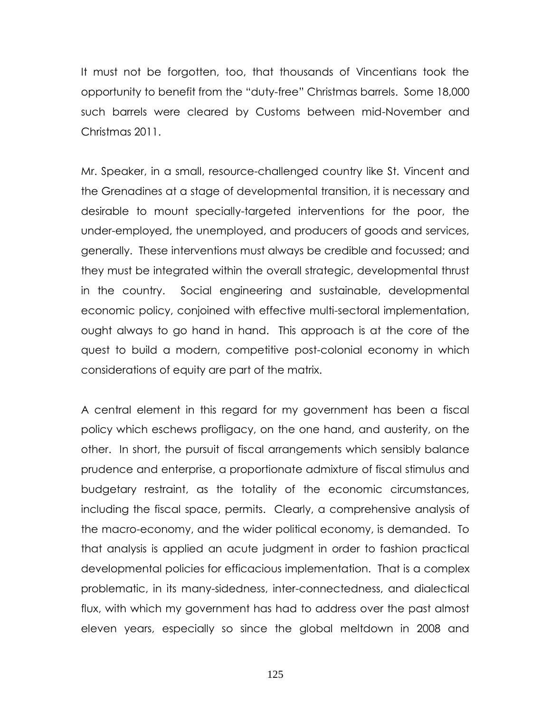It must not be forgotten, too, that thousands of Vincentians took the opportunity to benefit from the "duty-free" Christmas barrels. Some 18,000 such barrels were cleared by Customs between mid-November and Christmas 2011.

Mr. Speaker, in a small, resource-challenged country like St. Vincent and the Grenadines at a stage of developmental transition, it is necessary and desirable to mount specially-targeted interventions for the poor, the under-employed, the unemployed, and producers of goods and services, generally. These interventions must always be credible and focussed; and they must be integrated within the overall strategic, developmental thrust in the country. Social engineering and sustainable, developmental economic policy, conjoined with effective multi-sectoral implementation, ought always to go hand in hand. This approach is at the core of the quest to build a modern, competitive post-colonial economy in which considerations of equity are part of the matrix.

A central element in this regard for my government has been a fiscal policy which eschews profligacy, on the one hand, and austerity, on the other. In short, the pursuit of fiscal arrangements which sensibly balance prudence and enterprise, a proportionate admixture of fiscal stimulus and budgetary restraint, as the totality of the economic circumstances, including the fiscal space, permits. Clearly, a comprehensive analysis of the macro-economy, and the wider political economy, is demanded. To that analysis is applied an acute judgment in order to fashion practical developmental policies for efficacious implementation. That is a complex problematic, in its many-sidedness, inter-connectedness, and dialectical flux, with which my government has had to address over the past almost eleven years, especially so since the global meltdown in 2008 and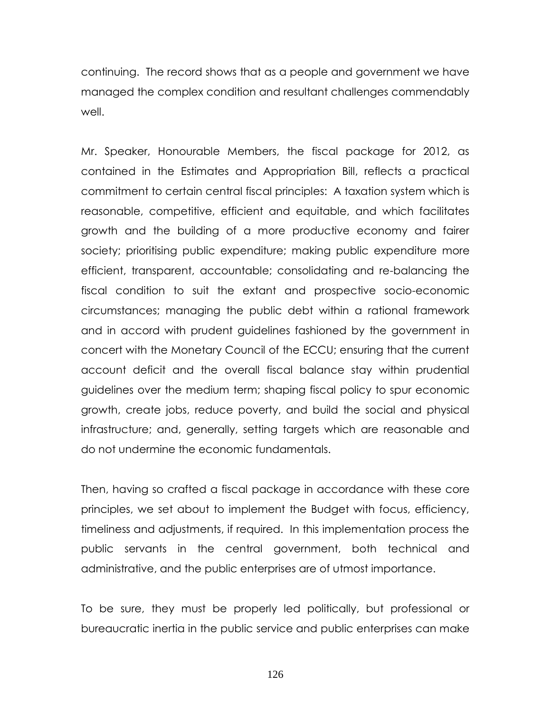continuing. The record shows that as a people and government we have managed the complex condition and resultant challenges commendably well.

Mr. Speaker, Honourable Members, the fiscal package for 2012, as contained in the Estimates and Appropriation Bill, reflects a practical commitment to certain central fiscal principles: A taxation system which is reasonable, competitive, efficient and equitable, and which facilitates growth and the building of a more productive economy and fairer society; prioritising public expenditure; making public expenditure more efficient, transparent, accountable; consolidating and re-balancing the fiscal condition to suit the extant and prospective socio-economic circumstances; managing the public debt within a rational framework and in accord with prudent guidelines fashioned by the government in concert with the Monetary Council of the ECCU; ensuring that the current account deficit and the overall fiscal balance stay within prudential guidelines over the medium term; shaping fiscal policy to spur economic growth, create jobs, reduce poverty, and build the social and physical infrastructure; and, generally, setting targets which are reasonable and do not undermine the economic fundamentals.

Then, having so crafted a fiscal package in accordance with these core principles, we set about to implement the Budget with focus, efficiency, timeliness and adjustments, if required. In this implementation process the public servants in the central government, both technical and administrative, and the public enterprises are of utmost importance.

To be sure, they must be properly led politically, but professional or bureaucratic inertia in the public service and public enterprises can make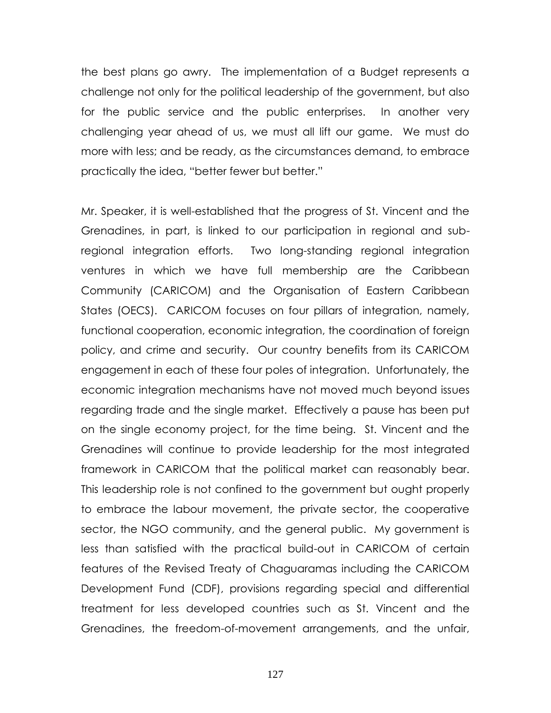the best plans go awry. The implementation of a Budget represents a challenge not only for the political leadership of the government, but also for the public service and the public enterprises. In another very challenging year ahead of us, we must all lift our game. We must do more with less; and be ready, as the circumstances demand, to embrace practically the idea, "better fewer but better."

Mr. Speaker, it is well-established that the progress of St. Vincent and the Grenadines, in part, is linked to our participation in regional and subregional integration efforts. Two long-standing regional integration ventures in which we have full membership are the Caribbean Community (CARICOM) and the Organisation of Eastern Caribbean States (OECS). CARICOM focuses on four pillars of integration, namely, functional cooperation, economic integration, the coordination of foreign policy, and crime and security. Our country benefits from its CARICOM engagement in each of these four poles of integration. Unfortunately, the economic integration mechanisms have not moved much beyond issues regarding trade and the single market. Effectively a pause has been put on the single economy project, for the time being. St. Vincent and the Grenadines will continue to provide leadership for the most integrated framework in CARICOM that the political market can reasonably bear. This leadership role is not confined to the government but ought properly to embrace the labour movement, the private sector, the cooperative sector, the NGO community, and the general public. My government is less than satisfied with the practical build-out in CARICOM of certain features of the Revised Treaty of Chaguaramas including the CARICOM Development Fund (CDF), provisions regarding special and differential treatment for less developed countries such as St. Vincent and the Grenadines, the freedom-of-movement arrangements, and the unfair,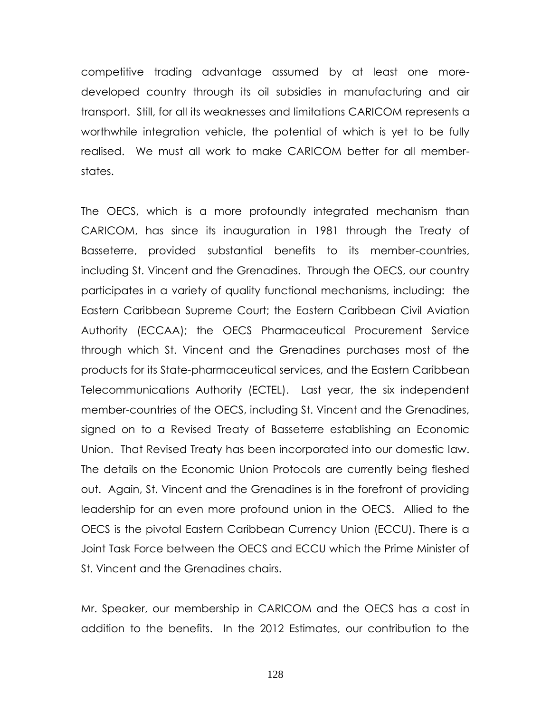competitive trading advantage assumed by at least one moredeveloped country through its oil subsidies in manufacturing and air transport. Still, for all its weaknesses and limitations CARICOM represents a worthwhile integration vehicle, the potential of which is yet to be fully realised. We must all work to make CARICOM better for all memberstates.

The OECS, which is a more profoundly integrated mechanism than CARICOM, has since its inauguration in 1981 through the Treaty of Basseterre, provided substantial benefits to its member-countries, including St. Vincent and the Grenadines. Through the OECS, our country participates in a variety of quality functional mechanisms, including: the Eastern Caribbean Supreme Court; the Eastern Caribbean Civil Aviation Authority (ECCAA); the OECS Pharmaceutical Procurement Service through which St. Vincent and the Grenadines purchases most of the products for its State-pharmaceutical services, and the Eastern Caribbean Telecommunications Authority (ECTEL). Last year, the six independent member-countries of the OECS, including St. Vincent and the Grenadines, signed on to a Revised Treaty of Basseterre establishing an Economic Union. That Revised Treaty has been incorporated into our domestic law. The details on the Economic Union Protocols are currently being fleshed out. Again, St. Vincent and the Grenadines is in the forefront of providing leadership for an even more profound union in the OECS. Allied to the OECS is the pivotal Eastern Caribbean Currency Union (ECCU). There is a Joint Task Force between the OECS and ECCU which the Prime Minister of St. Vincent and the Grenadines chairs.

Mr. Speaker, our membership in CARICOM and the OECS has a cost in addition to the benefits. In the 2012 Estimates, our contribution to the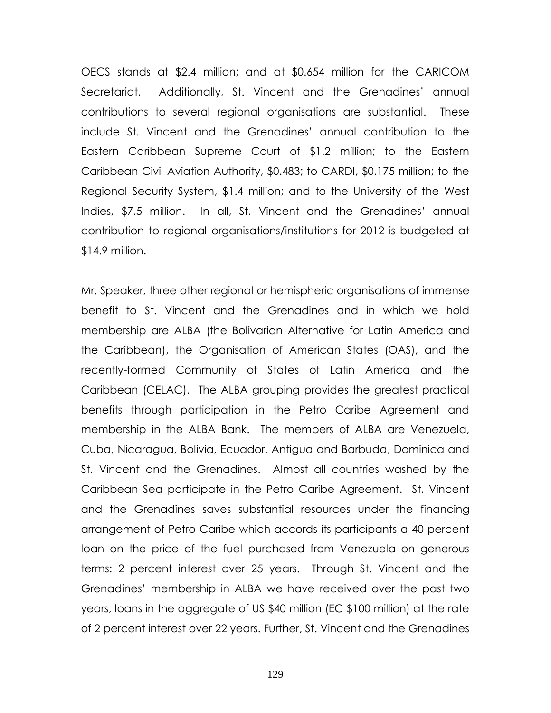OECS stands at \$2.4 million; and at \$0.654 million for the CARICOM Secretariat. Additionally, St. Vincent and the Grenadines' annual contributions to several regional organisations are substantial. These include St. Vincent and the Grenadines' annual contribution to the Eastern Caribbean Supreme Court of \$1.2 million; to the Eastern Caribbean Civil Aviation Authority, \$0.483; to CARDI, \$0.175 million; to the Regional Security System, \$1.4 million; and to the University of the West Indies, \$7.5 million. In all, St. Vincent and the Grenadines' annual contribution to regional organisations/institutions for 2012 is budgeted at \$14.9 million.

Mr. Speaker, three other regional or hemispheric organisations of immense benefit to St. Vincent and the Grenadines and in which we hold membership are ALBA (the Bolivarian Alternative for Latin America and the Caribbean), the Organisation of American States (OAS), and the recently-formed Community of States of Latin America and the Caribbean (CELAC). The ALBA grouping provides the greatest practical benefits through participation in the Petro Caribe Agreement and membership in the ALBA Bank. The members of ALBA are Venezuela, Cuba, Nicaragua, Bolivia, Ecuador, Antigua and Barbuda, Dominica and St. Vincent and the Grenadines. Almost all countries washed by the Caribbean Sea participate in the Petro Caribe Agreement. St. Vincent and the Grenadines saves substantial resources under the financing arrangement of Petro Caribe which accords its participants a 40 percent loan on the price of the fuel purchased from Venezuela on generous terms: 2 percent interest over 25 years. Through St. Vincent and the Grenadines' membership in ALBA we have received over the past two years, loans in the aggregate of US \$40 million (EC \$100 million) at the rate of 2 percent interest over 22 years. Further, St. Vincent and the Grenadines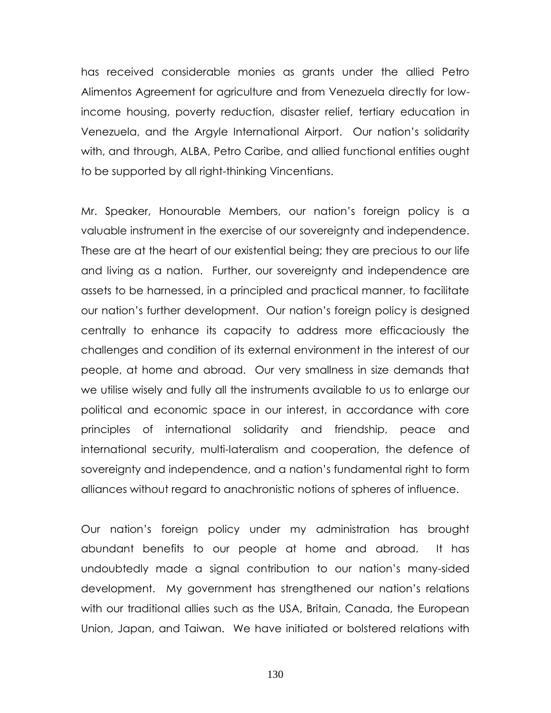has received considerable monies as grants under the allied Petro Alimentos Agreement for agriculture and from Venezuela directly for lowincome housing, poverty reduction, disaster relief, tertiary education in Venezuela, and the Argyle International Airport. Our nation's solidarity with, and through, ALBA, Petro Caribe, and allied functional entities ought to be supported by all right-thinking Vincentians.

Mr. Speaker, Honourable Members, our nation's foreign policy is a valuable instrument in the exercise of our sovereignty and independence. These are at the heart of our existential being; they are precious to our life and living as a nation. Further, our sovereignty and independence are assets to be harnessed, in a principled and practical manner, to facilitate our nation's further development. Our nation's foreign policy is designed centrally to enhance its capacity to address more efficaciously the challenges and condition of its external environment in the interest of our people, at home and abroad. Our very smallness in size demands that we utilise wisely and fully all the instruments available to us to enlarge our political and economic space in our interest, in accordance with core principles of international solidarity and friendship, peace and international security, multi-lateralism and cooperation, the defence of sovereignty and independence, and a nation's fundamental right to form alliances without regard to anachronistic notions of spheres of influence.

Our nation's foreign policy under my administration has brought abundant benefits to our people at home and abroad. It has undoubtedly made a signal contribution to our nation's many-sided development. My government has strengthened our nation's relations with our traditional allies such as the USA, Britain, Canada, the European Union, Japan, and Taiwan. We have initiated or bolstered relations with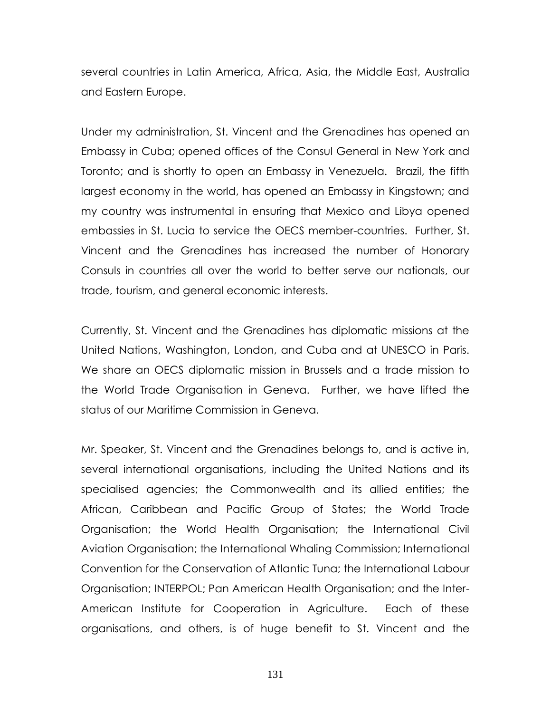several countries in Latin America, Africa, Asia, the Middle East, Australia and Eastern Europe.

Under my administration, St. Vincent and the Grenadines has opened an Embassy in Cuba; opened offices of the Consul General in New York and Toronto; and is shortly to open an Embassy in Venezuela. Brazil, the fifth largest economy in the world, has opened an Embassy in Kingstown; and my country was instrumental in ensuring that Mexico and Libya opened embassies in St. Lucia to service the OECS member-countries. Further, St. Vincent and the Grenadines has increased the number of Honorary Consuls in countries all over the world to better serve our nationals, our trade, tourism, and general economic interests.

Currently, St. Vincent and the Grenadines has diplomatic missions at the United Nations, Washington, London, and Cuba and at UNESCO in Paris. We share an OECS diplomatic mission in Brussels and a trade mission to the World Trade Organisation in Geneva. Further, we have lifted the status of our Maritime Commission in Geneva.

Mr. Speaker, St. Vincent and the Grenadines belongs to, and is active in, several international organisations, including the United Nations and its specialised agencies; the Commonwealth and its allied entities; the African, Caribbean and Pacific Group of States; the World Trade Organisation; the World Health Organisation; the International Civil Aviation Organisation; the International Whaling Commission; International Convention for the Conservation of Atlantic Tuna; the International Labour Organisation; INTERPOL; Pan American Health Organisation; and the Inter-American Institute for Cooperation in Agriculture. Each of these organisations, and others, is of huge benefit to St. Vincent and the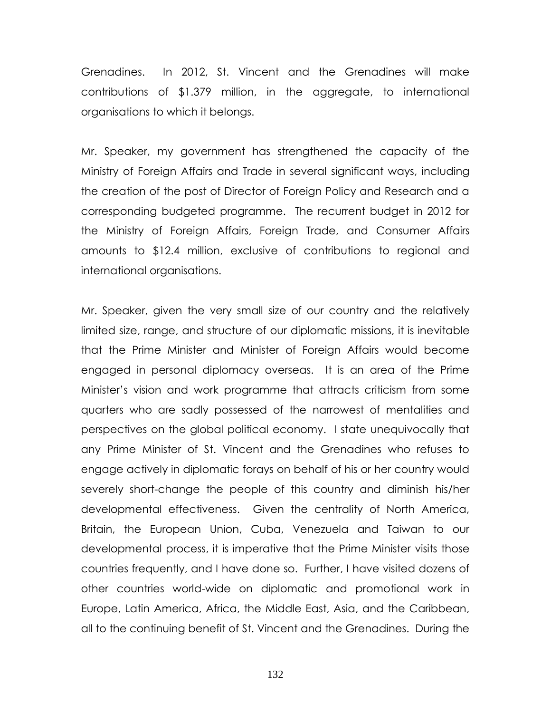Grenadines. In 2012, St. Vincent and the Grenadines will make contributions of \$1.379 million, in the aggregate, to international organisations to which it belongs.

Mr. Speaker, my government has strengthened the capacity of the Ministry of Foreign Affairs and Trade in several significant ways, including the creation of the post of Director of Foreign Policy and Research and a corresponding budgeted programme. The recurrent budget in 2012 for the Ministry of Foreign Affairs, Foreign Trade, and Consumer Affairs amounts to \$12.4 million, exclusive of contributions to regional and international organisations.

Mr. Speaker, given the very small size of our country and the relatively limited size, range, and structure of our diplomatic missions, it is inevitable that the Prime Minister and Minister of Foreign Affairs would become engaged in personal diplomacy overseas. It is an area of the Prime Minister's vision and work programme that attracts criticism from some quarters who are sadly possessed of the narrowest of mentalities and perspectives on the global political economy. I state unequivocally that any Prime Minister of St. Vincent and the Grenadines who refuses to engage actively in diplomatic forays on behalf of his or her country would severely short-change the people of this country and diminish his/her developmental effectiveness. Given the centrality of North America, Britain, the European Union, Cuba, Venezuela and Taiwan to our developmental process, it is imperative that the Prime Minister visits those countries frequently, and I have done so. Further, I have visited dozens of other countries world-wide on diplomatic and promotional work in Europe, Latin America, Africa, the Middle East, Asia, and the Caribbean, all to the continuing benefit of St. Vincent and the Grenadines. During the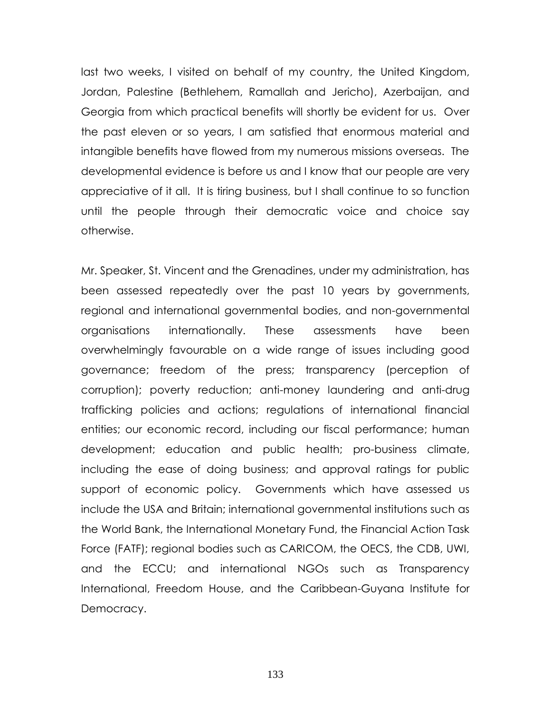last two weeks, I visited on behalf of my country, the United Kingdom, Jordan, Palestine (Bethlehem, Ramallah and Jericho), Azerbaijan, and Georgia from which practical benefits will shortly be evident for us. Over the past eleven or so years, I am satisfied that enormous material and intangible benefits have flowed from my numerous missions overseas. The developmental evidence is before us and I know that our people are very appreciative of it all. It is tiring business, but I shall continue to so function until the people through their democratic voice and choice say otherwise.

Mr. Speaker, St. Vincent and the Grenadines, under my administration, has been assessed repeatedly over the past 10 years by governments, regional and international governmental bodies, and non-governmental organisations internationally. These assessments have been overwhelmingly favourable on a wide range of issues including good governance; freedom of the press; transparency (perception of corruption); poverty reduction; anti-money laundering and anti-drug trafficking policies and actions; regulations of international financial entities; our economic record, including our fiscal performance; human development; education and public health; pro-business climate, including the ease of doing business; and approval ratings for public support of economic policy. Governments which have assessed us include the USA and Britain; international governmental institutions such as the World Bank, the International Monetary Fund, the Financial Action Task Force (FATF); regional bodies such as CARICOM, the OECS, the CDB, UWI, and the ECCU; and international NGOs such as Transparency International, Freedom House, and the Caribbean-Guyana Institute for Democracy.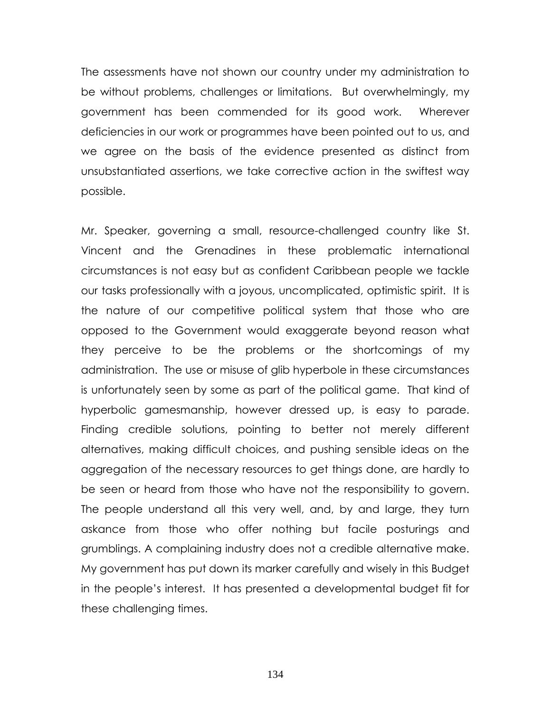The assessments have not shown our country under my administration to be without problems, challenges or limitations. But overwhelmingly, my government has been commended for its good work. Wherever deficiencies in our work or programmes have been pointed out to us, and we agree on the basis of the evidence presented as distinct from unsubstantiated assertions, we take corrective action in the swiftest way possible.

Mr. Speaker, governing a small, resource-challenged country like St. Vincent and the Grenadines in these problematic international circumstances is not easy but as confident Caribbean people we tackle our tasks professionally with a joyous, uncomplicated, optimistic spirit. It is the nature of our competitive political system that those who are opposed to the Government would exaggerate beyond reason what they perceive to be the problems or the shortcomings of my administration. The use or misuse of glib hyperbole in these circumstances is unfortunately seen by some as part of the political game. That kind of hyperbolic gamesmanship, however dressed up, is easy to parade. Finding credible solutions, pointing to better not merely different alternatives, making difficult choices, and pushing sensible ideas on the aggregation of the necessary resources to get things done, are hardly to be seen or heard from those who have not the responsibility to govern. The people understand all this very well, and, by and large, they turn askance from those who offer nothing but facile posturings and grumblings. A complaining industry does not a credible alternative make. My government has put down its marker carefully and wisely in this Budget in the people's interest. It has presented a developmental budget fit for these challenging times.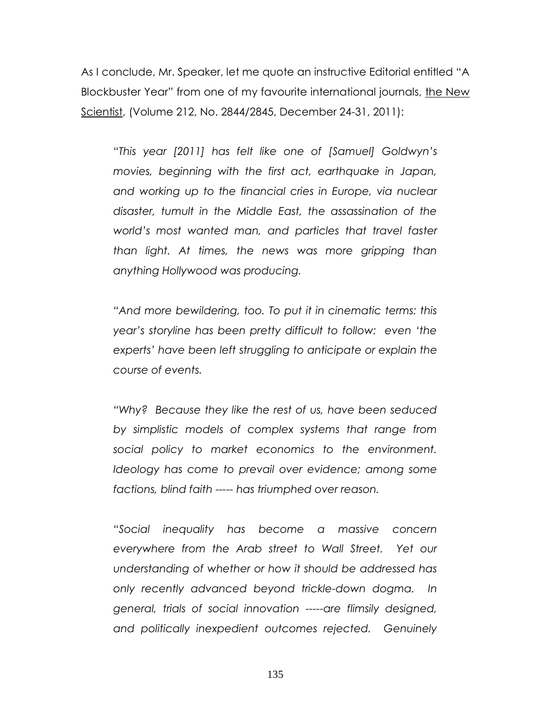As I conclude, Mr. Speaker, let me quote an instructive Editorial entitled "A Blockbuster Year" from one of my favourite international journals, the New Scientist, (Volume 212, No. 2844/2845, December 24-31, 2011):

―*This year [2011] has felt like one of [Samuel] Goldwyn"s movies, beginning with the first act, earthquake in Japan, and working up to the financial cries in Europe, via nuclear disaster, tumult in the Middle East, the assassination of the world"s most wanted man, and particles that travel faster than light. At times, the news was more gripping than anything Hollywood was producing.*

*"And more bewildering, too. To put it in cinematic terms: this year"s storyline has been pretty difficult to follow: even "the experts" have been left struggling to anticipate or explain the course of events.*

*"Why? Because they like the rest of us, have been seduced by simplistic models of complex systems that range from social policy to market economics to the environment. Ideology has come to prevail over evidence; among some factions, blind faith ----- has triumphed over reason.*

*"Social inequality has become a massive concern everywhere from the Arab street to Wall Street. Yet our understanding of whether or how it should be addressed has only recently advanced beyond trickle-down dogma. In general, trials of social innovation -----are flimsily designed, and politically inexpedient outcomes rejected. Genuinely*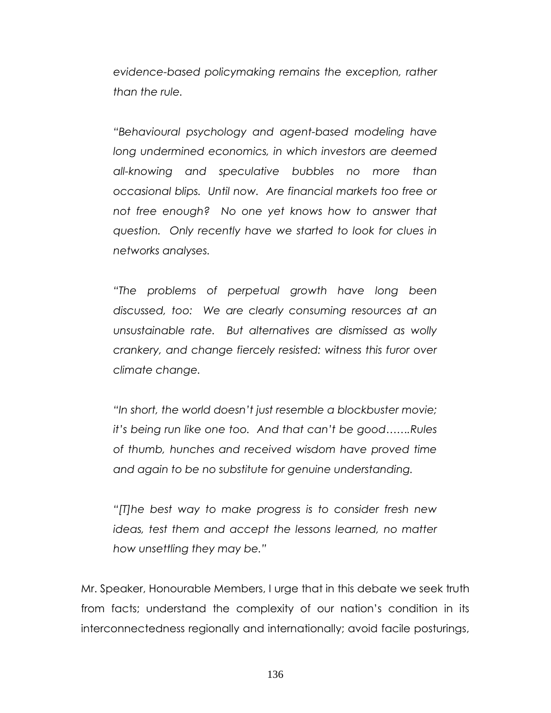*evidence-based policymaking remains the exception, rather than the rule.*

*"Behavioural psychology and agent-based modeling have long undermined economics, in which investors are deemed all-knowing and speculative bubbles no more than occasional blips. Until now. Are financial markets too free or not free enough? No one yet knows how to answer that question. Only recently have we started to look for clues in networks analyses.*

*"The problems of perpetual growth have long been discussed, too: We are clearly consuming resources at an unsustainable rate. But alternatives are dismissed as wolly crankery, and change fiercely resisted: witness this furor over climate change.*

*"In short, the world doesn"t just resemble a blockbuster movie; it"s being run like one too. And that can"t be good…….Rules of thumb, hunches and received wisdom have proved time and again to be no substitute for genuine understanding.* 

*"[T]he best way to make progress is to consider fresh new ideas, test them and accept the lessons learned, no matter how unsettling they may be."*

Mr. Speaker, Honourable Members, I urge that in this debate we seek truth from facts; understand the complexity of our nation's condition in its interconnectedness regionally and internationally; avoid facile posturings,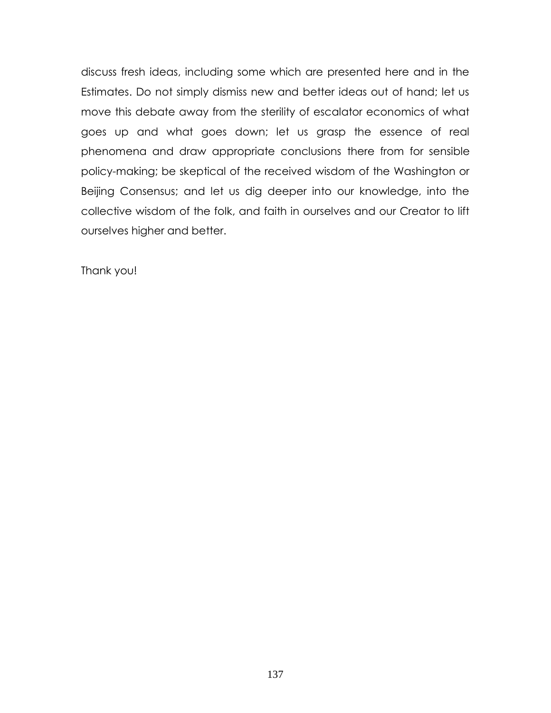discuss fresh ideas, including some which are presented here and in the Estimates. Do not simply dismiss new and better ideas out of hand; let us move this debate away from the sterility of escalator economics of what goes up and what goes down; let us grasp the essence of real phenomena and draw appropriate conclusions there from for sensible policy-making; be skeptical of the received wisdom of the Washington or Beijing Consensus; and let us dig deeper into our knowledge, into the collective wisdom of the folk, and faith in ourselves and our Creator to lift ourselves higher and better.

Thank you!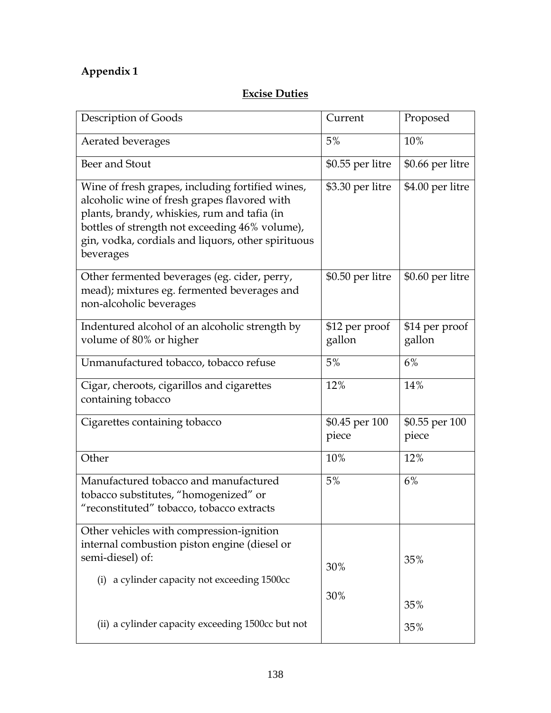# **Appendix 1**

# **Excise Duties**

| Description of Goods                                                                                                                                                                                                                                                 | Current                  | Proposed                 |
|----------------------------------------------------------------------------------------------------------------------------------------------------------------------------------------------------------------------------------------------------------------------|--------------------------|--------------------------|
| Aerated beverages                                                                                                                                                                                                                                                    | 5%                       | 10%                      |
| Beer and Stout                                                                                                                                                                                                                                                       | $$0.55$ per litre        | \$0.66 per litre         |
| Wine of fresh grapes, including fortified wines,<br>alcoholic wine of fresh grapes flavored with<br>plants, brandy, whiskies, rum and tafia (in<br>bottles of strength not exceeding 46% volume),<br>gin, vodka, cordials and liquors, other spirituous<br>beverages | \$3.30 per litre         | \$4.00 per litre         |
| Other fermented beverages (eg. cider, perry,<br>mead); mixtures eg. fermented beverages and<br>non-alcoholic beverages                                                                                                                                               | \$0.50 per litre         | \$0.60 per litre         |
| Indentured alcohol of an alcoholic strength by<br>volume of 80% or higher                                                                                                                                                                                            | \$12 per proof<br>gallon | \$14 per proof<br>gallon |
| Unmanufactured tobacco, tobacco refuse                                                                                                                                                                                                                               | 5%                       | 6%                       |
| Cigar, cheroots, cigarillos and cigarettes<br>containing tobacco                                                                                                                                                                                                     | 12%                      | 14%                      |
| Cigarettes containing tobacco                                                                                                                                                                                                                                        | \$0.45 per 100<br>piece  | \$0.55 per 100<br>piece  |
| Other                                                                                                                                                                                                                                                                | 10%                      | 12%                      |
| Manufactured tobacco and manufactured<br>tobacco substitutes, "homogenized" or<br>"reconstituted" tobacco, tobacco extracts                                                                                                                                          | 5%                       | 6%                       |
| Other vehicles with compression-ignition<br>internal combustion piston engine (diesel or<br>semi-diesel) of:<br>(i) a cylinder capacity not exceeding 1500cc                                                                                                         | 30%                      | 35%                      |
| (ii) a cylinder capacity exceeding 1500cc but not                                                                                                                                                                                                                    | 30%                      | 35%<br>35%               |
|                                                                                                                                                                                                                                                                      |                          |                          |